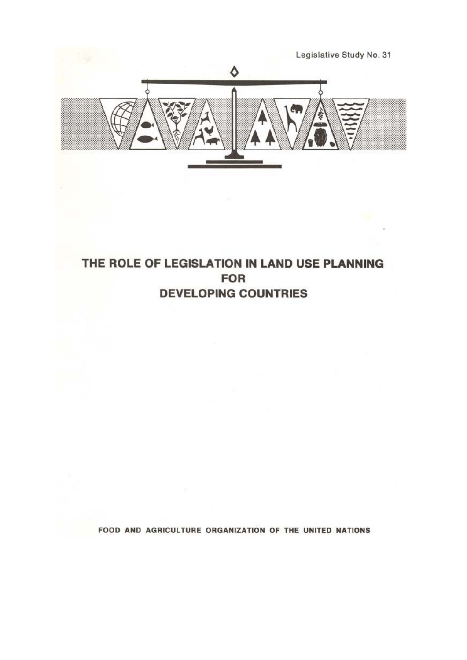

# THE ROLE OF LEGISLATION IN LAND USE PLANNING **FOR DEVELOPING COUNTRIES**

FOOD AND AGRICULTURE ORGANIZATION OF THE UNITED NATIONS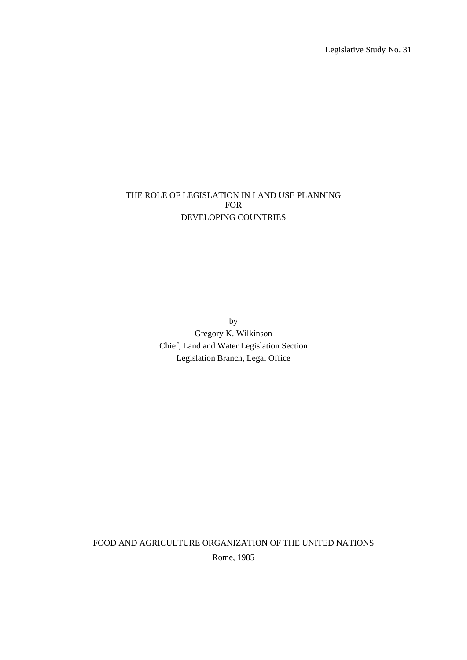Legislative Study No. 31

## THE ROLE OF LEGISLATION IN LAND USE PLANNING FOR DEVELOPING COUNTRIES

by Gregory K. Wilkinson Chief, Land and Water Legislation Section Legislation Branch, Legal Office

FOOD AND AGRICULTURE ORGANIZATION OF THE UNITED NATIONS Rome, 1985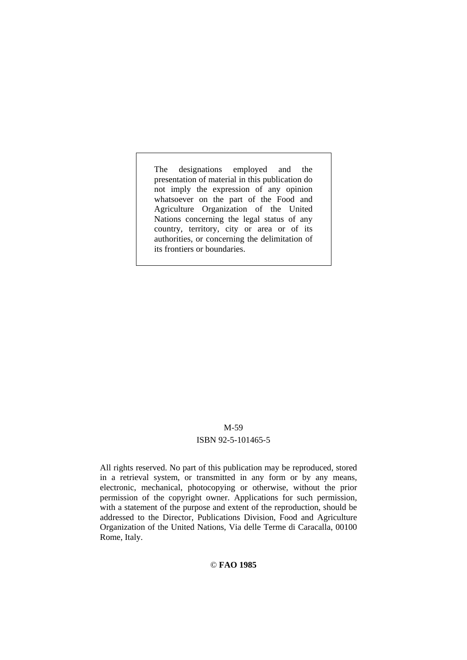The designations employed and the presentation of material in this publication do not imply the expression of any opinion whatsoever on the part of the Food and Agriculture Organization of the United Nations concerning the legal status of any country, territory, city or area or of its authorities, or concerning the delimitation of its frontiers or boundaries.

#### M-59

#### ISBN 92-5-101465-5

All rights reserved. No part of this publication may be reproduced, stored in a retrieval system, or transmitted in any form or by any means, electronic, mechanical, photocopying or otherwise, without the prior permission of the copyright owner. Applications for such permission, with a statement of the purpose and extent of the reproduction, should be addressed to the Director, Publications Division, Food and Agriculture Organization of the United Nations, Via delle Terme di Caracalla, 00100 Rome, Italy.

#### © **FAO 1985**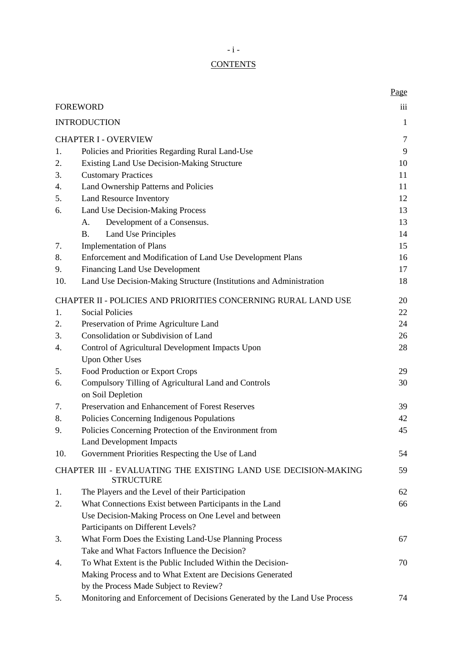# **CONTENTS**

|                              |                                                                                    | Page         |  |
|------------------------------|------------------------------------------------------------------------------------|--------------|--|
|                              | <b>FOREWORD</b>                                                                    |              |  |
|                              | <b>INTRODUCTION</b>                                                                | $\mathbf{1}$ |  |
|                              | <b>CHAPTER I - OVERVIEW</b>                                                        | $\tau$       |  |
| 1.                           | Policies and Priorities Regarding Rural Land-Use                                   |              |  |
| 2.                           | Existing Land Use Decision-Making Structure                                        |              |  |
| 3.                           | <b>Customary Practices</b>                                                         |              |  |
| 4.                           | Land Ownership Patterns and Policies                                               |              |  |
| 5.                           | Land Resource Inventory                                                            |              |  |
| 6.                           | Land Use Decision-Making Process                                                   |              |  |
|                              | Development of a Consensus.<br>A.                                                  | 13<br>13     |  |
|                              | <b>Land Use Principles</b><br><b>B.</b>                                            | 14           |  |
| 7.                           | <b>Implementation of Plans</b>                                                     | 15           |  |
| 8.                           | Enforcement and Modification of Land Use Development Plans                         | 16           |  |
| 9.                           | Financing Land Use Development                                                     | 17           |  |
| 10.                          | Land Use Decision-Making Structure (Institutions and Administration                | 18           |  |
|                              | CHAPTER II - POLICIES AND PRIORITIES CONCERNING RURAL LAND USE                     | 20           |  |
| <b>Social Policies</b><br>1. |                                                                                    | 22           |  |
| 2.                           | Preservation of Prime Agriculture Land                                             | 24           |  |
| 3.                           | Consolidation or Subdivision of Land                                               | 26           |  |
| 4.                           | Control of Agricultural Development Impacts Upon                                   | 28           |  |
|                              | <b>Upon Other Uses</b>                                                             |              |  |
| 5.                           | Food Production or Export Crops                                                    | 29           |  |
| 6.                           | Compulsory Tilling of Agricultural Land and Controls<br>on Soil Depletion          | 30           |  |
| 7.                           | Preservation and Enhancement of Forest Reserves                                    | 39           |  |
| 8.                           | Policies Concerning Indigenous Populations                                         | 42           |  |
| 9.                           | Policies Concerning Protection of the Environment from                             | 45           |  |
|                              | Land Development Impacts                                                           |              |  |
| 10.                          | Government Priorities Respecting the Use of Land                                   | 54           |  |
|                              | CHAPTER III - EVALUATING THE EXISTING LAND USE DECISION-MAKING<br><b>STRUCTURE</b> | 59           |  |
| 1.                           | The Players and the Level of their Participation                                   | 62           |  |
| 2.                           | What Connections Exist between Participants in the Land                            | 66           |  |
|                              | Use Decision-Making Process on One Level and between                               |              |  |
|                              | Participants on Different Levels?                                                  |              |  |
| 3.                           | What Form Does the Existing Land-Use Planning Process                              | 67           |  |
|                              | Take and What Factors Influence the Decision?                                      |              |  |
| 4.                           | To What Extent is the Public Included Within the Decision-                         | 70           |  |
|                              | Making Process and to What Extent are Decisions Generated                          |              |  |
|                              | by the Process Made Subject to Review?                                             |              |  |
| 5.                           | Monitoring and Enforcement of Decisions Generated by the Land Use Process          | 74           |  |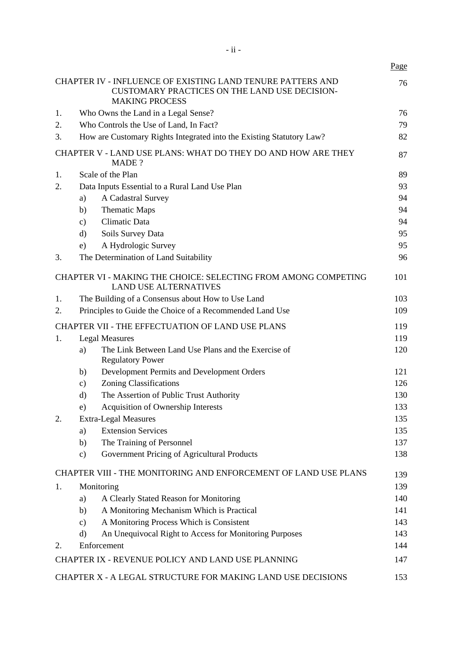|    |               |                                                                                                                                      | Page |
|----|---------------|--------------------------------------------------------------------------------------------------------------------------------------|------|
|    |               | CHAPTER IV - INFLUENCE OF EXISTING LAND TENURE PATTERS AND<br>CUSTOMARY PRACTICES ON THE LAND USE DECISION-<br><b>MAKING PROCESS</b> | 76   |
| 1. |               | Who Owns the Land in a Legal Sense?                                                                                                  | 76   |
| 2. |               | Who Controls the Use of Land, In Fact?                                                                                               | 79   |
| 3. |               | How are Customary Rights Integrated into the Existing Statutory Law?                                                                 | 82   |
|    |               | CHAPTER V - LAND USE PLANS: WHAT DO THEY DO AND HOW ARE THEY<br>MADE ?                                                               | 87   |
| 1. |               | Scale of the Plan                                                                                                                    | 89   |
| 2. |               | Data Inputs Essential to a Rural Land Use Plan                                                                                       | 93   |
|    | a)            | A Cadastral Survey                                                                                                                   | 94   |
|    | b)            | Thematic Maps                                                                                                                        | 94   |
|    | $\mathbf{c})$ | Climatic Data                                                                                                                        | 94   |
|    | $\rm d)$      | Soils Survey Data                                                                                                                    | 95   |
|    | e)            | A Hydrologic Survey                                                                                                                  | 95   |
| 3. |               | The Determination of Land Suitability                                                                                                | 96   |
|    |               | CHAPTER VI - MAKING THE CHOICE: SELECTING FROM AMONG COMPETING<br><b>LAND USE ALTERNATIVES</b>                                       | 101  |
| 1. |               | The Building of a Consensus about How to Use Land                                                                                    | 103  |
| 2. |               | Principles to Guide the Choice of a Recommended Land Use                                                                             | 109  |
|    |               | CHAPTER VII - THE EFFECTUATION OF LAND USE PLANS                                                                                     | 119  |
| 1. |               | <b>Legal Measures</b>                                                                                                                | 119  |
|    | a)            | The Link Between Land Use Plans and the Exercise of<br><b>Regulatory Power</b>                                                       | 120  |
|    | b)            | Development Permits and Development Orders                                                                                           | 121  |
|    | c)            | <b>Zoning Classifications</b>                                                                                                        | 126  |
|    | d)            | The Assertion of Public Trust Authority                                                                                              | 130  |
|    | e)            | Acquisition of Ownership Interests                                                                                                   | 133  |
| 2. |               | Extra-Legal Measures                                                                                                                 | 135  |
|    | a)            | <b>Extension Services</b>                                                                                                            | 135  |
|    | b)            | The Training of Personnel                                                                                                            | 137  |
|    | $\mathbf{c})$ | Government Pricing of Agricultural Products                                                                                          | 138  |
|    |               | CHAPTER VIII - THE MONITORING AND ENFORCEMENT OF LAND USE PLANS                                                                      | 139  |
| 1. |               | Monitoring                                                                                                                           | 139  |
|    | a)            | A Clearly Stated Reason for Monitoring                                                                                               | 140  |
|    | b)            | A Monitoring Mechanism Which is Practical                                                                                            | 141  |
|    | c)            | A Monitoring Process Which is Consistent                                                                                             | 143  |
|    | d)            | An Unequivocal Right to Access for Monitoring Purposes                                                                               | 143  |
| 2. |               | Enforcement                                                                                                                          | 144  |
|    |               | CHAPTER IX - REVENUE POLICY AND LAND USE PLANNING                                                                                    | 147  |
|    |               | CHAPTER X - A LEGAL STRUCTURE FOR MAKING LAND USE DECISIONS                                                                          | 153  |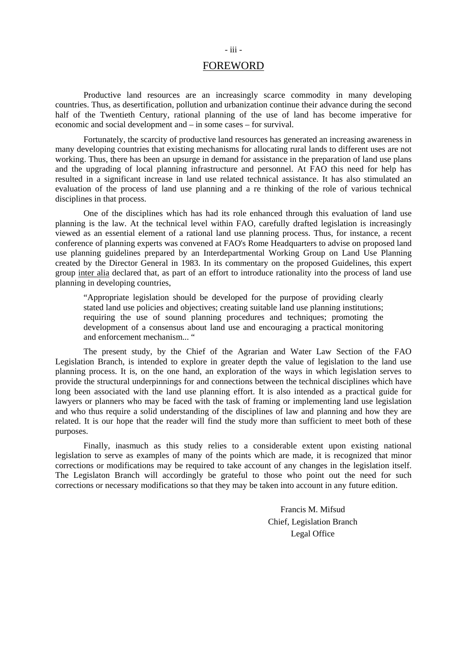## FOREWORD

Productive land resources are an increasingly scarce commodity in many developing countries. Thus, as desertification, pollution and urbanization continue their advance during the second half of the Twentieth Century, rational planning of the use of land has become imperative for economic and social development and – in some cases – for survival.

Fortunately, the scarcity of productive land resources has generated an increasing awareness in many developing countries that existing mechanisms for allocating rural lands to different uses are not working. Thus, there has been an upsurge in demand for assistance in the preparation of land use plans and the upgrading of local planning infrastructure and personnel. At FAO this need for help has resulted in a significant increase in land use related technical assistance. It has also stimulated an evaluation of the process of land use planning and a re thinking of the role of various technical disciplines in that process.

One of the disciplines which has had its role enhanced through this evaluation of land use planning is the law. At the technical level within FAO, carefully drafted legislation is increasingly viewed as an essential element of a rational land use planning process. Thus, for instance, a recent conference of planning experts was convened at FAO's Rome Headquarters to advise on proposed land use planning guidelines prepared by an Interdepartmental Working Group on Land Use Planning created by the Director General in 1983. In its commentary on the proposed Guidelines, this expert group inter alia declared that, as part of an effort to introduce rationality into the process of land use planning in developing countries,

"Appropriate legislation should be developed for the purpose of providing clearly stated land use policies and objectives; creating suitable land use planning institutions; requiring the use of sound planning procedures and techniques; promoting the development of a consensus about land use and encouraging a practical monitoring and enforcement mechanism... "

The present study, by the Chief of the Agrarian and Water Law Section of the FAO Legislation Branch, is intended to explore in greater depth the value of legislation to the land use planning process. It is, on the one hand, an exploration of the ways in which legislation serves to provide the structural underpinnings for and connections between the technical disciplines which have long been associated with the land use planning effort. It is also intended as a practical guide for lawyers or planners who may be faced with the task of framing or implementing land use legislation and who thus require a solid understanding of the disciplines of law and planning and how they are related. It is our hope that the reader will find the study more than sufficient to meet both of these purposes.

Finally, inasmuch as this study relies to a considerable extent upon existing national legislation to serve as examples of many of the points which are made, it is recognized that minor corrections or modifications may be required to take account of any changes in the legislation itself. The Legislaton Branch will accordingly be grateful to those who point out the need for such corrections or necessary modifications so that they may be taken into account in any future edition.

> Francis M. Mifsud Chief, Legislation Branch Legal Office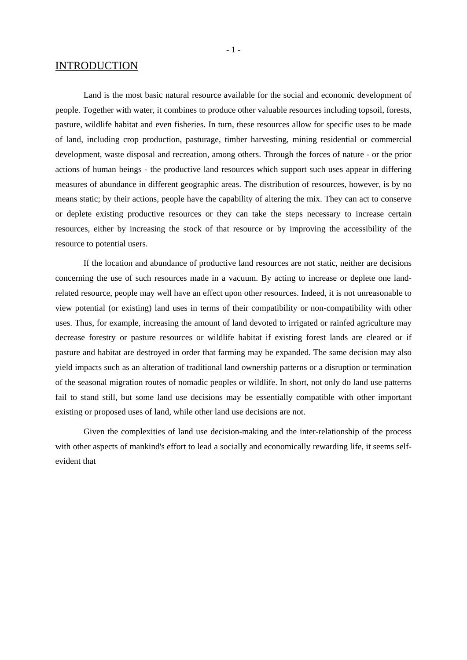## INTRODUCTION

Land is the most basic natural resource available for the social and economic development of people. Together with water, it combines to produce other valuable resources including topsoil, forests, pasture, wildlife habitat and even fisheries. In turn, these resources allow for specific uses to be made of land, including crop production, pasturage, timber harvesting, mining residential or commercial development, waste disposal and recreation, among others. Through the forces of nature - or the prior actions of human beings - the productive land resources which support such uses appear in differing measures of abundance in different geographic areas. The distribution of resources, however, is by no means static; by their actions, people have the capability of altering the mix. They can act to conserve or deplete existing productive resources or they can take the steps necessary to increase certain resources, either by increasing the stock of that resource or by improving the accessibility of the resource to potential users.

If the location and abundance of productive land resources are not static, neither are decisions concerning the use of such resources made in a vacuum. By acting to increase or deplete one landrelated resource, people may well have an effect upon other resources. Indeed, it is not unreasonable to view potential (or existing) land uses in terms of their compatibility or non-compatibility with other uses. Thus, for example, increasing the amount of land devoted to irrigated or rainfed agriculture may decrease forestry or pasture resources or wildlife habitat if existing forest lands are cleared or if pasture and habitat are destroyed in order that farming may be expanded. The same decision may also yield impacts such as an alteration of traditional land ownership patterns or a disruption or termination of the seasonal migration routes of nomadic peoples or wildlife. In short, not only do land use patterns fail to stand still, but some land use decisions may be essentially compatible with other important existing or proposed uses of land, while other land use decisions are not.

Given the complexities of land use decision-making and the inter-relationship of the process with other aspects of mankind's effort to lead a socially and economically rewarding life, it seems selfevident that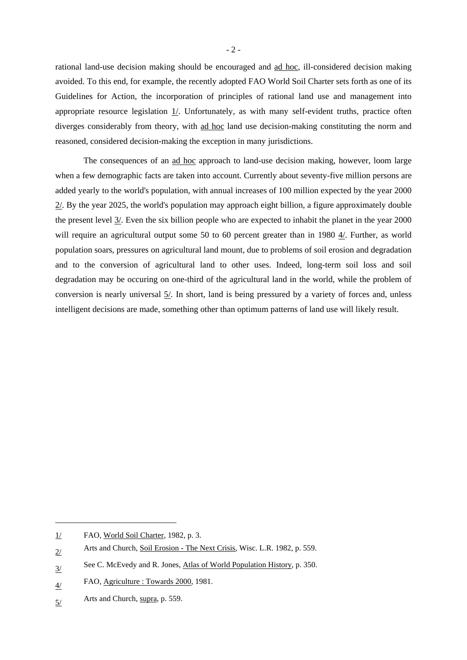rational land-use decision making should be encouraged and ad hoc, ill-considered decision making avoided. To this end, for example, the recently adopted FAO World Soil Charter sets forth as one of its Guidelines for Action, the incorporation of principles of rational land use and management into appropriate resource legislation 1/. Unfortunately, as with many self-evident truths, practice often diverges considerably from theory, with ad hoc land use decision-making constituting the norm and reasoned, considered decision-making the exception in many jurisdictions.

The consequences of an ad hoc approach to land-use decision making, however, loom large when a few demographic facts are taken into account. Currently about seventy-five million persons are added yearly to the world's population, with annual increases of 100 million expected by the year 2000 2/. By the year 2025, the world's population may approach eight billion, a figure approximately double the present level 3/. Even the six billion people who are expected to inhabit the planet in the year 2000 will require an agricultural output some 50 to 60 percent greater than in 1980  $4/$ . Further, as world population soars, pressures on agricultural land mount, due to problems of soil erosion and degradation and to the conversion of agricultural land to other uses. Indeed, long-term soil loss and soil degradation may be occuring on one-third of the agricultural land in the world, while the problem of conversion is nearly universal 5/. In short, land is being pressured by a variety of forces and, unless intelligent decisions are made, something other than optimum patterns of land use will likely result.

\_\_\_\_\_\_\_\_\_\_\_\_\_\_\_\_\_\_\_\_\_\_\_\_\_\_\_\_

<sup>1/</sup> FAO, World Soil Charter, 1982, p. 3.

<sup>2/</sup> Arts and Church, Soil Erosion - The Next Crisis, Wisc. L.R. 1982, p. 559.

<sup>3/</sup> See C. McEvedy and R. Jones, Atlas of World Population History, p. 350.

<sup>4/</sup> FAO, Agriculture : Towards 2000, 1981.

<sup>5/</sup> Arts and Church, supra, p. 559.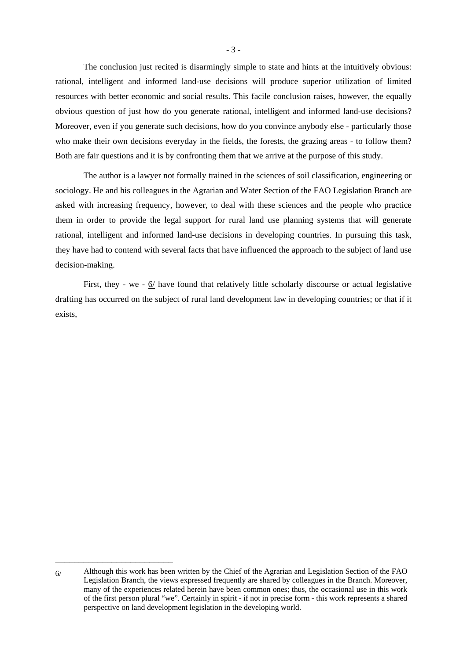The conclusion just recited is disarmingly simple to state and hints at the intuitively obvious: rational, intelligent and informed land-use decisions will produce superior utilization of limited resources with better economic and social results. This facile conclusion raises, however, the equally obvious question of just how do you generate rational, intelligent and informed land-use decisions? Moreover, even if you generate such decisions, how do you convince anybody else - particularly those who make their own decisions everyday in the fields, the forests, the grazing areas - to follow them? Both are fair questions and it is by confronting them that we arrive at the purpose of this study.

The author is a lawyer not formally trained in the sciences of soil classification, engineering or sociology. He and his colleagues in the Agrarian and Water Section of the FAO Legislation Branch are asked with increasing frequency, however, to deal with these sciences and the people who practice them in order to provide the legal support for rural land use planning systems that will generate rational, intelligent and informed land-use decisions in developing countries. In pursuing this task, they have had to contend with several facts that have influenced the approach to the subject of land use decision-making.

First, they - we -  $6/$  have found that relatively little scholarly discourse or actual legislative drafting has occurred on the subject of rural land development law in developing countries; or that if it exists,

\_\_\_\_\_\_\_\_\_\_\_\_\_\_\_\_\_\_\_\_\_\_\_\_\_

<sup>6/</sup> Although this work has been written by the Chief of the Agrarian and Legislation Section of the FAO Legislation Branch, the views expressed frequently are shared by colleagues in the Branch. Moreover, many of the experiences related herein have been common ones; thus, the occasional use in this work of the first person plural "we". Certainly in spirit - if not in precise form - this work represents a shared perspective on land development legislation in the developing world.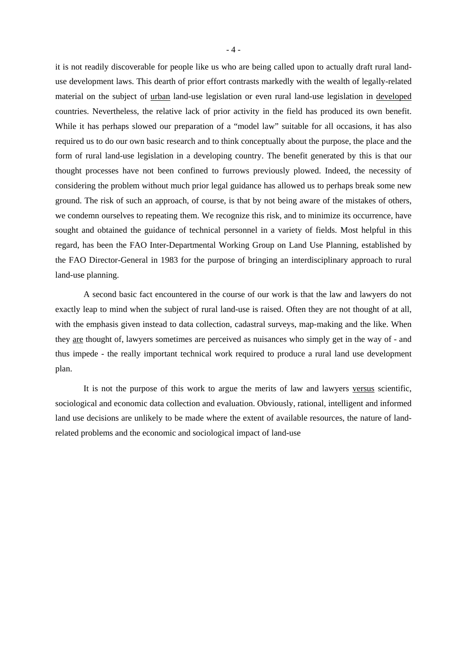it is not readily discoverable for people like us who are being called upon to actually draft rural landuse development laws. This dearth of prior effort contrasts markedly with the wealth of legally-related material on the subject of urban land-use legislation or even rural land-use legislation in developed countries. Nevertheless, the relative lack of prior activity in the field has produced its own benefit. While it has perhaps slowed our preparation of a "model law" suitable for all occasions, it has also required us to do our own basic research and to think conceptually about the purpose, the place and the form of rural land-use legislation in a developing country. The benefit generated by this is that our thought processes have not been confined to furrows previously plowed. Indeed, the necessity of considering the problem without much prior legal guidance has allowed us to perhaps break some new ground. The risk of such an approach, of course, is that by not being aware of the mistakes of others, we condemn ourselves to repeating them. We recognize this risk, and to minimize its occurrence, have sought and obtained the guidance of technical personnel in a variety of fields. Most helpful in this regard, has been the FAO Inter-Departmental Working Group on Land Use Planning, established by the FAO Director-General in 1983 for the purpose of bringing an interdisciplinary approach to rural land-use planning.

A second basic fact encountered in the course of our work is that the law and lawyers do not exactly leap to mind when the subject of rural land-use is raised. Often they are not thought of at all, with the emphasis given instead to data collection, cadastral surveys, map-making and the like. When they are thought of, lawyers sometimes are perceived as nuisances who simply get in the way of - and thus impede - the really important technical work required to produce a rural land use development plan.

It is not the purpose of this work to argue the merits of law and lawyers versus scientific, sociological and economic data collection and evaluation. Obviously, rational, intelligent and informed land use decisions are unlikely to be made where the extent of available resources, the nature of landrelated problems and the economic and sociological impact of land-use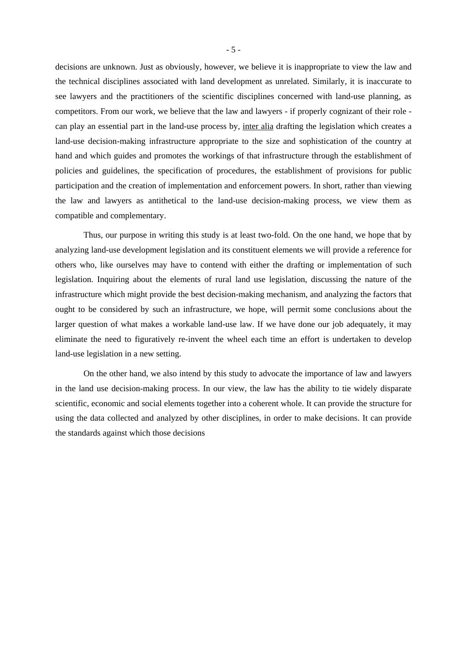decisions are unknown. Just as obviously, however, we believe it is inappropriate to view the law and the technical disciplines associated with land development as unrelated. Similarly, it is inaccurate to see lawyers and the practitioners of the scientific disciplines concerned with land-use planning, as competitors. From our work, we believe that the law and lawyers - if properly cognizant of their role can play an essential part in the land-use process by, inter alia drafting the legislation which creates a land-use decision-making infrastructure appropriate to the size and sophistication of the country at hand and which guides and promotes the workings of that infrastructure through the establishment of policies and guidelines, the specification of procedures, the establishment of provisions for public participation and the creation of implementation and enforcement powers. In short, rather than viewing the law and lawyers as antithetical to the land-use decision-making process, we view them as compatible and complementary.

Thus, our purpose in writing this study is at least two-fold. On the one hand, we hope that by analyzing land-use development legislation and its constituent elements we will provide a reference for others who, like ourselves may have to contend with either the drafting or implementation of such legislation. Inquiring about the elements of rural land use legislation, discussing the nature of the infrastructure which might provide the best decision-making mechanism, and analyzing the factors that ought to be considered by such an infrastructure, we hope, will permit some conclusions about the larger question of what makes a workable land-use law. If we have done our job adequately, it may eliminate the need to figuratively re-invent the wheel each time an effort is undertaken to develop land-use legislation in a new setting.

On the other hand, we also intend by this study to advocate the importance of law and lawyers in the land use decision-making process. In our view, the law has the ability to tie widely disparate scientific, economic and social elements together into a coherent whole. It can provide the structure for using the data collected and analyzed by other disciplines, in order to make decisions. It can provide the standards against which those decisions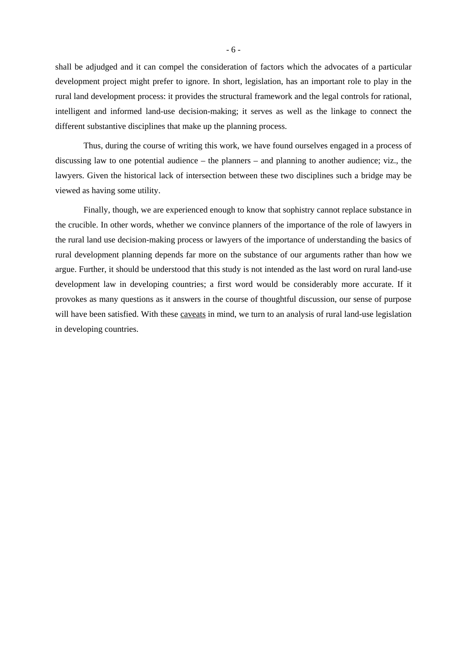shall be adjudged and it can compel the consideration of factors which the advocates of a particular development project might prefer to ignore. In short, legislation, has an important role to play in the rural land development process: it provides the structural framework and the legal controls for rational, intelligent and informed land-use decision-making; it serves as well as the linkage to connect the different substantive disciplines that make up the planning process.

Thus, during the course of writing this work, we have found ourselves engaged in a process of discussing law to one potential audience – the planners – and planning to another audience; viz., the lawyers. Given the historical lack of intersection between these two disciplines such a bridge may be viewed as having some utility.

Finally, though, we are experienced enough to know that sophistry cannot replace substance in the crucible. In other words, whether we convince planners of the importance of the role of lawyers in the rural land use decision-making process or lawyers of the importance of understanding the basics of rural development planning depends far more on the substance of our arguments rather than how we argue. Further, it should be understood that this study is not intended as the last word on rural land-use development law in developing countries; a first word would be considerably more accurate. If it provokes as many questions as it answers in the course of thoughtful discussion, our sense of purpose will have been satisfied. With these caveats in mind, we turn to an analysis of rural land-use legislation in developing countries.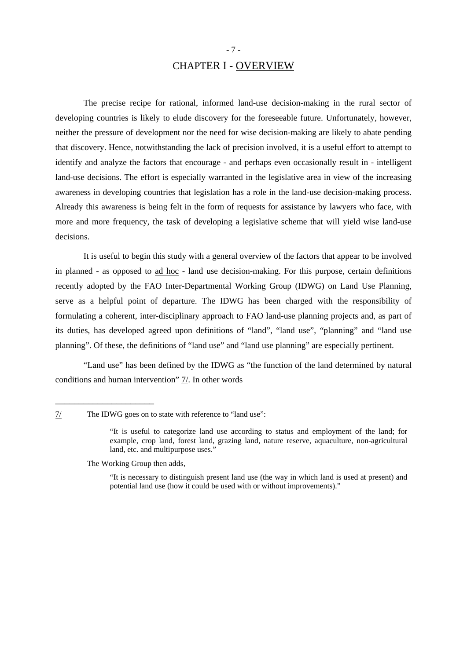## CHAPTER I - OVERVIEW

The precise recipe for rational, informed land-use decision-making in the rural sector of developing countries is likely to elude discovery for the foreseeable future. Unfortunately, however, neither the pressure of development nor the need for wise decision-making are likely to abate pending that discovery. Hence, notwithstanding the lack of precision involved, it is a useful effort to attempt to identify and analyze the factors that encourage - and perhaps even occasionally result in - intelligent land-use decisions. The effort is especially warranted in the legislative area in view of the increasing awareness in developing countries that legislation has a role in the land-use decision-making process. Already this awareness is being felt in the form of requests for assistance by lawyers who face, with more and more frequency, the task of developing a legislative scheme that will yield wise land-use decisions.

It is useful to begin this study with a general overview of the factors that appear to be involved in planned - as opposed to ad hoc - land use decision-making. For this purpose, certain definitions recently adopted by the FAO Inter-Departmental Working Group (IDWG) on Land Use Planning, serve as a helpful point of departure. The IDWG has been charged with the responsibility of formulating a coherent, inter-disciplinary approach to FAO land-use planning projects and, as part of its duties, has developed agreed upon definitions of "land", "land use", "planning" and "land use planning". Of these, the definitions of "land use" and "land use planning" are especially pertinent.

"Land use" has been defined by the IDWG as "the function of the land determined by natural conditions and human intervention" 7/. In other words

7/ The IDWG goes on to state with reference to "land use":

 "It is useful to categorize land use according to status and employment of the land; for example, crop land, forest land, grazing land, nature reserve, aquaculture, non-agricultural land, etc. and multipurpose uses."

The Working Group then adds,

\_\_\_\_\_\_\_\_\_\_\_\_\_\_\_\_\_\_\_\_\_

 "It is necessary to distinguish present land use (the way in which land is used at present) and potential land use (how it could be used with or without improvements)."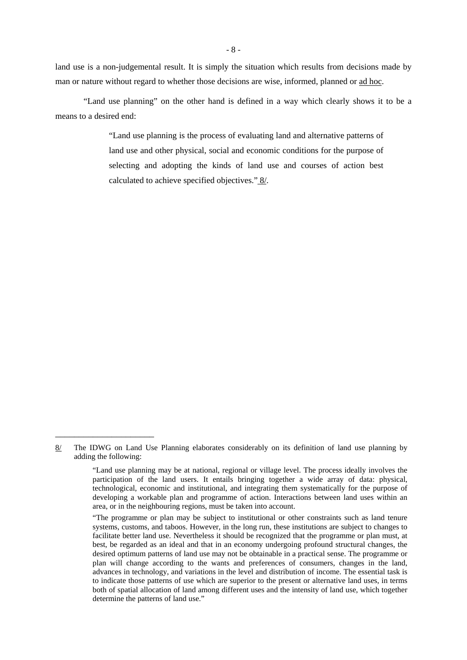land use is a non-judgemental result. It is simply the situation which results from decisions made by man or nature without regard to whether those decisions are wise, informed, planned or ad hoc.

"Land use planning" on the other hand is defined in a way which clearly shows it to be a means to a desired end:

> "Land use planning is the process of evaluating land and alternative patterns of land use and other physical, social and economic conditions for the purpose of selecting and adopting the kinds of land use and courses of action best calculated to achieve specified objectives." 8/.

\_\_\_\_\_\_\_\_\_\_\_\_\_\_\_\_\_\_\_\_\_

<sup>8/</sup> The IDWG on Land Use Planning elaborates considerably on its definition of land use planning by adding the following:

 <sup>&</sup>quot;Land use planning may be at national, regional or village level. The process ideally involves the participation of the land users. It entails bringing together a wide array of data: physical, technological, economic and institutional, and integrating them systematically for the purpose of developing a workable plan and programme of action. Interactions between land uses within an area, or in the neighbouring regions, must be taken into account.

<sup>&</sup>quot;The programme or plan may be subject to institutional or other constraints such as land tenure systems, customs, and taboos. However, in the long run, these institutions are subject to changes to facilitate better land use. Nevertheless it should be recognized that the programme or plan must, at best, be regarded as an ideal and that in an economy undergoing profound structural changes, the desired optimum patterns of land use may not be obtainable in a practical sense. The programme or plan will change according to the wants and preferences of consumers, changes in the land, advances in technology, and variations in the level and distribution of income. The essential task is to indicate those patterns of use which are superior to the present or alternative land uses, in terms both of spatial allocation of land among different uses and the intensity of land use, which together determine the patterns of land use."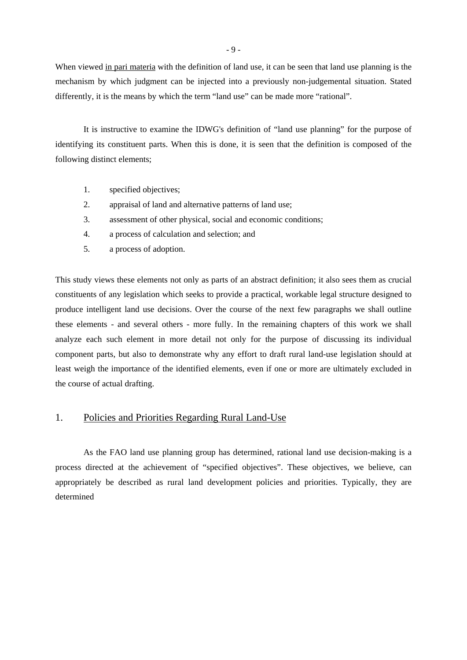When viewed in pari materia with the definition of land use, it can be seen that land use planning is the mechanism by which judgment can be injected into a previously non-judgemental situation. Stated differently, it is the means by which the term "land use" can be made more "rational".

It is instructive to examine the IDWG's definition of "land use planning" for the purpose of identifying its constituent parts. When this is done, it is seen that the definition is composed of the following distinct elements;

- 1. specified objectives;
- 2. appraisal of land and alternative patterns of land use;
- 3. assessment of other physical, social and economic conditions;
- 4. a process of calculation and selection; and
- 5. a process of adoption.

This study views these elements not only as parts of an abstract definition; it also sees them as crucial constituents of any legislation which seeks to provide a practical, workable legal structure designed to produce intelligent land use decisions. Over the course of the next few paragraphs we shall outline these elements - and several others - more fully. In the remaining chapters of this work we shall analyze each such element in more detail not only for the purpose of discussing its individual component parts, but also to demonstrate why any effort to draft rural land-use legislation should at least weigh the importance of the identified elements, even if one or more are ultimately excluded in the course of actual drafting.

## 1. Policies and Priorities Regarding Rural Land-Use

As the FAO land use planning group has determined, rational land use decision-making is a process directed at the achievement of "specified objectives". These objectives, we believe, can appropriately be described as rural land development policies and priorities. Typically, they are determined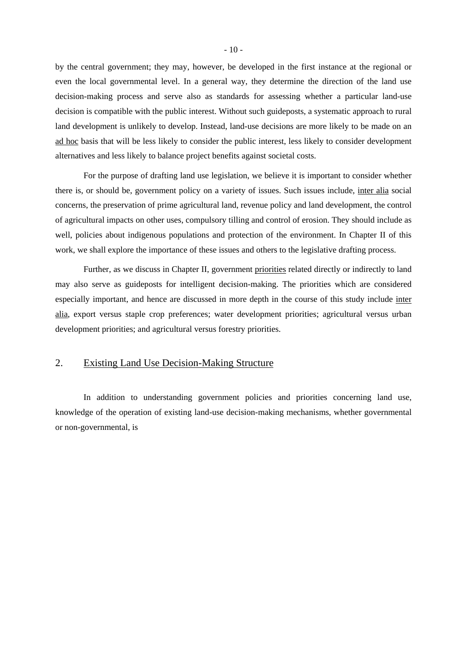by the central government; they may, however, be developed in the first instance at the regional or even the local governmental level. In a general way, they determine the direction of the land use decision-making process and serve also as standards for assessing whether a particular land-use decision is compatible with the public interest. Without such guideposts, a systematic approach to rural land development is unlikely to develop. Instead, land-use decisions are more likely to be made on an ad hoc basis that will be less likely to consider the public interest, less likely to consider development alternatives and less likely to balance project benefits against societal costs.

For the purpose of drafting land use legislation, we believe it is important to consider whether there is, or should be, government policy on a variety of issues. Such issues include, inter alia social concerns, the preservation of prime agricultural land, revenue policy and land development, the control of agricultural impacts on other uses, compulsory tilling and control of erosion. They should include as well, policies about indigenous populations and protection of the environment. In Chapter II of this work, we shall explore the importance of these issues and others to the legislative drafting process.

Further, as we discuss in Chapter II, government priorities related directly or indirectly to land may also serve as guideposts for intelligent decision-making. The priorities which are considered especially important, and hence are discussed in more depth in the course of this study include inter alia, export versus staple crop preferences; water development priorities; agricultural versus urban development priorities; and agricultural versus forestry priorities.

### 2. Existing Land Use Decision-Making Structure

In addition to understanding government policies and priorities concerning land use, knowledge of the operation of existing land-use decision-making mechanisms, whether governmental or non-governmental, is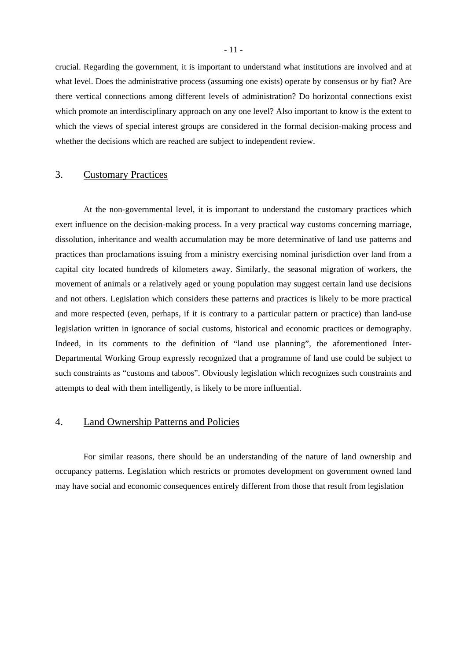crucial. Regarding the government, it is important to understand what institutions are involved and at what level. Does the administrative process (assuming one exists) operate by consensus or by fiat? Are there vertical connections among different levels of administration? Do horizontal connections exist which promote an interdisciplinary approach on any one level? Also important to know is the extent to which the views of special interest groups are considered in the formal decision-making process and whether the decisions which are reached are subject to independent review.

### 3. Customary Practices

At the non-governmental level, it is important to understand the customary practices which exert influence on the decision-making process. In a very practical way customs concerning marriage, dissolution, inheritance and wealth accumulation may be more determinative of land use patterns and practices than proclamations issuing from a ministry exercising nominal jurisdiction over land from a capital city located hundreds of kilometers away. Similarly, the seasonal migration of workers, the movement of animals or a relatively aged or young population may suggest certain land use decisions and not others. Legislation which considers these patterns and practices is likely to be more practical and more respected (even, perhaps, if it is contrary to a particular pattern or practice) than land-use legislation written in ignorance of social customs, historical and economic practices or demography. Indeed, in its comments to the definition of "land use planning", the aforementioned Inter-Departmental Working Group expressly recognized that a programme of land use could be subject to such constraints as "customs and taboos". Obviously legislation which recognizes such constraints and attempts to deal with them intelligently, is likely to be more influential.

## 4. Land Ownership Patterns and Policies

For similar reasons, there should be an understanding of the nature of land ownership and occupancy patterns. Legislation which restricts or promotes development on government owned land may have social and economic consequences entirely different from those that result from legislation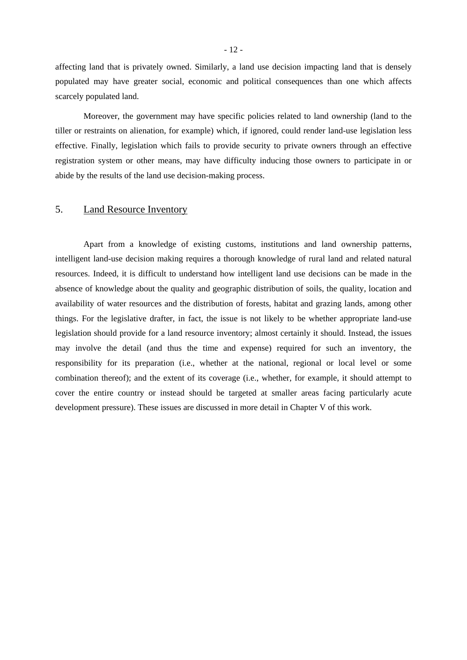affecting land that is privately owned. Similarly, a land use decision impacting land that is densely populated may have greater social, economic and political consequences than one which affects scarcely populated land.

Moreover, the government may have specific policies related to land ownership (land to the tiller or restraints on alienation, for example) which, if ignored, could render land-use legislation less effective. Finally, legislation which fails to provide security to private owners through an effective registration system or other means, may have difficulty inducing those owners to participate in or abide by the results of the land use decision-making process.

#### 5. Land Resource Inventory

Apart from a knowledge of existing customs, institutions and land ownership patterns, intelligent land-use decision making requires a thorough knowledge of rural land and related natural resources. Indeed, it is difficult to understand how intelligent land use decisions can be made in the absence of knowledge about the quality and geographic distribution of soils, the quality, location and availability of water resources and the distribution of forests, habitat and grazing lands, among other things. For the legislative drafter, in fact, the issue is not likely to be whether appropriate land-use legislation should provide for a land resource inventory; almost certainly it should. Instead, the issues may involve the detail (and thus the time and expense) required for such an inventory, the responsibility for its preparation (i.e., whether at the national, regional or local level or some combination thereof); and the extent of its coverage (i.e., whether, for example, it should attempt to cover the entire country or instead should be targeted at smaller areas facing particularly acute development pressure). These issues are discussed in more detail in Chapter V of this work.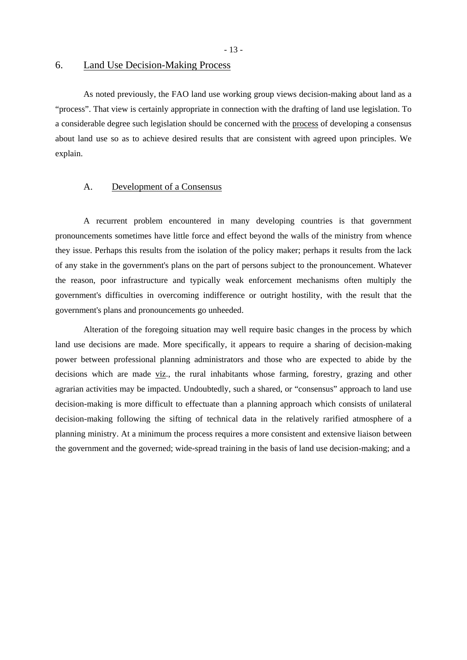- 13 -

## 6. Land Use Decision-Making Process

As noted previously, the FAO land use working group views decision-making about land as a "process". That view is certainly appropriate in connection with the drafting of land use legislation. To a considerable degree such legislation should be concerned with the process of developing a consensus about land use so as to achieve desired results that are consistent with agreed upon principles. We explain.

#### A. Development of a Consensus

A recurrent problem encountered in many developing countries is that government pronouncements sometimes have little force and effect beyond the walls of the ministry from whence they issue. Perhaps this results from the isolation of the policy maker; perhaps it results from the lack of any stake in the government's plans on the part of persons subject to the pronouncement. Whatever the reason, poor infrastructure and typically weak enforcement mechanisms often multiply the government's difficulties in overcoming indifference or outright hostility, with the result that the government's plans and pronouncements go unheeded.

Alteration of the foregoing situation may well require basic changes in the process by which land use decisions are made. More specifically, it appears to require a sharing of decision-making power between professional planning administrators and those who are expected to abide by the decisions which are made viz., the rural inhabitants whose farming, forestry, grazing and other agrarian activities may be impacted. Undoubtedly, such a shared, or "consensus" approach to land use decision-making is more difficult to effectuate than a planning approach which consists of unilateral decision-making following the sifting of technical data in the relatively rarified atmosphere of a planning ministry. At a minimum the process requires a more consistent and extensive liaison between the government and the governed; wide-spread training in the basis of land use decision-making; and a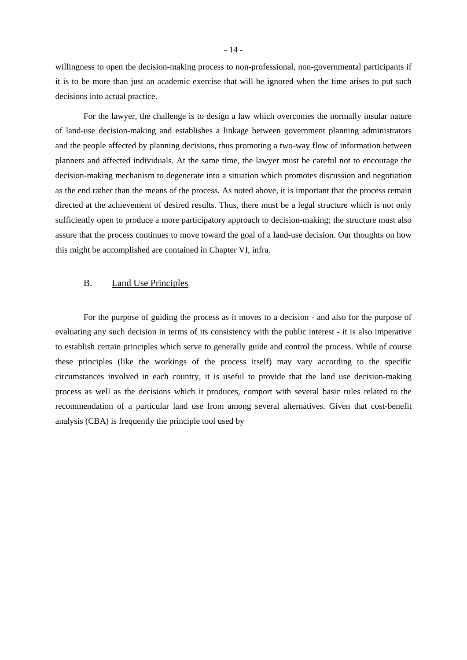willingness to open the decision-making process to non-professional, non-governmental participants if it is to be more than just an academic exercise that will be ignored when the time arises to put such decisions into actual practice.

For the lawyer, the challenge is to design a law which overcomes the normally insular nature of land-use decision-making and establishes a linkage between government planning administrators and the people affected by planning decisions, thus promoting a two-way flow of information between planners and affected individuals. At the same time, the lawyer must be careful not to encourage the decision-making mechanism to degenerate into a situation which promotes discussion and negotiation as the end rather than the means of the process. As noted above, it is important that the process remain directed at the achievement of desired results. Thus, there must be a legal structure which is not only sufficiently open to produce a more participatory approach to decision-making; the structure must also assure that the process continues to move toward the goal of a land-use decision. Our thoughts on how this might be accomplished are contained in Chapter VI, infra.

#### B. Land Use Principles

For the purpose of guiding the process as it moves to a decision - and also for the purpose of evaluating any such decision in terms of its consistency with the public interest - it is also imperative to establish certain principles which serve to generally guide and control the process. While of course these principles (like the workings of the process itself) may vary according to the specific circumstances involved in each country, it is useful to provide that the land use decision-making process as well as the decisions which it produces, comport with several basic rules related to the recommendation of a particular land use from among several alternatives. Given that cost-benefit analysis (CBA) is frequently the principle tool used by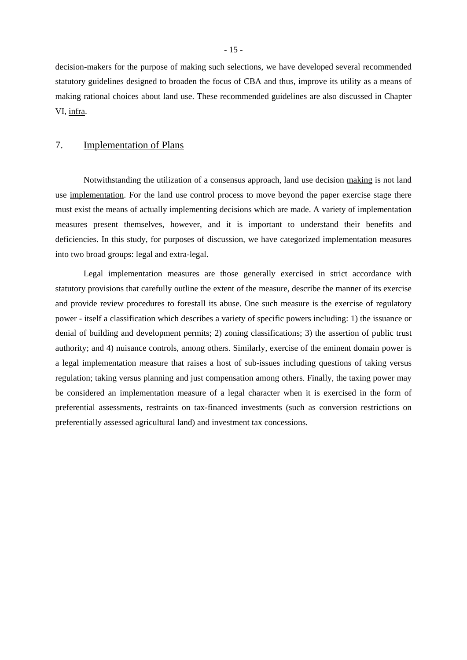decision-makers for the purpose of making such selections, we have developed several recommended statutory guidelines designed to broaden the focus of CBA and thus, improve its utility as a means of making rational choices about land use. These recommended guidelines are also discussed in Chapter VI, infra.

## 7. Implementation of Plans

Notwithstanding the utilization of a consensus approach, land use decision making is not land use implementation. For the land use control process to move beyond the paper exercise stage there must exist the means of actually implementing decisions which are made. A variety of implementation measures present themselves, however, and it is important to understand their benefits and deficiencies. In this study, for purposes of discussion, we have categorized implementation measures into two broad groups: legal and extra-legal.

Legal implementation measures are those generally exercised in strict accordance with statutory provisions that carefully outline the extent of the measure, describe the manner of its exercise and provide review procedures to forestall its abuse. One such measure is the exercise of regulatory power - itself a classification which describes a variety of specific powers including: 1) the issuance or denial of building and development permits; 2) zoning classifications; 3) the assertion of public trust authority; and 4) nuisance controls, among others. Similarly, exercise of the eminent domain power is a legal implementation measure that raises a host of sub-issues including questions of taking versus regulation; taking versus planning and just compensation among others. Finally, the taxing power may be considered an implementation measure of a legal character when it is exercised in the form of preferential assessments, restraints on tax-financed investments (such as conversion restrictions on preferentially assessed agricultural land) and investment tax concessions.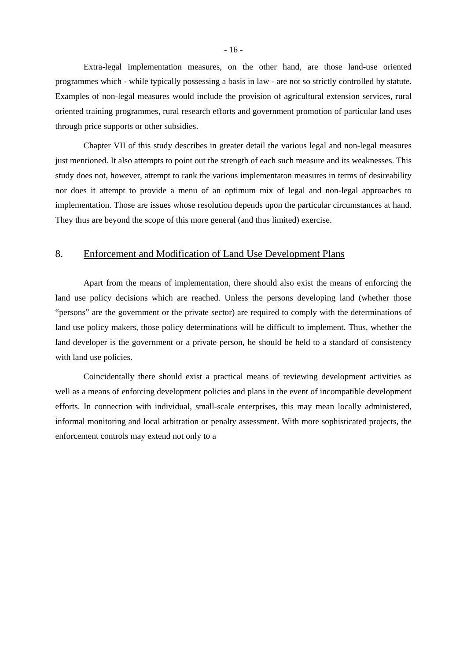Extra-legal implementation measures, on the other hand, are those land-use oriented programmes which - while typically possessing a basis in law - are not so strictly controlled by statute. Examples of non-legal measures would include the provision of agricultural extension services, rural oriented training programmes, rural research efforts and government promotion of particular land uses through price supports or other subsidies.

Chapter VII of this study describes in greater detail the various legal and non-legal measures just mentioned. It also attempts to point out the strength of each such measure and its weaknesses. This study does not, however, attempt to rank the various implementaton measures in terms of desireability nor does it attempt to provide a menu of an optimum mix of legal and non-legal approaches to implementation. Those are issues whose resolution depends upon the particular circumstances at hand. They thus are beyond the scope of this more general (and thus limited) exercise.

## 8. Enforcement and Modification of Land Use Development Plans

Apart from the means of implementation, there should also exist the means of enforcing the land use policy decisions which are reached. Unless the persons developing land (whether those "persons" are the government or the private sector) are required to comply with the determinations of land use policy makers, those policy determinations will be difficult to implement. Thus, whether the land developer is the government or a private person, he should be held to a standard of consistency with land use policies.

Coincidentally there should exist a practical means of reviewing development activities as well as a means of enforcing development policies and plans in the event of incompatible development efforts. In connection with individual, small-scale enterprises, this may mean locally administered, informal monitoring and local arbitration or penalty assessment. With more sophisticated projects, the enforcement controls may extend not only to a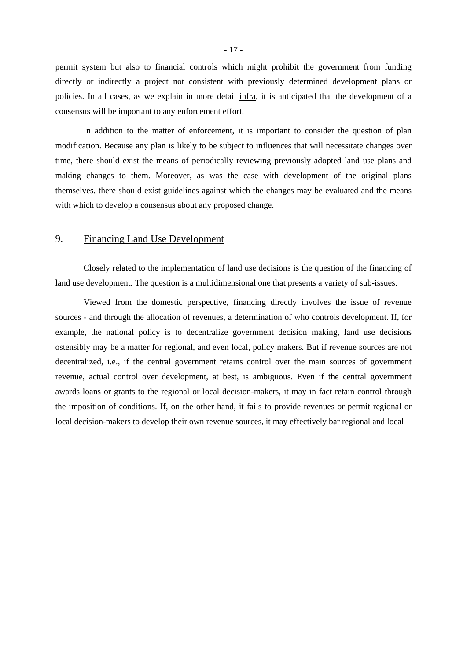permit system but also to financial controls which might prohibit the government from funding directly or indirectly a project not consistent with previously determined development plans or policies. In all cases, as we explain in more detail infra, it is anticipated that the development of a consensus will be important to any enforcement effort.

In addition to the matter of enforcement, it is important to consider the question of plan modification. Because any plan is likely to be subject to influences that will necessitate changes over time, there should exist the means of periodically reviewing previously adopted land use plans and making changes to them. Moreover, as was the case with development of the original plans themselves, there should exist guidelines against which the changes may be evaluated and the means with which to develop a consensus about any proposed change.

## 9. Financing Land Use Development

Closely related to the implementation of land use decisions is the question of the financing of land use development. The question is a multidimensional one that presents a variety of sub-issues.

Viewed from the domestic perspective, financing directly involves the issue of revenue sources - and through the allocation of revenues, a determination of who controls development. If, for example, the national policy is to decentralize government decision making, land use decisions ostensibly may be a matter for regional, and even local, policy makers. But if revenue sources are not decentralized, *i.e.*, if the central government retains control over the main sources of government revenue, actual control over development, at best, is ambiguous. Even if the central government awards loans or grants to the regional or local decision-makers, it may in fact retain control through the imposition of conditions. If, on the other hand, it fails to provide revenues or permit regional or local decision-makers to develop their own revenue sources, it may effectively bar regional and local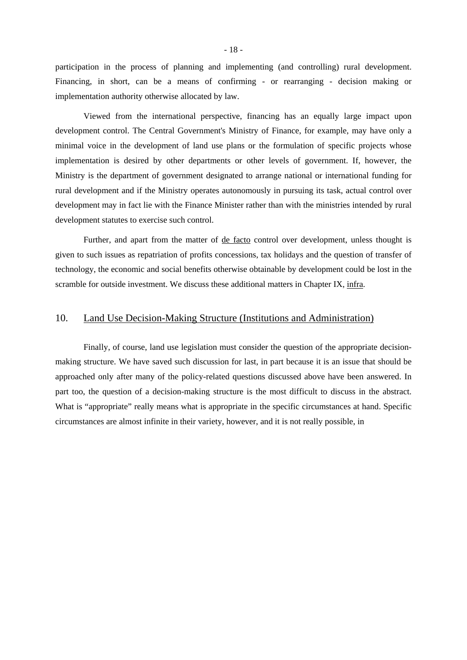participation in the process of planning and implementing (and controlling) rural development. Financing, in short, can be a means of confirming - or rearranging - decision making or implementation authority otherwise allocated by law.

Viewed from the international perspective, financing has an equally large impact upon development control. The Central Government's Ministry of Finance, for example, may have only a minimal voice in the development of land use plans or the formulation of specific projects whose implementation is desired by other departments or other levels of government. If, however, the Ministry is the department of government designated to arrange national or international funding for rural development and if the Ministry operates autonomously in pursuing its task, actual control over development may in fact lie with the Finance Minister rather than with the ministries intended by rural development statutes to exercise such control.

Further, and apart from the matter of <u>de facto</u> control over development, unless thought is given to such issues as repatriation of profits concessions, tax holidays and the question of transfer of technology, the economic and social benefits otherwise obtainable by development could be lost in the scramble for outside investment. We discuss these additional matters in Chapter IX, infra.

## 10. Land Use Decision-Making Structure (Institutions and Administration)

Finally, of course, land use legislation must consider the question of the appropriate decisionmaking structure. We have saved such discussion for last, in part because it is an issue that should be approached only after many of the policy-related questions discussed above have been answered. In part too, the question of a decision-making structure is the most difficult to discuss in the abstract. What is "appropriate" really means what is appropriate in the specific circumstances at hand. Specific circumstances are almost infinite in their variety, however, and it is not really possible, in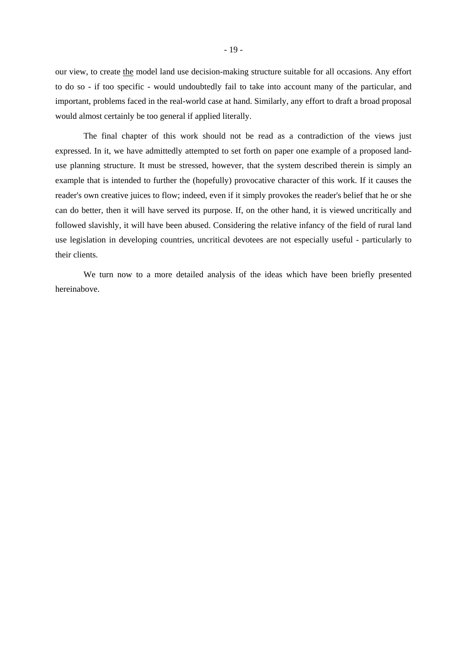our view, to create the model land use decision-making structure suitable for all occasions. Any effort to do so - if too specific - would undoubtedly fail to take into account many of the particular, and important, problems faced in the real-world case at hand. Similarly, any effort to draft a broad proposal would almost certainly be too general if applied literally.

The final chapter of this work should not be read as a contradiction of the views just expressed. In it, we have admittedly attempted to set forth on paper one example of a proposed landuse planning structure. It must be stressed, however, that the system described therein is simply an example that is intended to further the (hopefully) provocative character of this work. If it causes the reader's own creative juices to flow; indeed, even if it simply provokes the reader's belief that he or she can do better, then it will have served its purpose. If, on the other hand, it is viewed uncritically and followed slavishly, it will have been abused. Considering the relative infancy of the field of rural land use legislation in developing countries, uncritical devotees are not especially useful - particularly to their clients.

We turn now to a more detailed analysis of the ideas which have been briefly presented hereinabove.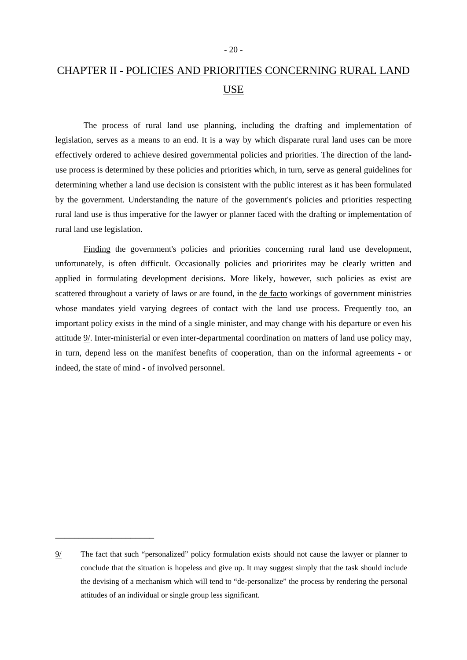# CHAPTER II - POLICIES AND PRIORITIES CONCERNING RURAL LAND USE

The process of rural land use planning, including the drafting and implementation of legislation, serves as a means to an end. It is a way by which disparate rural land uses can be more effectively ordered to achieve desired governmental policies and priorities. The direction of the landuse process is determined by these policies and priorities which, in turn, serve as general guidelines for determining whether a land use decision is consistent with the public interest as it has been formulated by the government. Understanding the nature of the government's policies and priorities respecting rural land use is thus imperative for the lawyer or planner faced with the drafting or implementation of rural land use legislation.

Finding the government's policies and priorities concerning rural land use development, unfortunately, is often difficult. Occasionally policies and priorirites may be clearly written and applied in formulating development decisions. More likely, however, such policies as exist are scattered throughout a variety of laws or are found, in the de facto workings of government ministries whose mandates yield varying degrees of contact with the land use process. Frequently too, an important policy exists in the mind of a single minister, and may change with his departure or even his attitude 9/. Inter-ministerial or even inter-departmental coordination on matters of land use policy may, in turn, depend less on the manifest benefits of cooperation, than on the informal agreements - or indeed, the state of mind - of involved personnel.

\_\_\_\_\_\_\_\_\_\_\_\_\_\_\_\_\_\_\_\_\_

<sup>9/</sup> The fact that such "personalized" policy formulation exists should not cause the lawyer or planner to conclude that the situation is hopeless and give up. It may suggest simply that the task should include the devising of a mechanism which will tend to "de-personalize" the process by rendering the personal attitudes of an individual or single group less significant.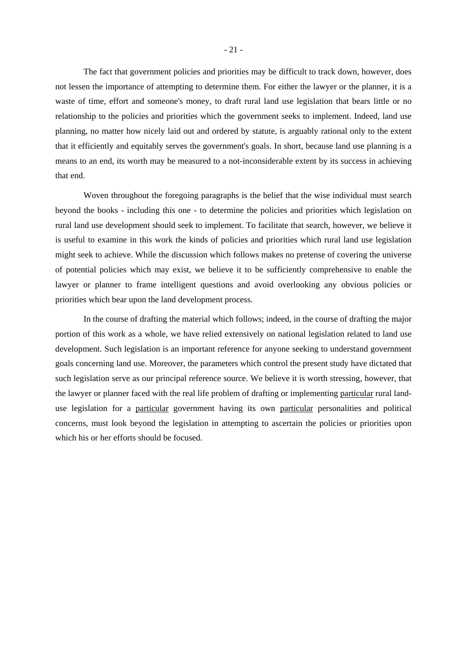The fact that government policies and priorities may be difficult to track down, however, does not lessen the importance of attempting to determine them. For either the lawyer or the planner, it is a waste of time, effort and someone's money, to draft rural land use legislation that bears little or no relationship to the policies and priorities which the government seeks to implement. Indeed, land use planning, no matter how nicely laid out and ordered by statute, is arguably rational only to the extent that it efficiently and equitably serves the government's goals. In short, because land use planning is a means to an end, its worth may be measured to a not-inconsiderable extent by its success in achieving that end.

Woven throughout the foregoing paragraphs is the belief that the wise individual must search beyond the books - including this one - to determine the policies and priorities which legislation on rural land use development should seek to implement. To facilitate that search, however, we believe it is useful to examine in this work the kinds of policies and priorities which rural land use legislation might seek to achieve. While the discussion which follows makes no pretense of covering the universe of potential policies which may exist, we believe it to be sufficiently comprehensive to enable the lawyer or planner to frame intelligent questions and avoid overlooking any obvious policies or priorities which bear upon the land development process.

In the course of drafting the material which follows; indeed, in the course of drafting the major portion of this work as a whole, we have relied extensively on national legislation related to land use development. Such legislation is an important reference for anyone seeking to understand government goals concerning land use. Moreover, the parameters which control the present study have dictated that such legislation serve as our principal reference source. We believe it is worth stressing, however, that the lawyer or planner faced with the real life problem of drafting or implementing particular rural landuse legislation for a particular government having its own particular personalities and political concerns, must look beyond the legislation in attempting to ascertain the policies or priorities upon which his or her efforts should be focused.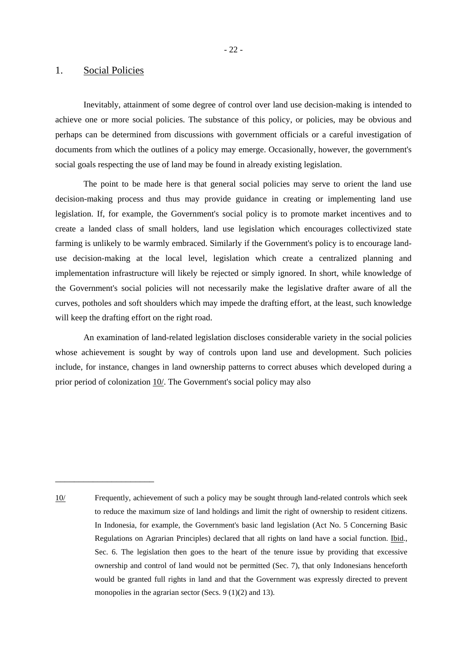#### 1. Social Policies

\_\_\_\_\_\_\_\_\_\_\_\_\_\_\_\_\_\_\_\_\_

Inevitably, attainment of some degree of control over land use decision-making is intended to achieve one or more social policies. The substance of this policy, or policies, may be obvious and perhaps can be determined from discussions with government officials or a careful investigation of documents from which the outlines of a policy may emerge. Occasionally, however, the government's social goals respecting the use of land may be found in already existing legislation.

The point to be made here is that general social policies may serve to orient the land use decision-making process and thus may provide guidance in creating or implementing land use legislation. If, for example, the Government's social policy is to promote market incentives and to create a landed class of small holders, land use legislation which encourages collectivized state farming is unlikely to be warmly embraced. Similarly if the Government's policy is to encourage landuse decision-making at the local level, legislation which create a centralized planning and implementation infrastructure will likely be rejected or simply ignored. In short, while knowledge of the Government's social policies will not necessarily make the legislative drafter aware of all the curves, potholes and soft shoulders which may impede the drafting effort, at the least, such knowledge will keep the drafting effort on the right road.

An examination of land-related legislation discloses considerable variety in the social policies whose achievement is sought by way of controls upon land use and development. Such policies include, for instance, changes in land ownership patterns to correct abuses which developed during a prior period of colonization 10/. The Government's social policy may also

10/ Frequently, achievement of such a policy may be sought through land-related controls which seek to reduce the maximum size of land holdings and limit the right of ownership to resident citizens. In Indonesia, for example, the Government's basic land legislation (Act No. 5 Concerning Basic Regulations on Agrarian Principles) declared that all rights on land have a social function. Ibid., Sec. 6. The legislation then goes to the heart of the tenure issue by providing that excessive ownership and control of land would not be permitted (Sec. 7), that only Indonesians henceforth would be granted full rights in land and that the Government was expressly directed to prevent monopolies in the agrarian sector (Secs. 9 (1)(2) and 13).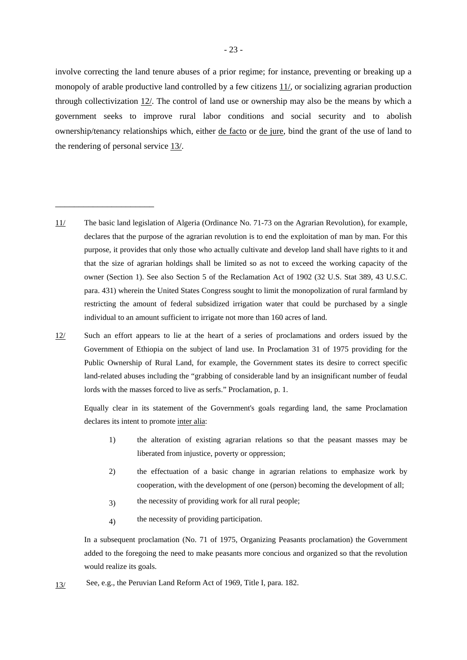involve correcting the land tenure abuses of a prior regime; for instance, preventing or breaking up a monopoly of arable productive land controlled by a few citizens 11/, or socializing agrarian production through collectivization 12/. The control of land use or ownership may also be the means by which a government seeks to improve rural labor conditions and social security and to abolish ownership/tenancy relationships which, either de facto or de jure, bind the grant of the use of land to the rendering of personal service 13/.

11/ The basic land legislation of Algeria (Ordinance No. 71-73 on the Agrarian Revolution), for example, declares that the purpose of the agrarian revolution is to end the exploitation of man by man. For this purpose, it provides that only those who actually cultivate and develop land shall have rights to it and that the size of agrarian holdings shall be limited so as not to exceed the working capacity of the owner (Section 1). See also Section 5 of the Reclamation Act of 1902 (32 U.S. Stat 389, 43 U.S.C. para. 431) wherein the United States Congress sought to limit the monopolization of rural farmland by restricting the amount of federal subsidized irrigation water that could be purchased by a single individual to an amount sufficient to irrigate not more than 160 acres of land.

\_\_\_\_\_\_\_\_\_\_\_\_\_\_\_\_\_\_\_\_\_

Such an effort appears to lie at the heart of a series of proclamations and orders issued by the Government of Ethiopia on the subject of land use. In Proclamation 31 of 1975 providing for the Public Ownership of Rural Land, for example, the Government states its desire to correct specific land-related abuses including the "grabbing of considerable land by an insignificant number of feudal lords with the masses forced to live as serfs." Proclamation, p. 1. 12/

Equally clear in its statement of the Government's goals regarding land, the same Proclamation declares its intent to promote inter alia:

- 1) the alteration of existing agrarian relations so that the peasant masses may be liberated from injustice, poverty or oppression;
- 2) the effectuation of a basic change in agrarian relations to emphasize work by cooperation, with the development of one (person) becoming the development of all;
- 3) the necessity of providing work for all rural people;
- 4) the necessity of providing participation.

 In a subsequent proclamation (No. 71 of 1975, Organizing Peasants proclamation) the Government added to the foregoing the need to make peasants more concious and organized so that the revolution would realize its goals.

13/ See, e.g., the Peruvian Land Reform Act of 1969, Title I, para. 182.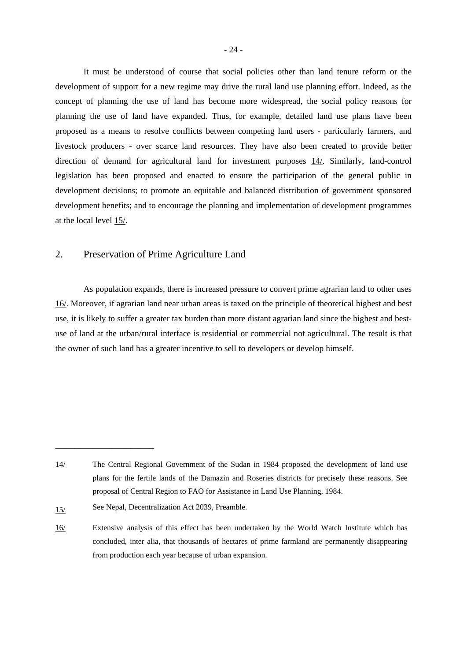It must be understood of course that social policies other than land tenure reform or the development of support for a new regime may drive the rural land use planning effort. Indeed, as the concept of planning the use of land has become more widespread, the social policy reasons for planning the use of land have expanded. Thus, for example, detailed land use plans have been proposed as a means to resolve conflicts between competing land users - particularly farmers, and livestock producers - over scarce land resources. They have also been created to provide better direction of demand for agricultural land for investment purposes 14/. Similarly, land-control legislation has been proposed and enacted to ensure the participation of the general public in development decisions; to promote an equitable and balanced distribution of government sponsored development benefits; and to encourage the planning and implementation of development programmes at the local level 15/.

## 2. Preservation of Prime Agriculture Land

As population expands, there is increased pressure to convert prime agrarian land to other uses 16/. Moreover, if agrarian land near urban areas is taxed on the principle of theoretical highest and best use, it is likely to suffer a greater tax burden than more distant agrarian land since the highest and bestuse of land at the urban/rural interface is residential or commercial not agricultural. The result is that the owner of such land has a greater incentive to sell to developers or develop himself.

\_\_\_\_\_\_\_\_\_\_\_\_\_\_\_\_\_\_\_\_\_

<sup>14/</sup> The Central Regional Government of the Sudan in 1984 proposed the development of land use plans for the fertile lands of the Damazin and Roseries districts for precisely these reasons. See proposal of Central Region to FAO for Assistance in Land Use Planning, 1984.

<sup>15/</sup> See Nepal, Decentralization Act 2039, Preamble.

<sup>16/</sup> Extensive analysis of this effect has been undertaken by the World Watch Institute which has concluded, inter alia, that thousands of hectares of prime farmland are permanently disappearing from production each year because of urban expansion.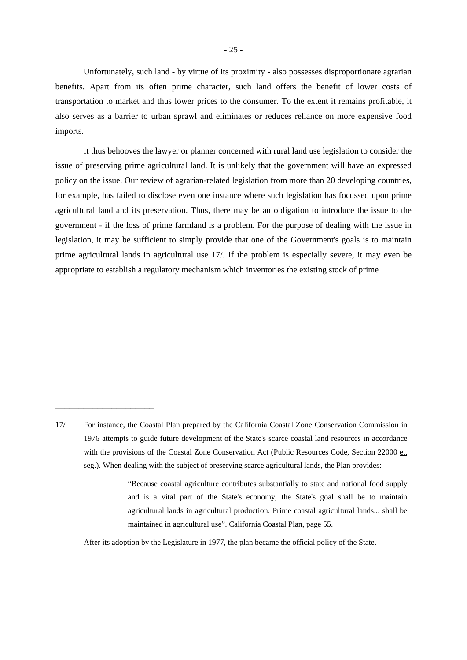Unfortunately, such land - by virtue of its proximity - also possesses disproportionate agrarian benefits. Apart from its often prime character, such land offers the benefit of lower costs of transportation to market and thus lower prices to the consumer. To the extent it remains profitable, it also serves as a barrier to urban sprawl and eliminates or reduces reliance on more expensive food imports.

It thus behooves the lawyer or planner concerned with rural land use legislation to consider the issue of preserving prime agricultural land. It is unlikely that the government will have an expressed policy on the issue. Our review of agrarian-related legislation from more than 20 developing countries, for example, has failed to disclose even one instance where such legislation has focussed upon prime agricultural land and its preservation. Thus, there may be an obligation to introduce the issue to the government - if the loss of prime farmland is a problem. For the purpose of dealing with the issue in legislation, it may be sufficient to simply provide that one of the Government's goals is to maintain prime agricultural lands in agricultural use 17/. If the problem is especially severe, it may even be appropriate to establish a regulatory mechanism which inventories the existing stock of prime

\_\_\_\_\_\_\_\_\_\_\_\_\_\_\_\_\_\_\_\_\_

 "Because coastal agriculture contributes substantially to state and national food supply and is a vital part of the State's economy, the State's goal shall be to maintain agricultural lands in agricultural production. Prime coastal agricultural lands... shall be maintained in agricultural use". California Coastal Plan, page 55.

After its adoption by the Legislature in 1977, the plan became the official policy of the State.

<sup>17/</sup> For instance, the Coastal Plan prepared by the California Coastal Zone Conservation Commission in 1976 attempts to guide future development of the State's scarce coastal land resources in accordance with the provisions of the Coastal Zone Conservation Act (Public Resources Code, Section 22000 et. seg.). When dealing with the subject of preserving scarce agricultural lands, the Plan provides: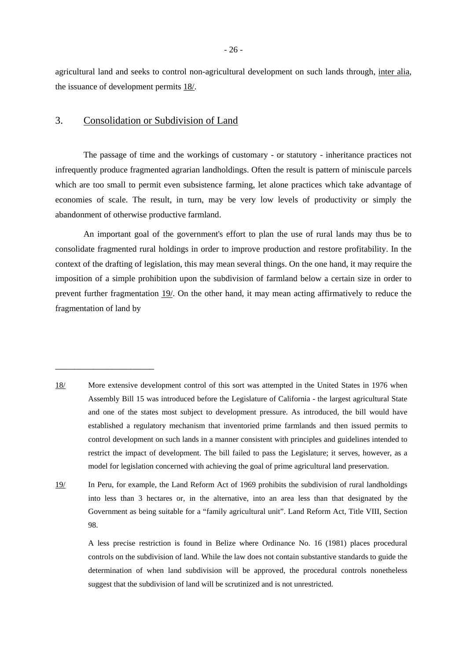agricultural land and seeks to control non-agricultural development on such lands through, inter alia, the issuance of development permits 18/.

## 3. Consolidation or Subdivision of Land

\_\_\_\_\_\_\_\_\_\_\_\_\_\_\_\_\_\_\_\_\_

The passage of time and the workings of customary - or statutory - inheritance practices not infrequently produce fragmented agrarian landholdings. Often the result is pattern of miniscule parcels which are too small to permit even subsistence farming, let alone practices which take advantage of economies of scale. The result, in turn, may be very low levels of productivity or simply the abandonment of otherwise productive farmland.

An important goal of the government's effort to plan the use of rural lands may thus be to consolidate fragmented rural holdings in order to improve production and restore profitability. In the context of the drafting of legislation, this may mean several things. On the one hand, it may require the imposition of a simple prohibition upon the subdivision of farmland below a certain size in order to prevent further fragmentation 19/. On the other hand, it may mean acting affirmatively to reduce the fragmentation of land by

- 18/ More extensive development control of this sort was attempted in the United States in 1976 when Assembly Bill 15 was introduced before the Legislature of California - the largest agricultural State and one of the states most subject to development pressure. As introduced, the bill would have established a regulatory mechanism that inventoried prime farmlands and then issued permits to control development on such lands in a manner consistent with principles and guidelines intended to restrict the impact of development. The bill failed to pass the Legislature; it serves, however, as a model for legislation concerned with achieving the goal of prime agricultural land preservation.
- 19/ In Peru, for example, the Land Reform Act of 1969 prohibits the subdivision of rural landholdings into less than 3 hectares or, in the alternative, into an area less than that designated by the Government as being suitable for a "family agricultural unit". Land Reform Act, Title VIII, Section 98.

A less precise restriction is found in Belize where Ordinance No. 16 (1981) places procedural controls on the subdivision of land. While the law does not contain substantive standards to guide the determination of when land subdivision will be approved, the procedural controls nonetheless suggest that the subdivision of land will be scrutinized and is not unrestricted.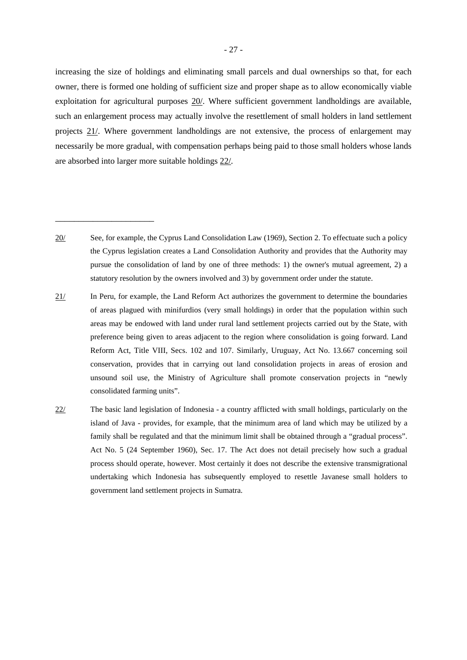increasing the size of holdings and eliminating small parcels and dual ownerships so that, for each owner, there is formed one holding of sufficient size and proper shape as to allow economically viable exploitation for agricultural purposes 20/. Where sufficient government landholdings are available, such an enlargement process may actually involve the resettlement of small holders in land settlement projects 21/. Where government landholdings are not extensive, the process of enlargement may necessarily be more gradual, with compensation perhaps being paid to those small holders whose lands are absorbed into larger more suitable holdings 22/.

20/ See, for example, the Cyprus Land Consolidation Law (1969), Section 2. To effectuate such a policy the Cyprus legislation creates a Land Consolidation Authority and provides that the Authority may pursue the consolidation of land by one of three methods: 1) the owner's mutual agreement, 2) a statutory resolution by the owners involved and 3) by government order under the statute.

\_\_\_\_\_\_\_\_\_\_\_\_\_\_\_\_\_\_\_\_\_

- 21/ In Peru, for example, the Land Reform Act authorizes the government to determine the boundaries of areas plagued with minifurdios (very small holdings) in order that the population within such areas may be endowed with land under rural land settlement projects carried out by the State, with preference being given to areas adjacent to the region where consolidation is going forward. Land Reform Act, Title VIII, Secs. 102 and 107. Similarly, Uruguay, Act No. 13.667 concerning soil conservation, provides that in carrying out land consolidation projects in areas of erosion and unsound soil use, the Ministry of Agriculture shall promote conservation projects in "newly consolidated farming units".
- 22/ The basic land legislation of Indonesia a country afflicted with small holdings, particularly on the island of Java - provides, for example, that the minimum area of land which may be utilized by a family shall be regulated and that the minimum limit shall be obtained through a "gradual process". Act No. 5 (24 September 1960), Sec. 17. The Act does not detail precisely how such a gradual process should operate, however. Most certainly it does not describe the extensive transmigrational undertaking which Indonesia has subsequently employed to resettle Javanese small holders to government land settlement projects in Sumatra.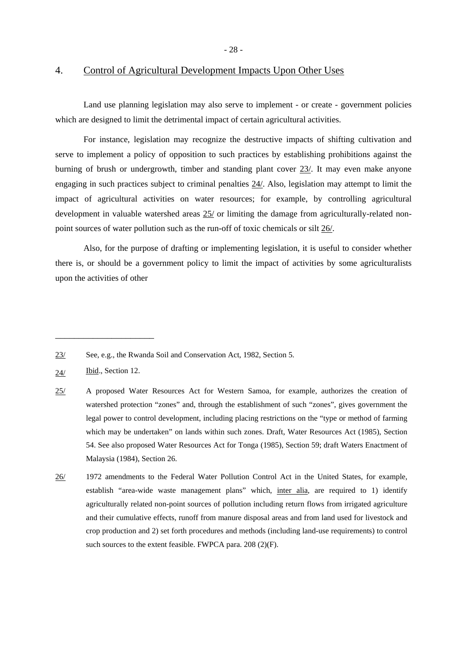- 28 -

### 4. Control of Agricultural Development Impacts Upon Other Uses

Land use planning legislation may also serve to implement - or create - government policies which are designed to limit the detrimental impact of certain agricultural activities.

For instance, legislation may recognize the destructive impacts of shifting cultivation and serve to implement a policy of opposition to such practices by establishing prohibitions against the burning of brush or undergrowth, timber and standing plant cover 23/. It may even make anyone engaging in such practices subject to criminal penalties 24/. Also, legislation may attempt to limit the impact of agricultural activities on water resources; for example, by controlling agricultural development in valuable watershed areas 25/ or limiting the damage from agriculturally-related nonpoint sources of water pollution such as the run-off of toxic chemicals or silt 26/.

Also, for the purpose of drafting or implementing legislation, it is useful to consider whether there is, or should be a government policy to limit the impact of activities by some agriculturalists upon the activities of other

\_\_\_\_\_\_\_\_\_\_\_\_\_\_\_\_\_\_\_\_\_

<sup>23/</sup> See, e.g., the Rwanda Soil and Conservation Act, 1982, Section 5.

<sup>24/</sup> Ibid., Section 12.

<sup>25/</sup> A proposed Water Resources Act for Western Samoa, for example, authorizes the creation of watershed protection "zones" and, through the establishment of such "zones", gives government the legal power to control development, including placing restrictions on the "type or method of farming which may be undertaken" on lands within such zones. Draft, Water Resources Act (1985), Section 54. See also proposed Water Resources Act for Tonga (1985), Section 59; draft Waters Enactment of Malaysia (1984), Section 26.

<sup>26/ 1972</sup> amendments to the Federal Water Pollution Control Act in the United States, for example, establish "area-wide waste management plans" which, inter alia, are required to 1) identify agriculturally related non-point sources of pollution including return flows from irrigated agriculture and their cumulative effects, runoff from manure disposal areas and from land used for livestock and crop production and 2) set forth procedures and methods (including land-use requirements) to control such sources to the extent feasible. FWPCA para. 208 (2)(F).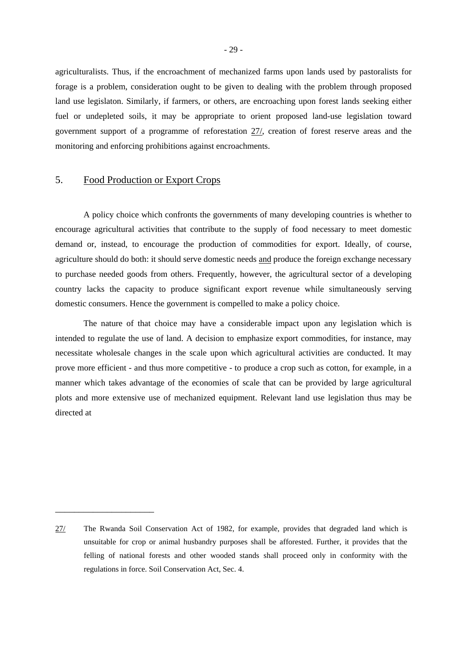agriculturalists. Thus, if the encroachment of mechanized farms upon lands used by pastoralists for forage is a problem, consideration ought to be given to dealing with the problem through proposed land use legislaton. Similarly, if farmers, or others, are encroaching upon forest lands seeking either fuel or undepleted soils, it may be appropriate to orient proposed land-use legislation toward government support of a programme of reforestation 27/, creation of forest reserve areas and the monitoring and enforcing prohibitions against encroachments.

## 5. Food Production or Export Crops

\_\_\_\_\_\_\_\_\_\_\_\_\_\_\_\_\_\_\_\_\_

A policy choice which confronts the governments of many developing countries is whether to encourage agricultural activities that contribute to the supply of food necessary to meet domestic demand or, instead, to encourage the production of commodities for export. Ideally, of course, agriculture should do both: it should serve domestic needs and produce the foreign exchange necessary to purchase needed goods from others. Frequently, however, the agricultural sector of a developing country lacks the capacity to produce significant export revenue while simultaneously serving domestic consumers. Hence the government is compelled to make a policy choice.

The nature of that choice may have a considerable impact upon any legislation which is intended to regulate the use of land. A decision to emphasize export commodities, for instance, may necessitate wholesale changes in the scale upon which agricultural activities are conducted. It may prove more efficient - and thus more competitive - to produce a crop such as cotton, for example, in a manner which takes advantage of the economies of scale that can be provided by large agricultural plots and more extensive use of mechanized equipment. Relevant land use legislation thus may be directed at

<sup>27/</sup> The Rwanda Soil Conservation Act of 1982, for example, provides that degraded land which is unsuitable for crop or animal husbandry purposes shall be afforested. Further, it provides that the felling of national forests and other wooded stands shall proceed only in conformity with the regulations in force. Soil Conservation Act, Sec. 4.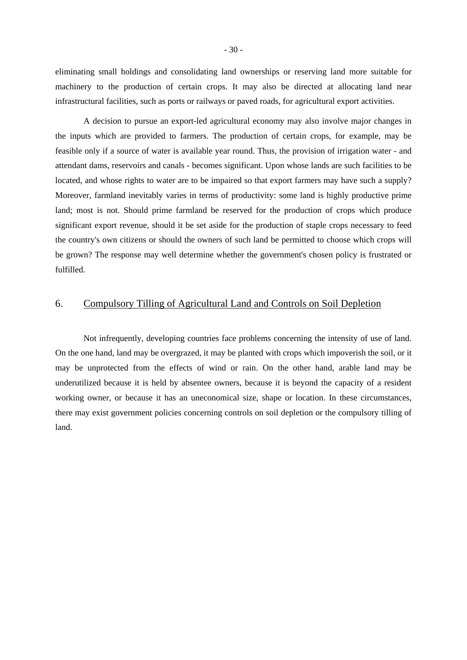eliminating small holdings and consolidating land ownerships or reserving land more suitable for machinery to the production of certain crops. It may also be directed at allocating land near infrastructural facilities, such as ports or railways or paved roads, for agricultural export activities.

A decision to pursue an export-led agricultural economy may also involve major changes in the inputs which are provided to farmers. The production of certain crops, for example, may be feasible only if a source of water is available year round. Thus, the provision of irrigation water - and attendant dams, reservoirs and canals - becomes significant. Upon whose lands are such facilities to be located, and whose rights to water are to be impaired so that export farmers may have such a supply? Moreover, farmland inevitably varies in terms of productivity: some land is highly productive prime land; most is not. Should prime farmland be reserved for the production of crops which produce significant export revenue, should it be set aside for the production of staple crops necessary to feed the country's own citizens or should the owners of such land be permitted to choose which crops will be grown? The response may well determine whether the government's chosen policy is frustrated or fulfilled.

### 6. Compulsory Tilling of Agricultural Land and Controls on Soil Depletion

Not infrequently, developing countries face problems concerning the intensity of use of land. On the one hand, land may be overgrazed, it may be planted with crops which impoverish the soil, or it may be unprotected from the effects of wind or rain. On the other hand, arable land may be underutilized because it is held by absentee owners, because it is beyond the capacity of a resident working owner, or because it has an uneconomical size, shape or location. In these circumstances, there may exist government policies concerning controls on soil depletion or the compulsory tilling of land.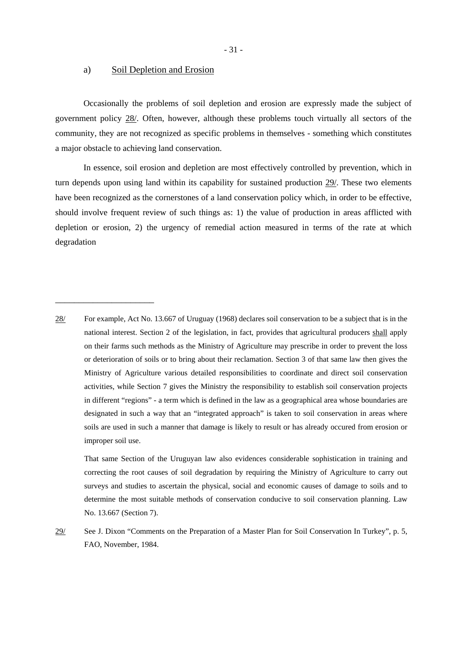#### a) Soil Depletion and Erosion

\_\_\_\_\_\_\_\_\_\_\_\_\_\_\_\_\_\_\_\_\_

Occasionally the problems of soil depletion and erosion are expressly made the subject of government policy 28/. Often, however, although these problems touch virtually all sectors of the community, they are not recognized as specific problems in themselves - something which constitutes a major obstacle to achieving land conservation.

In essence, soil erosion and depletion are most effectively controlled by prevention, which in turn depends upon using land within its capability for sustained production 29/. These two elements have been recognized as the cornerstones of a land conservation policy which, in order to be effective, should involve frequent review of such things as: 1) the value of production in areas afflicted with depletion or erosion, 2) the urgency of remedial action measured in terms of the rate at which degradation

That same Section of the Uruguyan law also evidences considerable sophistication in training and correcting the root causes of soil degradation by requiring the Ministry of Agriculture to carry out surveys and studies to ascertain the physical, social and economic causes of damage to soils and to determine the most suitable methods of conservation conducive to soil conservation planning. Law No. 13.667 (Section 7).

<sup>28/</sup> For example, Act No. 13.667 of Uruguay (1968) declares soil conservation to be a subject that is in the national interest. Section 2 of the legislation, in fact, provides that agricultural producers shall apply on their farms such methods as the Ministry of Agriculture may prescribe in order to prevent the loss or deterioration of soils or to bring about their reclamation. Section 3 of that same law then gives the Ministry of Agriculture various detailed responsibilities to coordinate and direct soil conservation activities, while Section 7 gives the Ministry the responsibility to establish soil conservation projects in different "regions" - a term which is defined in the law as a geographical area whose boundaries are designated in such a way that an "integrated approach" is taken to soil conservation in areas where soils are used in such a manner that damage is likely to result or has already occured from erosion or improper soil use.

<sup>29/</sup> See J. Dixon "Comments on the Preparation of a Master Plan for Soil Conservation In Turkey", p. 5, FAO, November, 1984.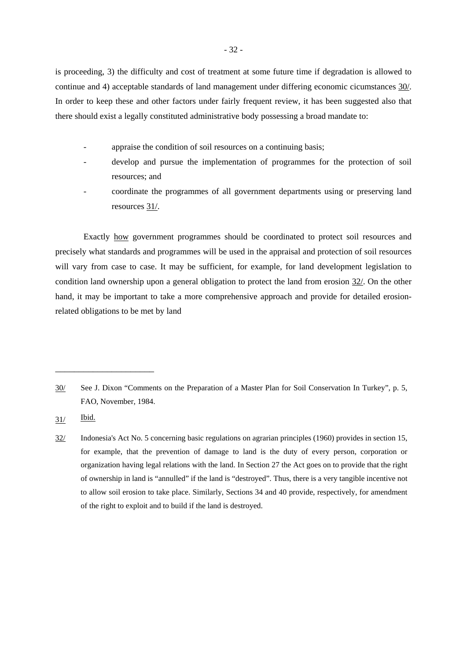is proceeding, 3) the difficulty and cost of treatment at some future time if degradation is allowed to continue and 4) acceptable standards of land management under differing economic cicumstances 30/. In order to keep these and other factors under fairly frequent review, it has been suggested also that there should exist a legally constituted administrative body possessing a broad mandate to:

- appraise the condition of soil resources on a continuing basis;
- develop and pursue the implementation of programmes for the protection of soil resources; and
- coordinate the programmes of all government departments using or preserving land resources 31/.

Exactly how government programmes should be coordinated to protect soil resources and precisely what standards and programmes will be used in the appraisal and protection of soil resources will vary from case to case. It may be sufficient, for example, for land development legislation to condition land ownership upon a general obligation to protect the land from erosion 32/. On the other hand, it may be important to take a more comprehensive approach and provide for detailed erosionrelated obligations to be met by land

<sup>30/</sup> See J. Dixon "Comments on the Preparation of a Master Plan for Soil Conservation In Turkey", p. 5, FAO, November, 1984.

<sup>31/</sup> Ibid.

<sup>32/</sup> Indonesia's Act No. 5 concerning basic regulations on agrarian principles (1960) provides in section 15, for example, that the prevention of damage to land is the duty of every person, corporation or organization having legal relations with the land. In Section 27 the Act goes on to provide that the right of ownership in land is "annulled" if the land is "destroyed". Thus, there is a very tangible incentive not to allow soil erosion to take place. Similarly, Sections 34 and 40 provide, respectively, for amendment of the right to exploit and to build if the land is destroyed.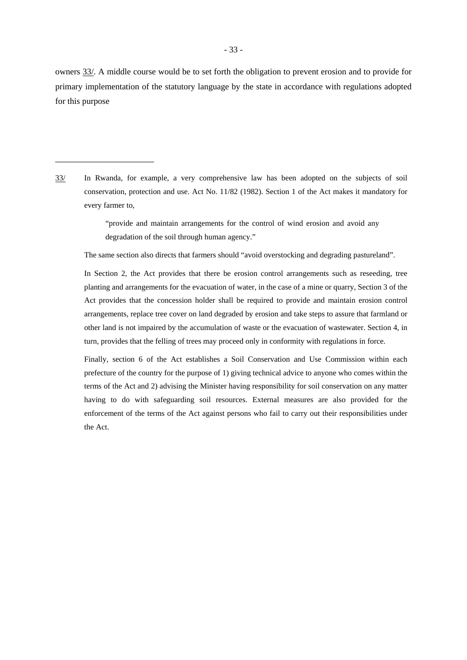owners 33/. A middle course would be to set forth the obligation to prevent erosion and to provide for primary implementation of the statutory language by the state in accordance with regulations adopted for this purpose

33/ In Rwanda, for example, a very comprehensive law has been adopted on the subjects of soil conservation, protection and use. Act No. 11/82 (1982). Section 1 of the Act makes it mandatory for every farmer to,

\_\_\_\_\_\_\_\_\_\_\_\_\_\_\_\_\_\_\_\_\_

 "provide and maintain arrangements for the control of wind erosion and avoid any degradation of the soil through human agency."

The same section also directs that farmers should "avoid overstocking and degrading pastureland".

In Section 2, the Act provides that there be erosion control arrangements such as reseeding, tree planting and arrangements for the evacuation of water, in the case of a mine or quarry, Section 3 of the Act provides that the concession holder shall be required to provide and maintain erosion control arrangements, replace tree cover on land degraded by erosion and take steps to assure that farmland or other land is not impaired by the accumulation of waste or the evacuation of wastewater. Section 4, in turn, provides that the felling of trees may proceed only in conformity with regulations in force.

Finally, section 6 of the Act establishes a Soil Conservation and Use Commission within each prefecture of the country for the purpose of 1) giving technical advice to anyone who comes within the terms of the Act and 2) advising the Minister having responsibility for soil conservation on any matter having to do with safeguarding soil resources. External measures are also provided for the enforcement of the terms of the Act against persons who fail to carry out their responsibilities under the Act.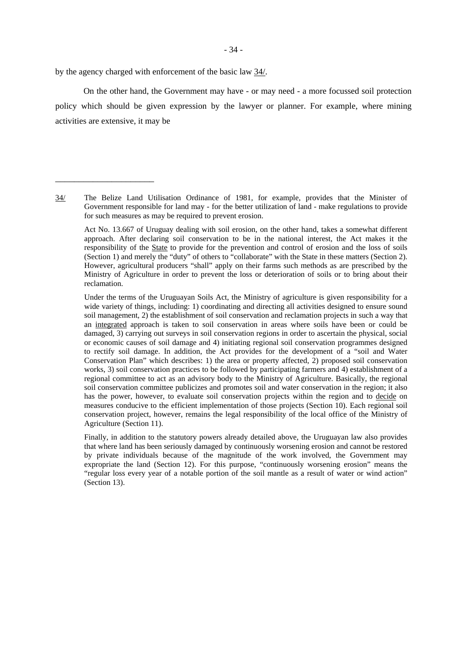by the agency charged with enforcement of the basic law 34/.

\_\_\_\_\_\_\_\_\_\_\_\_\_\_\_\_\_\_\_\_\_

On the other hand, the Government may have - or may need - a more focussed soil protection policy which should be given expression by the lawyer or planner. For example, where mining activities are extensive, it may be

Act No. 13.667 of Uruguay dealing with soil erosion, on the other hand, takes a somewhat different approach. After declaring soil conservation to be in the national interest, the Act makes it the responsibility of the **State** to provide for the prevention and control of erosion and the loss of soils (Section 1) and merely the "duty" of others to "collaborate" with the State in these matters (Section 2). However, agricultural producers "shall" apply on their farms such methods as are prescribed by the Ministry of Agriculture in order to prevent the loss or deterioration of soils or to bring about their reclamation.

Under the terms of the Uruguayan Soils Act, the Ministry of agriculture is given responsibility for a wide variety of things, including: 1) coordinating and directing all activities designed to ensure sound soil management, 2) the establishment of soil conservation and reclamation projects in such a way that an integrated approach is taken to soil conservation in areas where soils have been or could be damaged, 3) carrying out surveys in soil conservation regions in order to ascertain the physical, social or economic causes of soil damage and 4) initiating regional soil conservation programmes designed to rectify soil damage. In addition, the Act provides for the development of a "soil and Water Conservation Plan" which describes: 1) the area or property affected, 2) proposed soil conservation works, 3) soil conservation practices to be followed by participating farmers and 4) establishment of a regional committee to act as an advisory body to the Ministry of Agriculture. Basically, the regional soil conservation committee publicizes and promotes soil and water conservation in the region; it also has the power, however, to evaluate soil conservation projects within the region and to decide on measures conducive to the efficient implementation of those projects (Section 10). Each regional soil conservation project, however, remains the legal responsibility of the local office of the Ministry of Agriculture (Section 11).

Finally, in addition to the statutory powers already detailed above, the Uruguayan law also provides that where land has been seriously damaged by continuously worsening erosion and cannot be restored by private individuals because of the magnitude of the work involved, the Government may expropriate the land (Section 12). For this purpose, "continuously worsening erosion" means the "regular loss every year of a notable portion of the soil mantle as a result of water or wind action" (Section 13).

The Belize Land Utilisation Ordinance of 1981, for example, provides that the Minister of Government responsible for land may - for the better utilization of land - make regulations to provide for such measures as may be required to prevent erosion. 34/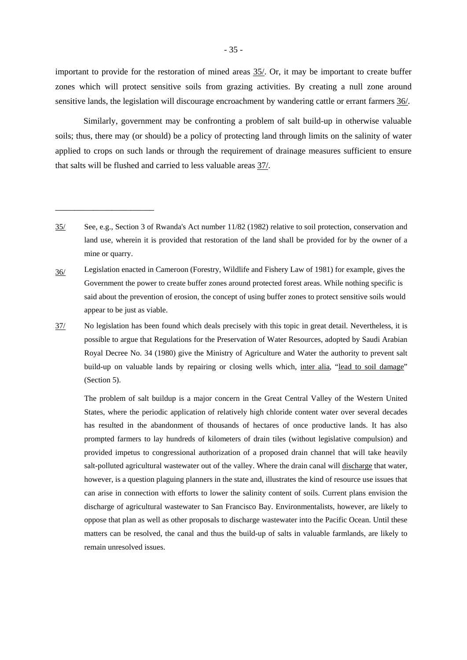important to provide for the restoration of mined areas 35/. Or, it may be important to create buffer zones which will protect sensitive soils from grazing activities. By creating a null zone around sensitive lands, the legislation will discourage encroachment by wandering cattle or errant farmers 36/.

Similarly, government may be confronting a problem of salt build-up in otherwise valuable soils; thus, there may (or should) be a policy of protecting land through limits on the salinity of water applied to crops on such lands or through the requirement of drainage measures sufficient to ensure that salts will be flushed and carried to less valuable areas 37/.

\_\_\_\_\_\_\_\_\_\_\_\_\_\_\_\_\_\_\_\_\_

37/ No legislation has been found which deals precisely with this topic in great detail. Nevertheless, it is possible to argue that Regulations for the Preservation of Water Resources, adopted by Saudi Arabian Royal Decree No. 34 (1980) give the Ministry of Agriculture and Water the authority to prevent salt build-up on valuable lands by repairing or closing wells which, inter alia, "lead to soil damage" (Section 5).

The problem of salt buildup is a major concern in the Great Central Valley of the Western United States, where the periodic application of relatively high chloride content water over several decades has resulted in the abandonment of thousands of hectares of once productive lands. It has also prompted farmers to lay hundreds of kilometers of drain tiles (without legislative compulsion) and provided impetus to congressional authorization of a proposed drain channel that will take heavily salt-polluted agricultural wastewater out of the valley. Where the drain canal will discharge that water, however, is a question plaguing planners in the state and, illustrates the kind of resource use issues that can arise in connection with efforts to lower the salinity content of soils. Current plans envision the discharge of agricultural wastewater to San Francisco Bay. Environmentalists, however, are likely to oppose that plan as well as other proposals to discharge wastewater into the Pacific Ocean. Until these matters can be resolved, the canal and thus the build-up of salts in valuable farmlands, are likely to remain unresolved issues.

<sup>35/</sup> See, e.g., Section 3 of Rwanda's Act number 11/82 (1982) relative to soil protection, conservation and land use, wherein it is provided that restoration of the land shall be provided for by the owner of a mine or quarry.

<sup>36/</sup> Legislation enacted in Cameroon (Forestry, Wildlife and Fishery Law of 1981) for example, gives the Government the power to create buffer zones around protected forest areas. While nothing specific is said about the prevention of erosion, the concept of using buffer zones to protect sensitive soils would appear to be just as viable.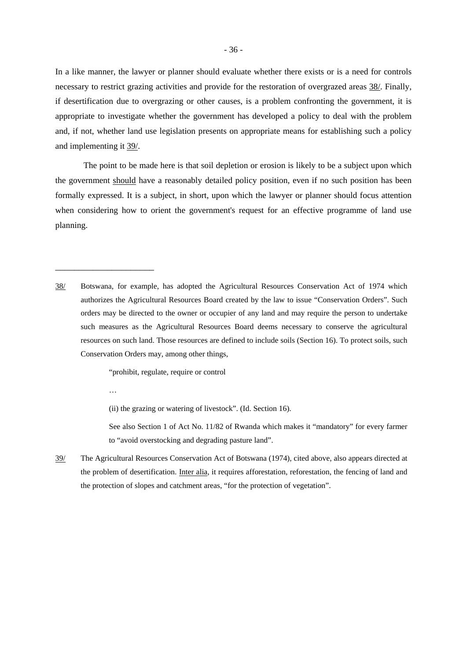In a like manner, the lawyer or planner should evaluate whether there exists or is a need for controls necessary to restrict grazing activities and provide for the restoration of overgrazed areas 38/. Finally, if desertification due to overgrazing or other causes, is a problem confronting the government, it is appropriate to investigate whether the government has developed a policy to deal with the problem and, if not, whether land use legislation presents on appropriate means for establishing such a policy and implementing it 39/.

The point to be made here is that soil depletion or erosion is likely to be a subject upon which the government should have a reasonably detailed policy position, even if no such position has been formally expressed. It is a subject, in short, upon which the lawyer or planner should focus attention when considering how to orient the government's request for an effective programme of land use planning.

38/ Botswana, for example, has adopted the Agricultural Resources Conservation Act of 1974 which authorizes the Agricultural Resources Board created by the law to issue "Conservation Orders". Such orders may be directed to the owner or occupier of any land and may require the person to undertake such measures as the Agricultural Resources Board deems necessary to conserve the agricultural resources on such land. Those resources are defined to include soils (Section 16). To protect soils, such Conservation Orders may, among other things,

"prohibit, regulate, require or control

…

\_\_\_\_\_\_\_\_\_\_\_\_\_\_\_\_\_\_\_\_\_

(ii) the grazing or watering of livestock". (Id. Section 16).

See also Section 1 of Act No. 11/82 of Rwanda which makes it "mandatory" for every farmer to "avoid overstocking and degrading pasture land".

39/ The Agricultural Resources Conservation Act of Botswana (1974), cited above, also appears directed at the problem of desertification. Inter alia, it requires afforestation, reforestation, the fencing of land and the protection of slopes and catchment areas, "for the protection of vegetation".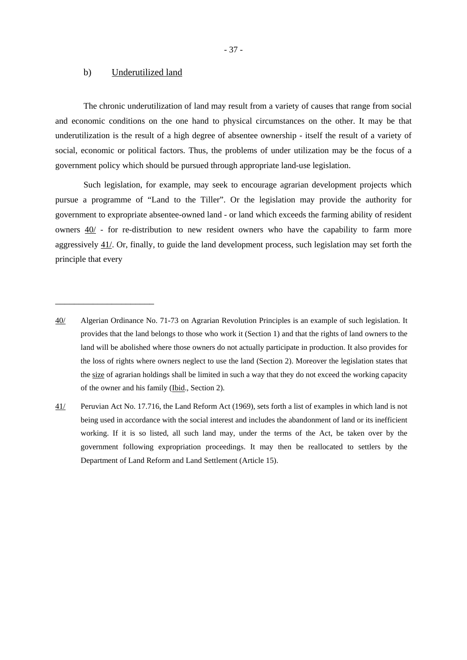#### b) Underutilized land

\_\_\_\_\_\_\_\_\_\_\_\_\_\_\_\_\_\_\_\_\_

The chronic underutilization of land may result from a variety of causes that range from social and economic conditions on the one hand to physical circumstances on the other. It may be that underutilization is the result of a high degree of absentee ownership - itself the result of a variety of social, economic or political factors. Thus, the problems of under utilization may be the focus of a government policy which should be pursued through appropriate land-use legislation.

Such legislation, for example, may seek to encourage agrarian development projects which pursue a programme of "Land to the Tiller". Or the legislation may provide the authority for government to expropriate absentee-owned land - or land which exceeds the farming ability of resident owners 40/ - for re-distribution to new resident owners who have the capability to farm more aggressively 41/. Or, finally, to guide the land development process, such legislation may set forth the principle that every

<sup>40/</sup> Algerian Ordinance No. 71-73 on Agrarian Revolution Principles is an example of such legislation. It provides that the land belongs to those who work it (Section 1) and that the rights of land owners to the land will be abolished where those owners do not actually participate in production. It also provides for the loss of rights where owners neglect to use the land (Section 2). Moreover the legislation states that the size of agrarian holdings shall be limited in such a way that they do not exceed the working capacity of the owner and his family (Ibid., Section 2).

<sup>41/</sup> Peruvian Act No. 17.716, the Land Reform Act (1969), sets forth a list of examples in which land is not being used in accordance with the social interest and includes the abandonment of land or its inefficient working. If it is so listed, all such land may, under the terms of the Act, be taken over by the government following expropriation proceedings. It may then be reallocated to settlers by the Department of Land Reform and Land Settlement (Article 15).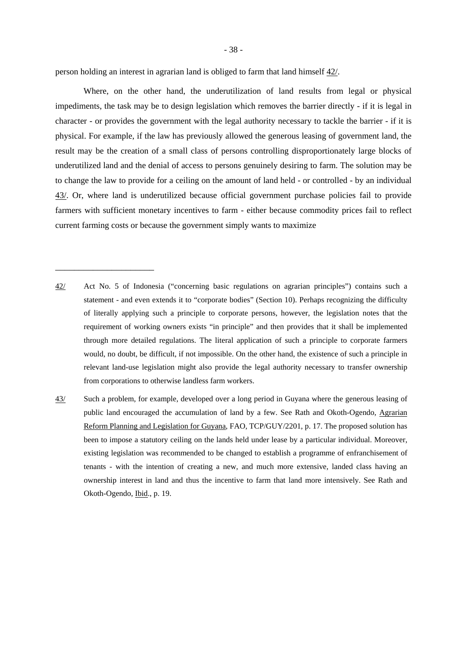person holding an interest in agrarian land is obliged to farm that land himself 42/.

\_\_\_\_\_\_\_\_\_\_\_\_\_\_\_\_\_\_\_\_\_

Where, on the other hand, the underutilization of land results from legal or physical impediments, the task may be to design legislation which removes the barrier directly - if it is legal in character - or provides the government with the legal authority necessary to tackle the barrier - if it is physical. For example, if the law has previously allowed the generous leasing of government land, the result may be the creation of a small class of persons controlling disproportionately large blocks of underutilized land and the denial of access to persons genuinely desiring to farm. The solution may be to change the law to provide for a ceiling on the amount of land held - or controlled - by an individual 43/. Or, where land is underutilized because official government purchase policies fail to provide farmers with sufficient monetary incentives to farm - either because commodity prices fail to reflect current farming costs or because the government simply wants to maximize

- 42/ Act No. 5 of Indonesia ("concerning basic regulations on agrarian principles") contains such a statement - and even extends it to "corporate bodies" (Section 10). Perhaps recognizing the difficulty of literally applying such a principle to corporate persons, however, the legislation notes that the requirement of working owners exists "in principle" and then provides that it shall be implemented through more detailed regulations. The literal application of such a principle to corporate farmers would, no doubt, be difficult, if not impossible. On the other hand, the existence of such a principle in relevant land-use legislation might also provide the legal authority necessary to transfer ownership from corporations to otherwise landless farm workers.
- 43/ Such a problem, for example, developed over a long period in Guyana where the generous leasing of public land encouraged the accumulation of land by a few. See Rath and Okoth-Ogendo, Agrarian Reform Planning and Legislation for Guyana, FAO, TCP/GUY/2201, p. 17. The proposed solution has been to impose a statutory ceiling on the lands held under lease by a particular individual. Moreover, existing legislation was recommended to be changed to establish a programme of enfranchisement of tenants - with the intention of creating a new, and much more extensive, landed class having an ownership interest in land and thus the incentive to farm that land more intensively. See Rath and Okoth-Ogendo, Ibid., p. 19.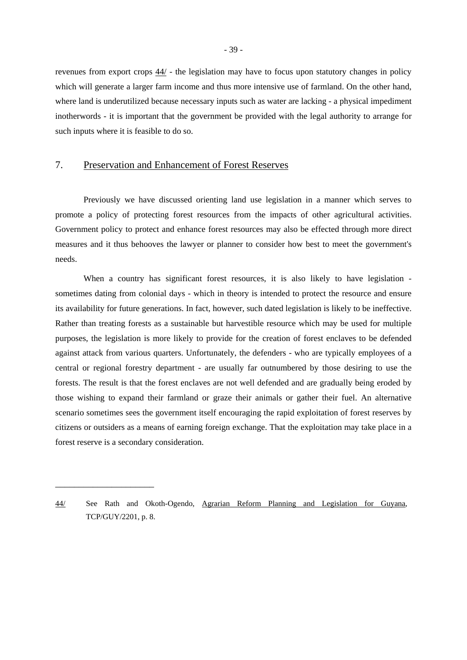revenues from export crops 44/ - the legislation may have to focus upon statutory changes in policy which will generate a larger farm income and thus more intensive use of farmland. On the other hand, where land is underutilized because necessary inputs such as water are lacking - a physical impediment inotherwords - it is important that the government be provided with the legal authority to arrange for such inputs where it is feasible to do so.

## 7. Preservation and Enhancement of Forest Reserves

\_\_\_\_\_\_\_\_\_\_\_\_\_\_\_\_\_\_\_\_\_

Previously we have discussed orienting land use legislation in a manner which serves to promote a policy of protecting forest resources from the impacts of other agricultural activities. Government policy to protect and enhance forest resources may also be effected through more direct measures and it thus behooves the lawyer or planner to consider how best to meet the government's needs.

When a country has significant forest resources, it is also likely to have legislation sometimes dating from colonial days - which in theory is intended to protect the resource and ensure its availability for future generations. In fact, however, such dated legislation is likely to be ineffective. Rather than treating forests as a sustainable but harvestible resource which may be used for multiple purposes, the legislation is more likely to provide for the creation of forest enclaves to be defended against attack from various quarters. Unfortunately, the defenders - who are typically employees of a central or regional forestry department - are usually far outnumbered by those desiring to use the forests. The result is that the forest enclaves are not well defended and are gradually being eroded by those wishing to expand their farmland or graze their animals or gather their fuel. An alternative scenario sometimes sees the government itself encouraging the rapid exploitation of forest reserves by citizens or outsiders as a means of earning foreign exchange. That the exploitation may take place in a forest reserve is a secondary consideration.

<sup>44/</sup> See Rath and Okoth-Ogendo, Agrarian Reform Planning and Legislation for Guyana, TCP/GUY/2201, p. 8.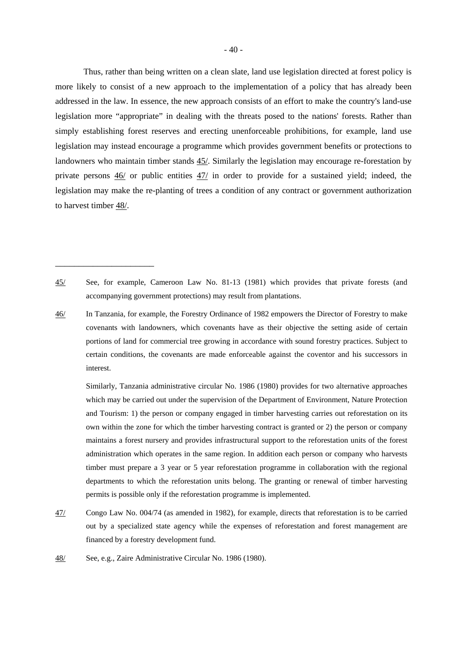Thus, rather than being written on a clean slate, land use legislation directed at forest policy is more likely to consist of a new approach to the implementation of a policy that has already been addressed in the law. In essence, the new approach consists of an effort to make the country's land-use legislation more "appropriate" in dealing with the threats posed to the nations' forests. Rather than simply establishing forest reserves and erecting unenforceable prohibitions, for example, land use legislation may instead encourage a programme which provides government benefits or protections to landowners who maintain timber stands 45/. Similarly the legislation may encourage re-forestation by private persons 46/ or public entities 47/ in order to provide for a sustained yield; indeed, the legislation may make the re-planting of trees a condition of any contract or government authorization to harvest timber 48/.

46/ In Tanzania, for example, the Forestry Ordinance of 1982 empowers the Director of Forestry to make covenants with landowners, which covenants have as their objective the setting aside of certain portions of land for commercial tree growing in accordance with sound forestry practices. Subject to certain conditions, the covenants are made enforceable against the coventor and his successors in interest.

 Similarly, Tanzania administrative circular No. 1986 (1980) provides for two alternative approaches which may be carried out under the supervision of the Department of Environment, Nature Protection and Tourism: 1) the person or company engaged in timber harvesting carries out reforestation on its own within the zone for which the timber harvesting contract is granted or 2) the person or company maintains a forest nursery and provides infrastructural support to the reforestation units of the forest administration which operates in the same region. In addition each person or company who harvests timber must prepare a 3 year or 5 year reforestation programme in collaboration with the regional departments to which the reforestation units belong. The granting or renewal of timber harvesting permits is possible only if the reforestation programme is implemented.

- 47/ Congo Law No. 004/74 (as amended in 1982), for example, directs that reforestation is to be carried out by a specialized state agency while the expenses of reforestation and forest management are financed by a forestry development fund.
- 48/ See, e.g., Zaire Administrative Circular No. 1986 (1980).

<sup>45/</sup> See, for example, Cameroon Law No. 81-13 (1981) which provides that private forests (and accompanying government protections) may result from plantations.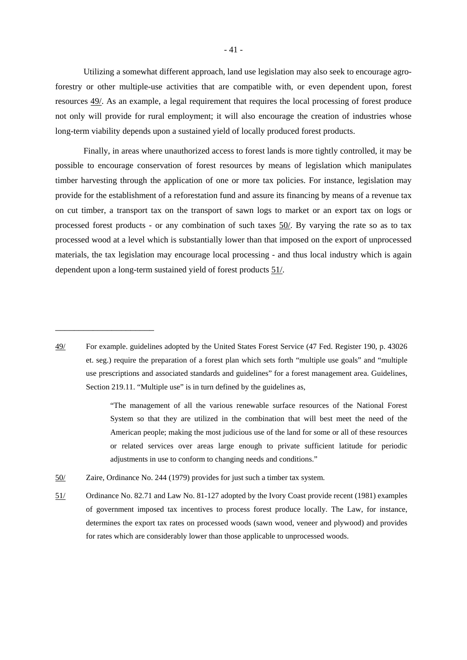Utilizing a somewhat different approach, land use legislation may also seek to encourage agroforestry or other multiple-use activities that are compatible with, or even dependent upon, forest resources 49/. As an example, a legal requirement that requires the local processing of forest produce not only will provide for rural employment; it will also encourage the creation of industries whose long-term viability depends upon a sustained yield of locally produced forest products.

Finally, in areas where unauthorized access to forest lands is more tightly controlled, it may be possible to encourage conservation of forest resources by means of legislation which manipulates timber harvesting through the application of one or more tax policies. For instance, legislation may provide for the establishment of a reforestation fund and assure its financing by means of a revenue tax on cut timber, a transport tax on the transport of sawn logs to market or an export tax on logs or processed forest products - or any combination of such taxes 50/. By varying the rate so as to tax processed wood at a level which is substantially lower than that imposed on the export of unprocessed materials, the tax legislation may encourage local processing - and thus local industry which is again dependent upon a long-term sustained yield of forest products 51/.

 "The management of all the various renewable surface resources of the National Forest System so that they are utilized in the combination that will best meet the need of the American people; making the most judicious use of the land for some or all of these resources or related services over areas large enough to private sufficient latitude for periodic adjustments in use to conform to changing needs and conditions."

50/ Zaire, Ordinance No. 244 (1979) provides for just such a timber tax system.

\_\_\_\_\_\_\_\_\_\_\_\_\_\_\_\_\_\_\_\_\_

51/ Ordinance No. 82.71 and Law No. 81-127 adopted by the Ivory Coast provide recent (1981) examples of government imposed tax incentives to process forest produce locally. The Law, for instance, determines the export tax rates on processed woods (sawn wood, veneer and plywood) and provides for rates which are considerably lower than those applicable to unprocessed woods.

<sup>49/</sup> For example. guidelines adopted by the United States Forest Service (47 Fed. Register 190, p. 43026 et. seg.) require the preparation of a forest plan which sets forth "multiple use goals" and "multiple use prescriptions and associated standards and guidelines" for a forest management area. Guidelines, Section 219.11. "Multiple use" is in turn defined by the guidelines as,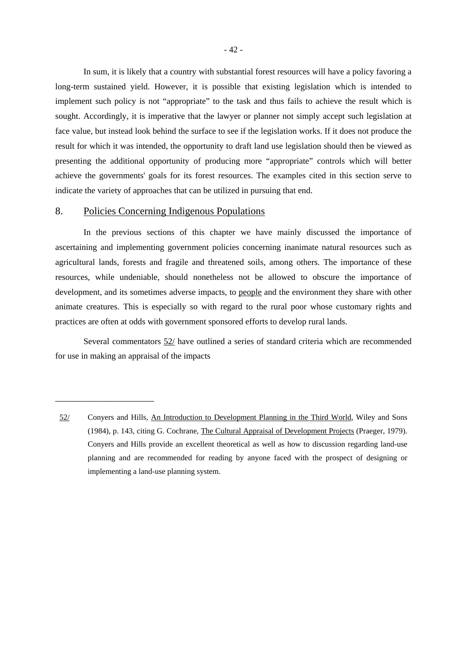In sum, it is likely that a country with substantial forest resources will have a policy favoring a long-term sustained yield. However, it is possible that existing legislation which is intended to implement such policy is not "appropriate" to the task and thus fails to achieve the result which is sought. Accordingly, it is imperative that the lawyer or planner not simply accept such legislation at face value, but instead look behind the surface to see if the legislation works. If it does not produce the result for which it was intended, the opportunity to draft land use legislation should then be viewed as presenting the additional opportunity of producing more "appropriate" controls which will better achieve the governments' goals for its forest resources. The examples cited in this section serve to indicate the variety of approaches that can be utilized in pursuing that end.

## 8. Policies Concerning Indigenous Populations

\_\_\_\_\_\_\_\_\_\_\_\_\_\_\_\_\_\_\_\_\_

In the previous sections of this chapter we have mainly discussed the importance of ascertaining and implementing government policies concerning inanimate natural resources such as agricultural lands, forests and fragile and threatened soils, among others. The importance of these resources, while undeniable, should nonetheless not be allowed to obscure the importance of development, and its sometimes adverse impacts, to people and the environment they share with other animate creatures. This is especially so with regard to the rural poor whose customary rights and practices are often at odds with government sponsored efforts to develop rural lands.

Several commentators 52/ have outlined a series of standard criteria which are recommended for use in making an appraisal of the impacts

<sup>52/</sup> Conyers and Hills, An Introduction to Development Planning in the Third World, Wiley and Sons (1984), p. 143, citing G. Cochrane, The Cultural Appraisal of Development Projects (Praeger, 1979). Conyers and Hills provide an excellent theoretical as well as how to discussion regarding land-use planning and are recommended for reading by anyone faced with the prospect of designing or implementing a land-use planning system.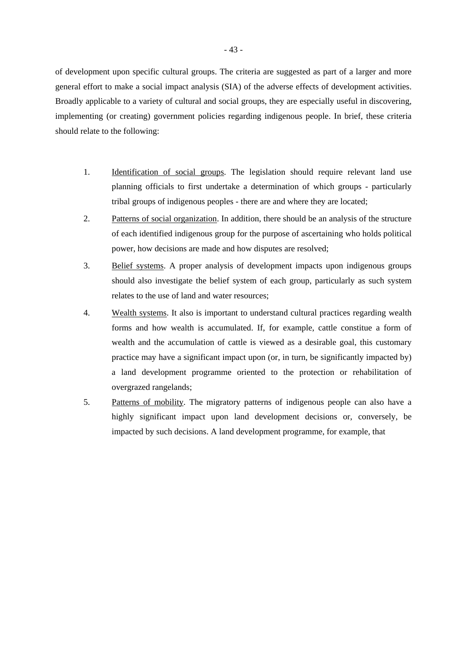of development upon specific cultural groups. The criteria are suggested as part of a larger and more general effort to make a social impact analysis (SIA) of the adverse effects of development activities. Broadly applicable to a variety of cultural and social groups, they are especially useful in discovering, implementing (or creating) government policies regarding indigenous people. In brief, these criteria should relate to the following:

- 1. Identification of social groups. The legislation should require relevant land use planning officials to first undertake a determination of which groups - particularly tribal groups of indigenous peoples - there are and where they are located;
- 2. Patterns of social organization. In addition, there should be an analysis of the structure of each identified indigenous group for the purpose of ascertaining who holds political power, how decisions are made and how disputes are resolved;
- 3. Belief systems. A proper analysis of development impacts upon indigenous groups should also investigate the belief system of each group, particularly as such system relates to the use of land and water resources;
- 4. Wealth systems. It also is important to understand cultural practices regarding wealth forms and how wealth is accumulated. If, for example, cattle constitue a form of wealth and the accumulation of cattle is viewed as a desirable goal, this customary practice may have a significant impact upon (or, in turn, be significantly impacted by) a land development programme oriented to the protection or rehabilitation of overgrazed rangelands;
- 5. Patterns of mobility. The migratory patterns of indigenous people can also have a highly significant impact upon land development decisions or, conversely, be impacted by such decisions. A land development programme, for example, that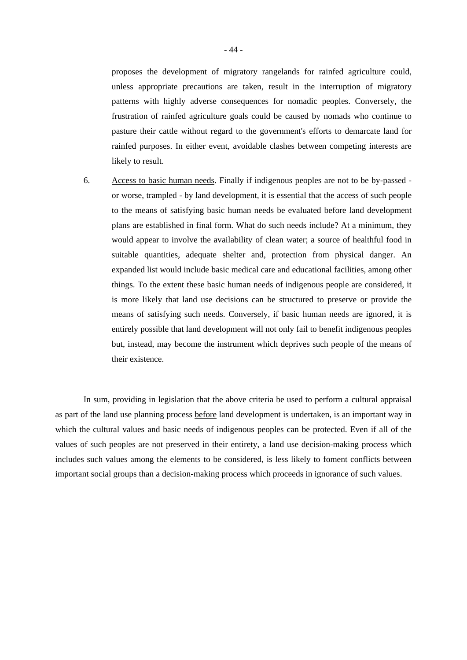proposes the development of migratory rangelands for rainfed agriculture could, unless appropriate precautions are taken, result in the interruption of migratory patterns with highly adverse consequences for nomadic peoples. Conversely, the frustration of rainfed agriculture goals could be caused by nomads who continue to pasture their cattle without regard to the government's efforts to demarcate land for rainfed purposes. In either event, avoidable clashes between competing interests are likely to result.

6. Access to basic human needs. Finally if indigenous peoples are not to be by-passed or worse, trampled - by land development, it is essential that the access of such people to the means of satisfying basic human needs be evaluated before land development plans are established in final form. What do such needs include? At a minimum, they would appear to involve the availability of clean water; a source of healthful food in suitable quantities, adequate shelter and, protection from physical danger. An expanded list would include basic medical care and educational facilities, among other things. To the extent these basic human needs of indigenous people are considered, it is more likely that land use decisions can be structured to preserve or provide the means of satisfying such needs. Conversely, if basic human needs are ignored, it is entirely possible that land development will not only fail to benefit indigenous peoples but, instead, may become the instrument which deprives such people of the means of their existence.

In sum, providing in legislation that the above criteria be used to perform a cultural appraisal as part of the land use planning process before land development is undertaken, is an important way in which the cultural values and basic needs of indigenous peoples can be protected. Even if all of the values of such peoples are not preserved in their entirety, a land use decision-making process which includes such values among the elements to be considered, is less likely to foment conflicts between important social groups than a decision-making process which proceeds in ignorance of such values.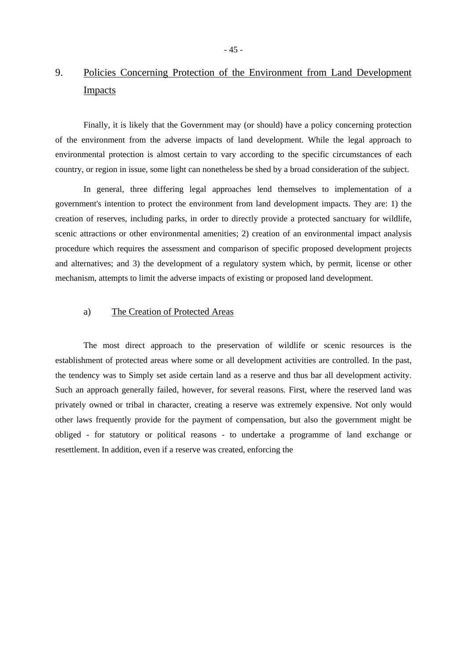## 9. Policies Concerning Protection of the Environment from Land Development Impacts

Finally, it is likely that the Government may (or should) have a policy concerning protection of the environment from the adverse impacts of land development. While the legal approach to environmental protection is almost certain to vary according to the specific circumstances of each country, or region in issue, some light can nonetheless be shed by a broad consideration of the subject.

In general, three differing legal approaches lend themselves to implementation of a government's intention to protect the environment from land development impacts. They are: 1) the creation of reserves, including parks, in order to directly provide a protected sanctuary for wildlife, scenic attractions or other environmental amenities; 2) creation of an environmental impact analysis procedure which requires the assessment and comparison of specific proposed development projects and alternatives; and 3) the development of a regulatory system which, by permit, license or other mechanism, attempts to limit the adverse impacts of existing or proposed land development.

## a) The Creation of Protected Areas

The most direct approach to the preservation of wildlife or scenic resources is the establishment of protected areas where some or all development activities are controlled. In the past, the tendency was to Simply set aside certain land as a reserve and thus bar all development activity. Such an approach generally failed, however, for several reasons. First, where the reserved land was privately owned or tribal in character, creating a reserve was extremely expensive. Not only would other laws frequently provide for the payment of compensation, but also the government might be obliged - for statutory or political reasons - to undertake a programme of land exchange or resettlement. In addition, even if a reserve was created, enforcing the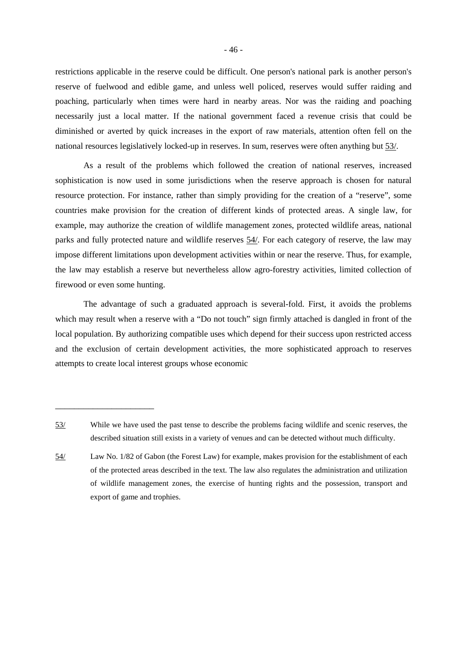restrictions applicable in the reserve could be difficult. One person's national park is another person's reserve of fuelwood and edible game, and unless well policed, reserves would suffer raiding and poaching, particularly when times were hard in nearby areas. Nor was the raiding and poaching necessarily just a local matter. If the national government faced a revenue crisis that could be diminished or averted by quick increases in the export of raw materials, attention often fell on the national resources legislatively locked-up in reserves. In sum, reserves were often anything but 53/.

As a result of the problems which followed the creation of national reserves, increased sophistication is now used in some jurisdictions when the reserve approach is chosen for natural resource protection. For instance, rather than simply providing for the creation of a "reserve", some countries make provision for the creation of different kinds of protected areas. A single law, for example, may authorize the creation of wildlife management zones, protected wildlife areas, national parks and fully protected nature and wildlife reserves 54/. For each category of reserve, the law may impose different limitations upon development activities within or near the reserve. Thus, for example, the law may establish a reserve but nevertheless allow agro-forestry activities, limited collection of firewood or even some hunting.

The advantage of such a graduated approach is several-fold. First, it avoids the problems which may result when a reserve with a "Do not touch" sign firmly attached is dangled in front of the local population. By authorizing compatible uses which depend for their success upon restricted access and the exclusion of certain development activities, the more sophisticated approach to reserves attempts to create local interest groups whose economic

<sup>53/</sup> While we have used the past tense to describe the problems facing wildlife and scenic reserves, the described situation still exists in a variety of venues and can be detected without much difficulty.

<sup>54/</sup> Law No. 1/82 of Gabon (the Forest Law) for example, makes provision for the establishment of each of the protected areas described in the text. The law also regulates the administration and utilization of wildlife management zones, the exercise of hunting rights and the possession, transport and export of game and trophies.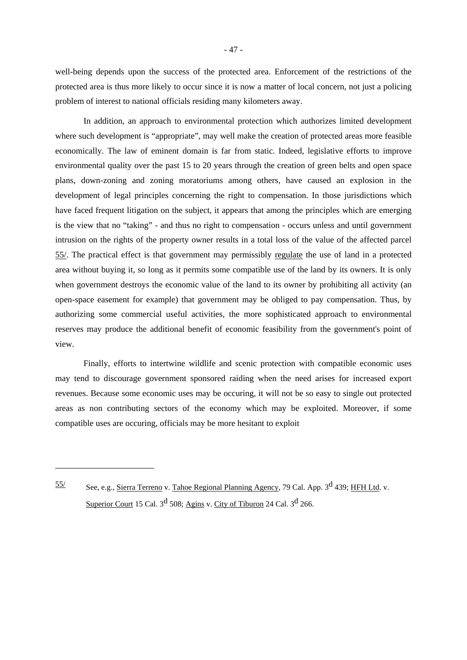well-being depends upon the success of the protected area. Enforcement of the restrictions of the protected area is thus more likely to occur since it is now a matter of local concern, not just a policing problem of interest to national officials residing many kilometers away.

In addition, an approach to environmental protection which authorizes limited development where such development is "appropriate", may well make the creation of protected areas more feasible economically. The law of eminent domain is far from static. Indeed, legislative efforts to improve environmental quality over the past 15 to 20 years through the creation of green belts and open space plans, down-zoning and zoning moratoriums among others, have caused an explosion in the development of legal principles concerning the right to compensation. In those jurisdictions which have faced frequent litigation on the subject, it appears that among the principles which are emerging is the view that no "taking" - and thus no right to compensation - occurs unless and until government intrusion on the rights of the property owner results in a total loss of the value of the affected parcel 55/. The practical effect is that government may permissibly regulate the use of land in a protected area without buying it, so long as it permits some compatible use of the land by its owners. It is only when government destroys the economic value of the land to its owner by prohibiting all activity (an open-space easement for example) that government may be obliged to pay compensation. Thus, by authorizing some commercial useful activities, the more sophisticated approach to environmental reserves may produce the additional benefit of economic feasibility from the government's point of view.

Finally, efforts to intertwine wildlife and scenic protection with compatible economic uses may tend to discourage government sponsored raiding when the need arises for increased export revenues. Because some economic uses may be occuring, it will not be so easy to single out protected areas as non contributing sectors of the economy which may be exploited. Moreover, if some compatible uses are occuring, officials may be more hesitant to exploit

See, e.g., Sierra Terreno v. Tahoe Regional Planning Agency, 79 Cal. App. 3<sup>d</sup> 439; HFH Ltd. v. Superior Court 15 Cal.  $3^d$  508: Agins v. City of Tiburon 24 Cal.  $3^d$  266.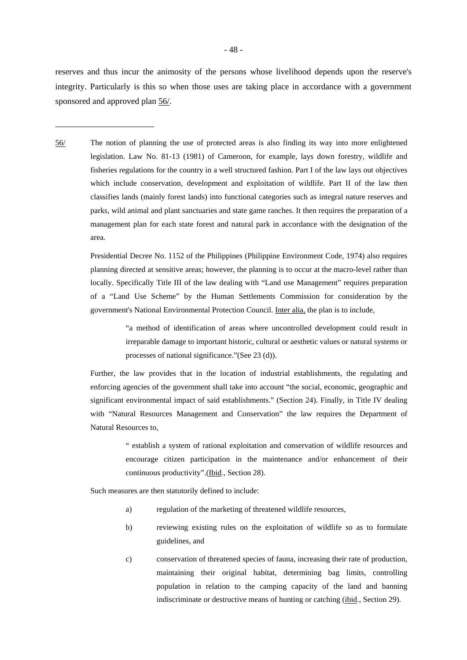reserves and thus incur the animosity of the persons whose livelihood depends upon the reserve's integrity. Particularly is this so when those uses are taking place in accordance with a government sponsored and approved plan 56/.

\_\_\_\_\_\_\_\_\_\_\_\_\_\_\_\_\_\_\_\_\_

56/ The notion of planning the use of protected areas is also finding its way into more enlightened legislation. Law No. 81-13 (1981) of Cameroon, for example, lays down forestry, wildlife and fisheries regulations for the country in a well structured fashion. Part I of the law lays out objectives which include conservation, development and exploitation of wildlife. Part II of the law then classifies lands (mainly forest lands) into functional categories such as integral nature reserves and parks, wild animal and plant sanctuaries and state game ranches. It then requires the preparation of a management plan for each state forest and natural park in accordance with the designation of the area.

 Presidential Decree No. 1152 of the Philippines (Philippine Environment Code, 1974) also requires planning directed at sensitive areas; however, the planning is to occur at the macro-level rather than locally. Specifically Title III of the law dealing with "Land use Management" requires preparation of a "Land Use Scheme" by the Human Settlements Commission for consideration by the government's National Environmental Protection Council. Inter alia, the plan is to include,

> "a method of identification of areas where uncontrolled development could result in irreparable damage to important historic, cultural or aesthetic values or natural systems or processes of national significance."(See 23 (d)).

 Further, the law provides that in the location of industrial establishments, the regulating and enforcing agencies of the government shall take into account "the social, economic, geographic and significant environmental impact of said establishments." (Section 24). Finally, in Title IV dealing with "Natural Resources Management and Conservation" the law requires the Department of Natural Resources to,

> " establish a system of rational exploitation and conservation of wildlife resources and encourage citizen participation in the maintenance and/or enhancement of their continuous productivity".(Ibid., Section 28).

Such measures are then statutorily defined to include:

- a) regulation of the marketing of threatened wildlife resources,
- b) reviewing existing rules on the exploitation of wildlife so as to formulate guidelines, and
- c) conservation of threatened species of fauna, increasing their rate of production, maintaining their original habitat, determining bag limits, controlling population in relation to the camping capacity of the land and banning indiscriminate or destructive means of hunting or catching (ibid., Section 29).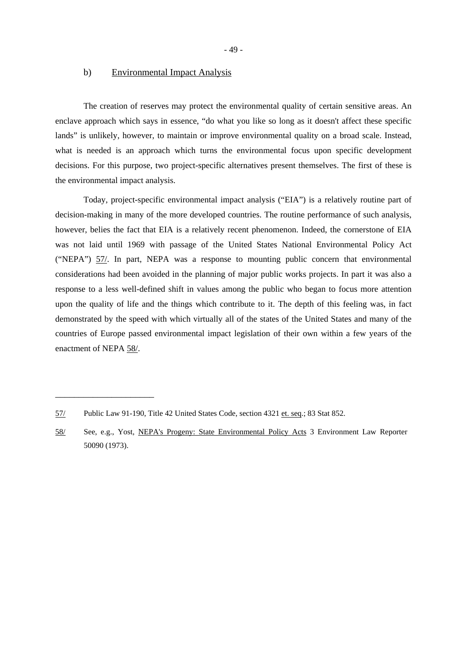- 49 -

#### b) Environmental Impact Analysis

The creation of reserves may protect the environmental quality of certain sensitive areas. An enclave approach which says in essence, "do what you like so long as it doesn't affect these specific lands" is unlikely, however, to maintain or improve environmental quality on a broad scale. Instead, what is needed is an approach which turns the environmental focus upon specific development decisions. For this purpose, two project-specific alternatives present themselves. The first of these is the environmental impact analysis.

Today, project-specific environmental impact analysis ("EIA") is a relatively routine part of decision-making in many of the more developed countries. The routine performance of such analysis, however, belies the fact that EIA is a relatively recent phenomenon. Indeed, the cornerstone of EIA was not laid until 1969 with passage of the United States National Environmental Policy Act ("NEPA") 57/. In part, NEPA was a response to mounting public concern that environmental considerations had been avoided in the planning of major public works projects. In part it was also a response to a less well-defined shift in values among the public who began to focus more attention upon the quality of life and the things which contribute to it. The depth of this feeling was, in fact demonstrated by the speed with which virtually all of the states of the United States and many of the countries of Europe passed environmental impact legislation of their own within a few years of the enactment of NEPA 58/.

<sup>57/</sup> Public Law 91-190, Title 42 United States Code, section 4321 et. seq.; 83 Stat 852.

<sup>58/</sup> See, e.g., Yost, NEPA's Progeny: State Environmental Policy Acts 3 Environment Law Reporter 50090 (1973).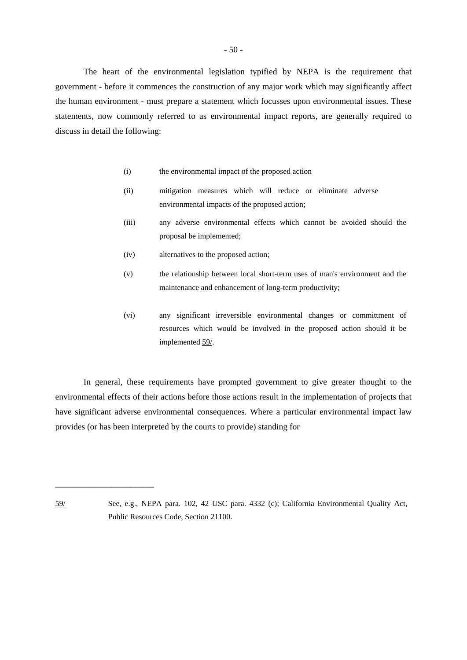$-50-$ 

The heart of the environmental legislation typified by NEPA is the requirement that government - before it commences the construction of any major work which may significantly affect the human environment - must prepare a statement which focusses upon environmental issues. These statements, now commonly referred to as environmental impact reports, are generally required to discuss in detail the following:

- (i) the environmental impact of the proposed action
- (ii) mitigation measures which will reduce or eliminate adverse environmental impacts of the proposed action;
- (iii) any adverse environmental effects which cannot be avoided should the proposal be implemented;
- (iv) alternatives to the proposed action;
- (v) the relationship between local short-term uses of man's environment and the maintenance and enhancement of long-term productivity;
- (vi) any significant irreversible environmental changes or committment of resources which would be involved in the proposed action should it be implemented 59/.

In general, these requirements have prompted government to give greater thought to the environmental effects of their actions before those actions result in the implementation of projects that have significant adverse environmental consequences. Where a particular environmental impact law provides (or has been interpreted by the courts to provide) standing for

<sup>59/</sup> See, e.g., NEPA para. 102, 42 USC para. 4332 (c); California Environmental Quality Act, Public Resources Code, Section 21100.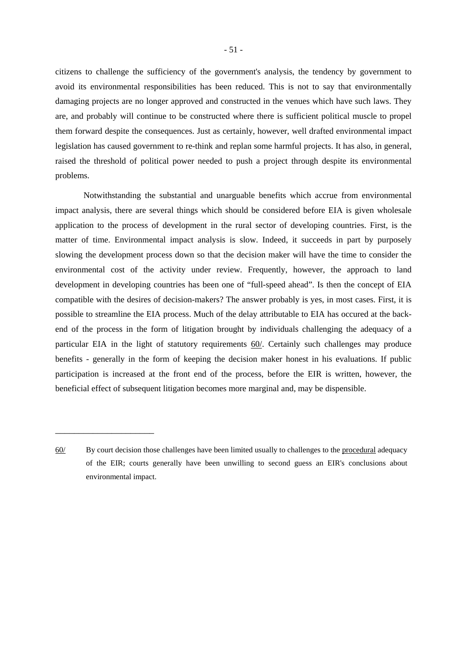citizens to challenge the sufficiency of the government's analysis, the tendency by government to avoid its environmental responsibilities has been reduced. This is not to say that environmentally damaging projects are no longer approved and constructed in the venues which have such laws. They are, and probably will continue to be constructed where there is sufficient political muscle to propel them forward despite the consequences. Just as certainly, however, well drafted environmental impact legislation has caused government to re-think and replan some harmful projects. It has also, in general, raised the threshold of political power needed to push a project through despite its environmental problems.

Notwithstanding the substantial and unarguable benefits which accrue from environmental impact analysis, there are several things which should be considered before EIA is given wholesale application to the process of development in the rural sector of developing countries. First, is the matter of time. Environmental impact analysis is slow. Indeed, it succeeds in part by purposely slowing the development process down so that the decision maker will have the time to consider the environmental cost of the activity under review. Frequently, however, the approach to land development in developing countries has been one of "full-speed ahead". Is then the concept of EIA compatible with the desires of decision-makers? The answer probably is yes, in most cases. First, it is possible to streamline the EIA process. Much of the delay attributable to EIA has occured at the backend of the process in the form of litigation brought by individuals challenging the adequacy of a particular EIA in the light of statutory requirements 60/. Certainly such challenges may produce benefits - generally in the form of keeping the decision maker honest in his evaluations. If public participation is increased at the front end of the process, before the EIR is written, however, the beneficial effect of subsequent litigation becomes more marginal and, may be dispensible.

<sup>60/</sup> By court decision those challenges have been limited usually to challenges to the procedural adequacy of the EIR; courts generally have been unwilling to second guess an EIR's conclusions about environmental impact.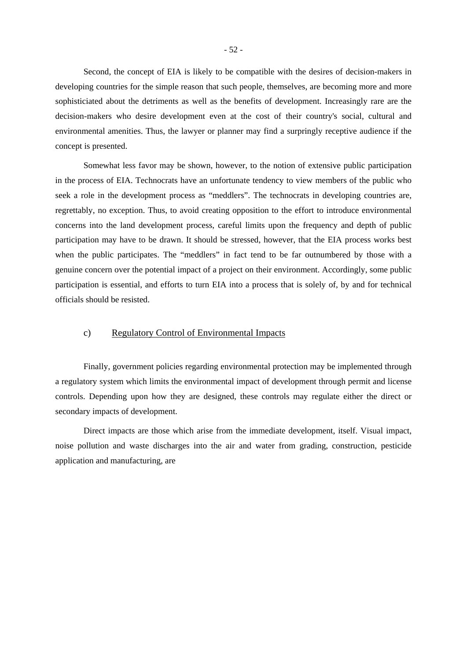Second, the concept of EIA is likely to be compatible with the desires of decision-makers in developing countries for the simple reason that such people, themselves, are becoming more and more sophisticiated about the detriments as well as the benefits of development. Increasingly rare are the decision-makers who desire development even at the cost of their country's social, cultural and environmental amenities. Thus, the lawyer or planner may find a surpringly receptive audience if the concept is presented.

Somewhat less favor may be shown, however, to the notion of extensive public participation in the process of EIA. Technocrats have an unfortunate tendency to view members of the public who seek a role in the development process as "meddlers". The technocrats in developing countries are, regrettably, no exception. Thus, to avoid creating opposition to the effort to introduce environmental concerns into the land development process, careful limits upon the frequency and depth of public participation may have to be drawn. It should be stressed, however, that the EIA process works best when the public participates. The "meddlers" in fact tend to be far outnumbered by those with a genuine concern over the potential impact of a project on their environment. Accordingly, some public participation is essential, and efforts to turn EIA into a process that is solely of, by and for technical officials should be resisted.

### c) Regulatory Control of Environmental Impacts

Finally, government policies regarding environmental protection may be implemented through a regulatory system which limits the environmental impact of development through permit and license controls. Depending upon how they are designed, these controls may regulate either the direct or secondary impacts of development.

Direct impacts are those which arise from the immediate development, itself. Visual impact, noise pollution and waste discharges into the air and water from grading, construction, pesticide application and manufacturing, are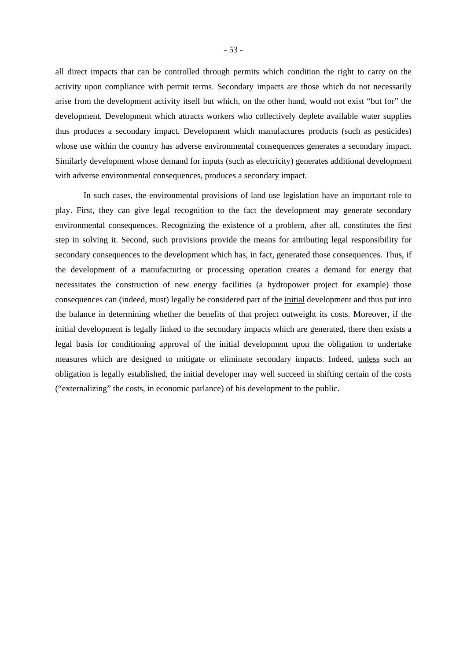all direct impacts that can be controlled through permits which condition the right to carry on the activity upon compliance with permit terms. Secondary impacts are those which do not necessarily arise from the development activity itself but which, on the other hand, would not exist "but for" the development. Development which attracts workers who collectively deplete available water supplies thus produces a secondary impact. Development which manufactures products (such as pesticides) whose use within the country has adverse environmental consequences generates a secondary impact. Similarly development whose demand for inputs (such as electricity) generates additional development with adverse environmental consequences, produces a secondary impact.

In such cases, the environmental provisions of land use legislation have an important role to play. First, they can give legal recognition to the fact the development may generate secondary environmental consequences. Recognizing the existence of a problem, after all, constitutes the first step in solving it. Second, such provisions provide the means for attributing legal responsibility for secondary consequences to the development which has, in fact, generated those consequences. Thus, if the development of a manufacturing or processing operation creates a demand for energy that necessitates the construction of new energy facilities (a hydropower project for example) those consequences can (indeed, must) legally be considered part of the initial development and thus put into the balance in determining whether the benefits of that project outweight its costs. Moreover, if the initial development is legally linked to the secondary impacts which are generated, there then exists a legal basis for conditioning approval of the initial development upon the obligation to undertake measures which are designed to mitigate or eliminate secondary impacts. Indeed, unless such an obligation is legally established, the initial developer may well succeed in shifting certain of the costs ("externalizing" the costs, in economic parlance) of his development to the public.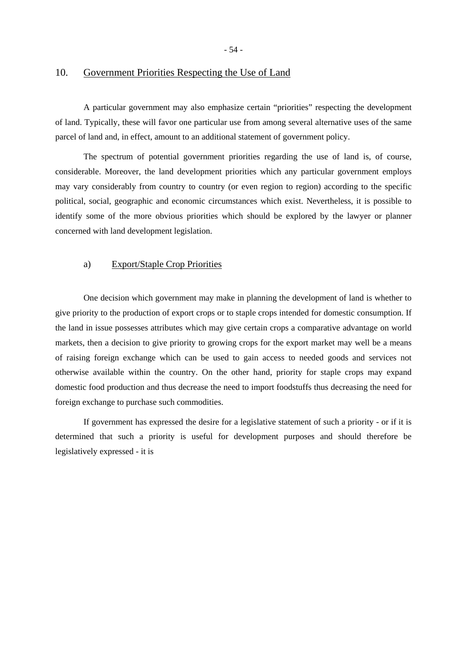- 54 -

#### 10. Government Priorities Respecting the Use of Land

A particular government may also emphasize certain "priorities" respecting the development of land. Typically, these will favor one particular use from among several alternative uses of the same parcel of land and, in effect, amount to an additional statement of government policy.

The spectrum of potential government priorities regarding the use of land is, of course, considerable. Moreover, the land development priorities which any particular government employs may vary considerably from country to country (or even region to region) according to the specific political, social, geographic and economic circumstances which exist. Nevertheless, it is possible to identify some of the more obvious priorities which should be explored by the lawyer or planner concerned with land development legislation.

#### a) Export/Staple Crop Priorities

One decision which government may make in planning the development of land is whether to give priority to the production of export crops or to staple crops intended for domestic consumption. If the land in issue possesses attributes which may give certain crops a comparative advantage on world markets, then a decision to give priority to growing crops for the export market may well be a means of raising foreign exchange which can be used to gain access to needed goods and services not otherwise available within the country. On the other hand, priority for staple crops may expand domestic food production and thus decrease the need to import foodstuffs thus decreasing the need for foreign exchange to purchase such commodities.

If government has expressed the desire for a legislative statement of such a priority - or if it is determined that such a priority is useful for development purposes and should therefore be legislatively expressed - it is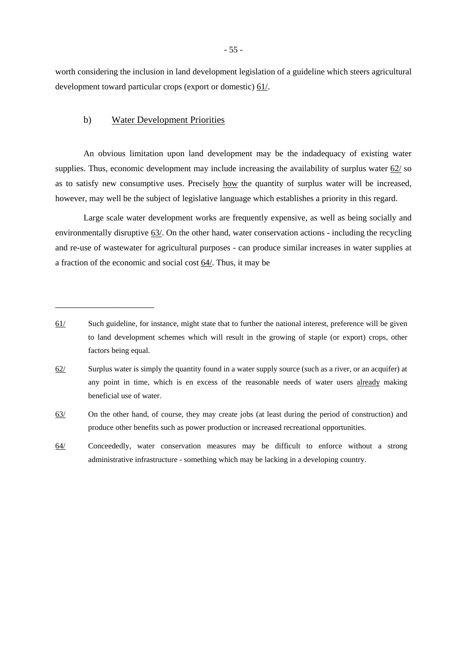worth considering the inclusion in land development legislation of a guideline which steers agricultural development toward particular crops (export or domestic) 61/.

## b) Water Development Priorities

\_\_\_\_\_\_\_\_\_\_\_\_\_\_\_\_\_\_\_\_\_

An obvious limitation upon land development may be the indadequacy of existing water supplies. Thus, economic development may include increasing the availability of surplus water 62/ so as to satisfy new consumptive uses. Precisely how the quantity of surplus water will be increased, however, may well be the subject of legislative language which establishes a priority in this regard.

Large scale water development works are frequently expensive, as well as being socially and environmentally disruptive 63/. On the other hand, water conservation actions - including the recycling and re-use of wastewater for agricultural purposes - can produce similar increases in water supplies at a fraction of the economic and social cost 64/. Thus, it may be

63/ On the other hand, of course, they may create jobs (at least during the period of construction) and produce other benefits such as power production or increased recreational opportunities.

64/ Conceededly, water conservation measures may be difficult to enforce without a strong administrative infrastructure - something which may be lacking in a developing country.

<sup>61/</sup> Such guideline, for instance, might state that to further the national interest, preference will be given to land development schemes which will result in the growing of staple (or export) crops, other factors being equal.

<sup>62/</sup> Surplus water is simply the quantity found in a water supply source (such as a river, or an acquifer) at any point in time, which is en excess of the reasonable needs of water users already making beneficial use of water.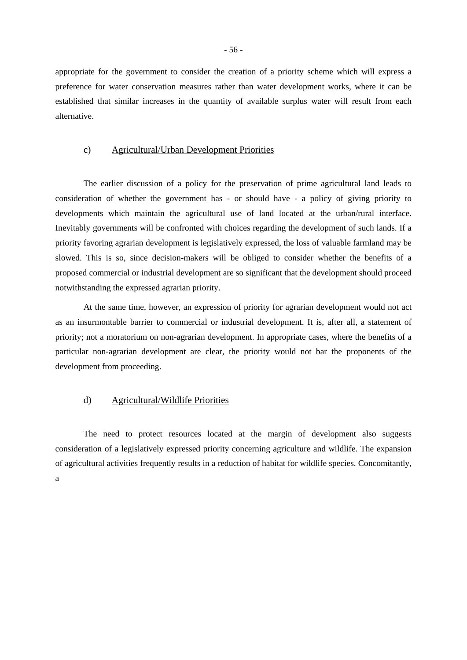appropriate for the government to consider the creation of a priority scheme which will express a preference for water conservation measures rather than water development works, where it can be established that similar increases in the quantity of available surplus water will result from each alternative.

## c) Agricultural/Urban Development Priorities

The earlier discussion of a policy for the preservation of prime agricultural land leads to consideration of whether the government has - or should have - a policy of giving priority to developments which maintain the agricultural use of land located at the urban/rural interface. Inevitably governments will be confronted with choices regarding the development of such lands. If a priority favoring agrarian development is legislatively expressed, the loss of valuable farmland may be slowed. This is so, since decision-makers will be obliged to consider whether the benefits of a proposed commercial or industrial development are so significant that the development should proceed notwithstanding the expressed agrarian priority.

At the same time, however, an expression of priority for agrarian development would not act as an insurmontable barrier to commercial or industrial development. It is, after all, a statement of priority; not a moratorium on non-agrarian development. In appropriate cases, where the benefits of a particular non-agrarian development are clear, the priority would not bar the proponents of the development from proceeding.

#### d) Agricultural/Wildlife Priorities

The need to protect resources located at the margin of development also suggests consideration of a legislatively expressed priority concerning agriculture and wildlife. The expansion of agricultural activities frequently results in a reduction of habitat for wildlife species. Concomitantly, a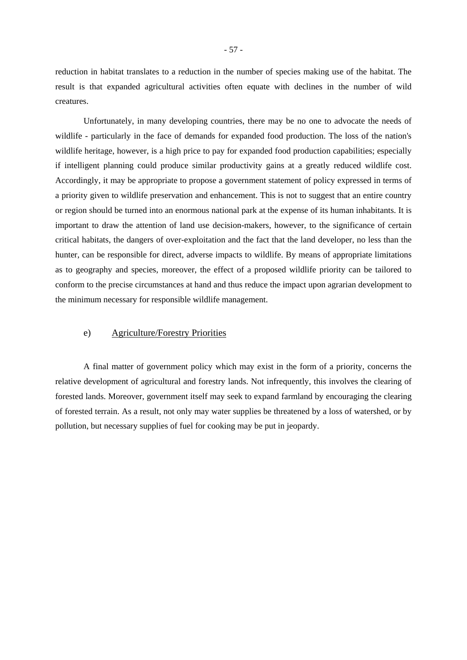reduction in habitat translates to a reduction in the number of species making use of the habitat. The result is that expanded agricultural activities often equate with declines in the number of wild creatures.

Unfortunately, in many developing countries, there may be no one to advocate the needs of wildlife - particularly in the face of demands for expanded food production. The loss of the nation's wildlife heritage, however, is a high price to pay for expanded food production capabilities; especially if intelligent planning could produce similar productivity gains at a greatly reduced wildlife cost. Accordingly, it may be appropriate to propose a government statement of policy expressed in terms of a priority given to wildlife preservation and enhancement. This is not to suggest that an entire country or region should be turned into an enormous national park at the expense of its human inhabitants. It is important to draw the attention of land use decision-makers, however, to the significance of certain critical habitats, the dangers of over-exploitation and the fact that the land developer, no less than the hunter, can be responsible for direct, adverse impacts to wildlife. By means of appropriate limitations as to geography and species, moreover, the effect of a proposed wildlife priority can be tailored to conform to the precise circumstances at hand and thus reduce the impact upon agrarian development to the minimum necessary for responsible wildlife management.

## e) Agriculture/Forestry Priorities

A final matter of government policy which may exist in the form of a priority, concerns the relative development of agricultural and forestry lands. Not infrequently, this involves the clearing of forested lands. Moreover, government itself may seek to expand farmland by encouraging the clearing of forested terrain. As a result, not only may water supplies be threatened by a loss of watershed, or by pollution, but necessary supplies of fuel for cooking may be put in jeopardy.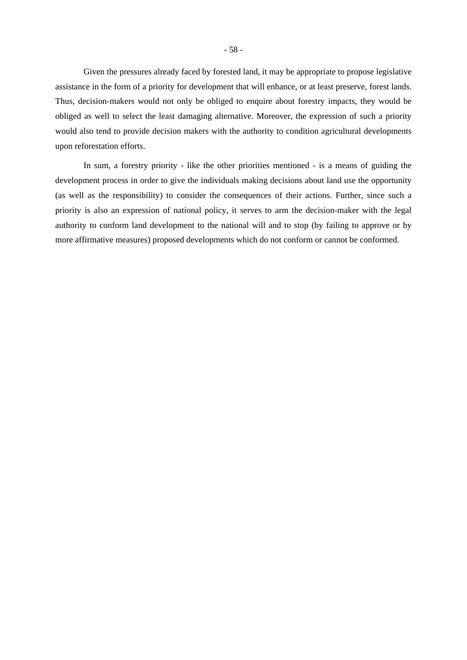Given the pressures already faced by forested land, it may be appropriate to propose legislative assistance in the form of a priority for development that will enhance, or at least preserve, forest lands. Thus, decision-makers would not only be obliged to enquire about forestry impacts, they would be obliged as well to select the least damaging alternative. Moreover, the expression of such a priority would also tend to provide decision makers with the authority to condition agricultural developments upon reforestation efforts.

In sum, a forestry priority - like the other priorities mentioned - is a means of guiding the development process in order to give the individuals making decisions about land use the opportunity (as well as the responsibility) to consider the consequences of their actions. Further, since such a priority is also an expression of national policy, it serves to arm the decision-maker with the legal authority to conform land development to the national will and to stop (by failing to approve or by more affirmative measures) proposed developments which do not conform or cannot be conformed.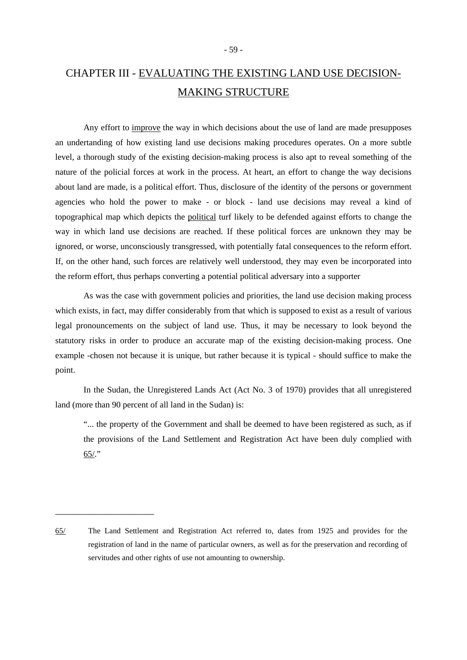# CHAPTER III - EVALUATING THE EXISTING LAND USE DECISION-MAKING STRUCTURE

Any effort to improve the way in which decisions about the use of land are made presupposes an undertanding of how existing land use decisions making procedures operates. On a more subtle level, a thorough study of the existing decision-making process is also apt to reveal something of the nature of the policial forces at work in the process. At heart, an effort to change the way decisions about land are made, is a political effort. Thus, disclosure of the identity of the persons or government agencies who hold the power to make - or block - land use decisions may reveal a kind of topographical map which depicts the political turf likely to be defended against efforts to change the way in which land use decisions are reached. If these political forces are unknown they may be ignored, or worse, unconsciously transgressed, with potentially fatal consequences to the reform effort. If, on the other hand, such forces are relatively well understood, they may even be incorporated into the reform effort, thus perhaps converting a potential political adversary into a supporter

As was the case with government policies and priorities, the land use decision making process which exists, in fact, may differ considerably from that which is supposed to exist as a result of various legal pronouncements on the subject of land use. Thus, it may be necessary to look beyond the statutory risks in order to produce an accurate map of the existing decision-making process. One example -chosen not because it is unique, but rather because it is typical - should suffice to make the point.

In the Sudan, the Unregistered Lands Act (Act No. 3 of 1970) provides that all unregistered land (more than 90 percent of all land in the Sudan) is:

"... the property of the Government and shall be deemed to have been registered as such, as if the provisions of the Land Settlement and Registration Act have been duly complied with 65/."

<sup>65/</sup> The Land Settlement and Registration Act referred to, dates from 1925 and provides for the registration of land in the name of particular owners, as well as for the preservation and recording of servitudes and other rights of use not amounting to ownership.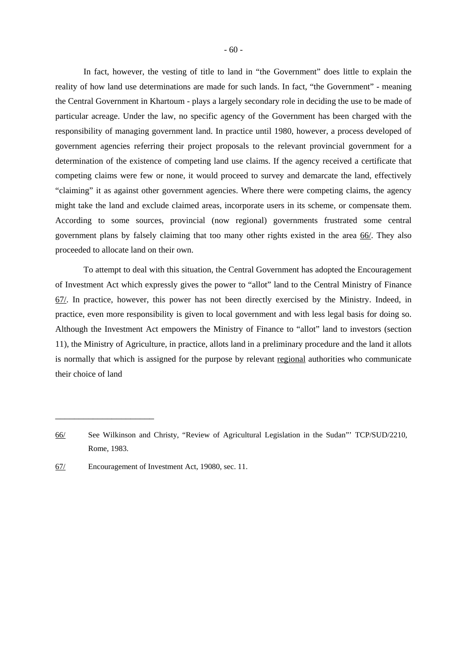In fact, however, the vesting of title to land in "the Government" does little to explain the reality of how land use determinations are made for such lands. In fact, "the Government" - meaning the Central Government in Khartoum - plays a largely secondary role in deciding the use to be made of particular acreage. Under the law, no specific agency of the Government has been charged with the responsibility of managing government land. In practice until 1980, however, a process developed of government agencies referring their project proposals to the relevant provincial government for a determination of the existence of competing land use claims. If the agency received a certificate that competing claims were few or none, it would proceed to survey and demarcate the land, effectively "claiming" it as against other government agencies. Where there were competing claims, the agency might take the land and exclude claimed areas, incorporate users in its scheme, or compensate them. According to some sources, provincial (now regional) governments frustrated some central government plans by falsely claiming that too many other rights existed in the area 66/. They also proceeded to allocate land on their own.

To attempt to deal with this situation, the Central Government has adopted the Encouragement of Investment Act which expressly gives the power to "allot" land to the Central Ministry of Finance 67/. In practice, however, this power has not been directly exercised by the Ministry. Indeed, in practice, even more responsibility is given to local government and with less legal basis for doing so. Although the Investment Act empowers the Ministry of Finance to "allot" land to investors (section 11), the Ministry of Agriculture, in practice, allots land in a preliminary procedure and the land it allots is normally that which is assigned for the purpose by relevant regional authorities who communicate their choice of land

<sup>66/</sup> See Wilkinson and Christy, "Review of Agricultural Legislation in the Sudan"' TCP/SUD/2210, Rome, 1983.

<sup>67/</sup> Encouragement of Investment Act, 19080, sec. 11.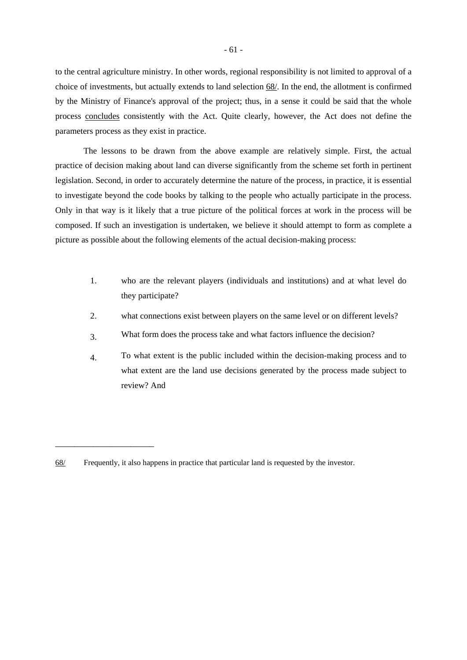to the central agriculture ministry. In other words, regional responsibility is not limited to approval of a choice of investments, but actually extends to land selection 68/. In the end, the allotment is confirmed by the Ministry of Finance's approval of the project; thus, in a sense it could be said that the whole process concludes consistently with the Act. Quite clearly, however, the Act does not define the parameters process as they exist in practice.

The lessons to be drawn from the above example are relatively simple. First, the actual practice of decision making about land can diverse significantly from the scheme set forth in pertinent legislation. Second, in order to accurately determine the nature of the process, in practice, it is essential to investigate beyond the code books by talking to the people who actually participate in the process. Only in that way is it likely that a true picture of the political forces at work in the process will be composed. If such an investigation is undertaken, we believe it should attempt to form as complete a picture as possible about the following elements of the actual decision-making process:

- 1. who are the relevant players (individuals and institutions) and at what level do they participate?
- 2. what connections exist between players on the same level or on different levels?
- 3. What form does the process take and what factors influence the decision?
- 4. To what extent is the public included within the decision-making process and to what extent are the land use decisions generated by the process made subject to review? And

<sup>68/</sup> Frequently, it also happens in practice that particular land is requested by the investor.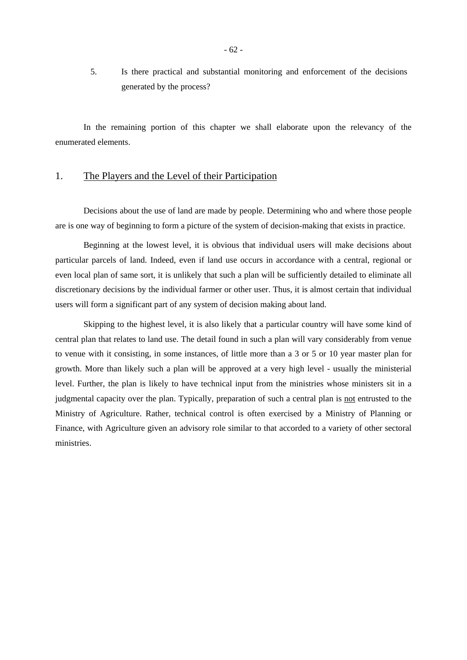5. Is there practical and substantial monitoring and enforcement of the decisions generated by the process?

In the remaining portion of this chapter we shall elaborate upon the relevancy of the enumerated elements.

## 1. The Players and the Level of their Participation

Decisions about the use of land are made by people. Determining who and where those people are is one way of beginning to form a picture of the system of decision-making that exists in practice.

Beginning at the lowest level, it is obvious that individual users will make decisions about particular parcels of land. Indeed, even if land use occurs in accordance with a central, regional or even local plan of same sort, it is unlikely that such a plan will be sufficiently detailed to eliminate all discretionary decisions by the individual farmer or other user. Thus, it is almost certain that individual users will form a significant part of any system of decision making about land.

Skipping to the highest level, it is also likely that a particular country will have some kind of central plan that relates to land use. The detail found in such a plan will vary considerably from venue to venue with it consisting, in some instances, of little more than a 3 or 5 or 10 year master plan for growth. More than likely such a plan will be approved at a very high level - usually the ministerial level. Further, the plan is likely to have technical input from the ministries whose ministers sit in a judgmental capacity over the plan. Typically, preparation of such a central plan is not entrusted to the Ministry of Agriculture. Rather, technical control is often exercised by a Ministry of Planning or Finance, with Agriculture given an advisory role similar to that accorded to a variety of other sectoral ministries.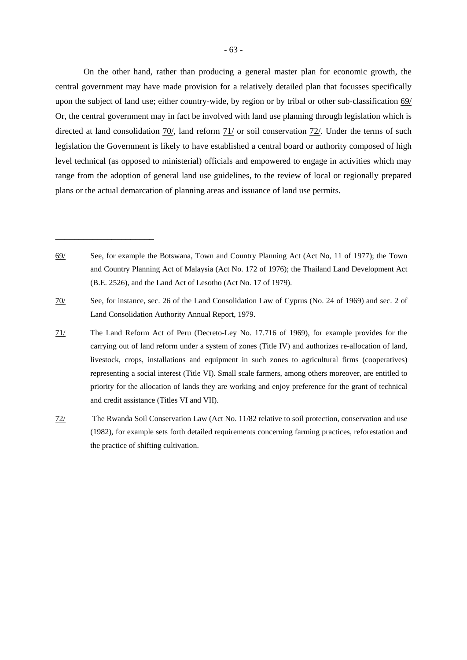On the other hand, rather than producing a general master plan for economic growth, the central government may have made provision for a relatively detailed plan that focusses specifically upon the subject of land use; either country-wide, by region or by tribal or other sub-classification 69/ Or, the central government may in fact be involved with land use planning through legislation which is directed at land consolidation 70/, land reform 71/ or soil conservation 72/. Under the terms of such legislation the Government is likely to have established a central board or authority composed of high level technical (as opposed to ministerial) officials and empowered to engage in activities which may range from the adoption of general land use guidelines, to the review of local or regionally prepared

- 71/ The Land Reform Act of Peru (Decreto-Ley No. 17.716 of 1969), for example provides for the carrying out of land reform under a system of zones (Title IV) and authorizes re-allocation of land, livestock, crops, installations and equipment in such zones to agricultural firms (cooperatives) representing a social interest (Title VI). Small scale farmers, among others moreover, are entitled to priority for the allocation of lands they are working and enjoy preference for the grant of technical and credit assistance (Titles VI and VII).
- 72/ The Rwanda Soil Conservation Law (Act No. 11/82 relative to soil protection, conservation and use (1982), for example sets forth detailed requirements concerning farming practices, reforestation and the practice of shifting cultivation.

plans or the actual demarcation of planning areas and issuance of land use permits.

<sup>69/</sup> See, for example the Botswana, Town and Country Planning Act (Act No, 11 of 1977); the Town and Country Planning Act of Malaysia (Act No. 172 of 1976); the Thailand Land Development Act (B.E. 2526), and the Land Act of Lesotho (Act No. 17 of 1979).

<sup>70/</sup> See, for instance, sec. 26 of the Land Consolidation Law of Cyprus (No. 24 of 1969) and sec. 2 of Land Consolidation Authority Annual Report, 1979.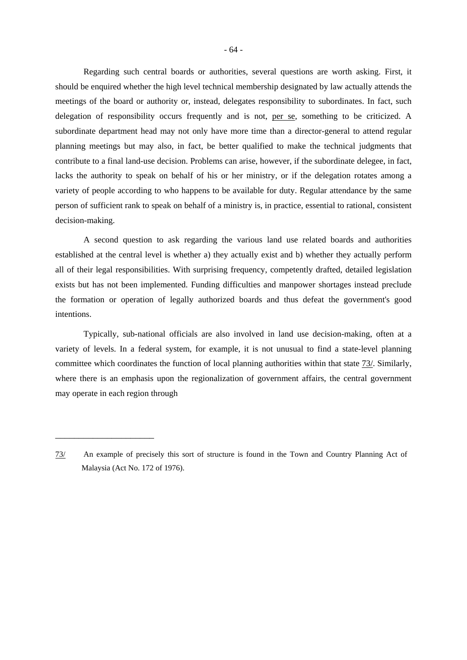Regarding such central boards or authorities, several questions are worth asking. First, it should be enquired whether the high level technical membership designated by law actually attends the meetings of the board or authority or, instead, delegates responsibility to subordinates. In fact, such delegation of responsibility occurs frequently and is not, per se, something to be criticized. A subordinate department head may not only have more time than a director-general to attend regular planning meetings but may also, in fact, be better qualified to make the technical judgments that contribute to a final land-use decision. Problems can arise, however, if the subordinate delegee, in fact, lacks the authority to speak on behalf of his or her ministry, or if the delegation rotates among a variety of people according to who happens to be available for duty. Regular attendance by the same person of sufficient rank to speak on behalf of a ministry is, in practice, essential to rational, consistent decision-making.

A second question to ask regarding the various land use related boards and authorities established at the central level is whether a) they actually exist and b) whether they actually perform all of their legal responsibilities. With surprising frequency, competently drafted, detailed legislation exists but has not been implemented. Funding difficulties and manpower shortages instead preclude the formation or operation of legally authorized boards and thus defeat the government's good intentions.

Typically, sub-national officials are also involved in land use decision-making, often at a variety of levels. In a federal system, for example, it is not unusual to find a state-level planning committee which coordinates the function of local planning authorities within that state 73/. Similarly, where there is an emphasis upon the regionalization of government affairs, the central government may operate in each region through

<sup>73/</sup> An example of precisely this sort of structure is found in the Town and Country Planning Act of Malaysia (Act No. 172 of 1976).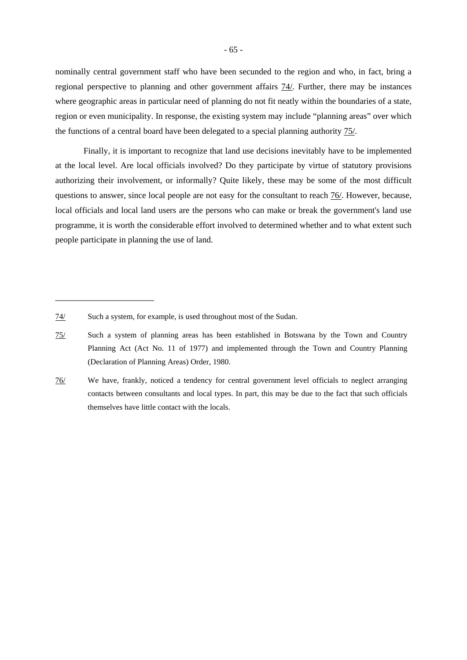nominally central government staff who have been secunded to the region and who, in fact, bring a regional perspective to planning and other government affairs 74/. Further, there may be instances where geographic areas in particular need of planning do not fit neatly within the boundaries of a state, region or even municipality. In response, the existing system may include "planning areas" over which the functions of a central board have been delegated to a special planning authority 75/.

Finally, it is important to recognize that land use decisions inevitably have to be implemented at the local level. Are local officials involved? Do they participate by virtue of statutory provisions authorizing their involvement, or informally? Quite likely, these may be some of the most difficult questions to answer, since local people are not easy for the consultant to reach 76/. However, because, local officials and local land users are the persons who can make or break the government's land use programme, it is worth the considerable effort involved to determined whether and to what extent such people participate in planning the use of land.

<sup>74/</sup> Such a system, for example, is used throughout most of the Sudan.

<sup>75/</sup> Such a system of planning areas has been established in Botswana by the Town and Country Planning Act (Act No. 11 of 1977) and implemented through the Town and Country Planning (Declaration of Planning Areas) Order, 1980.

<sup>76/</sup> We have, frankly, noticed a tendency for central government level officials to neglect arranging contacts between consultants and local types. In part, this may be due to the fact that such officials themselves have little contact with the locals.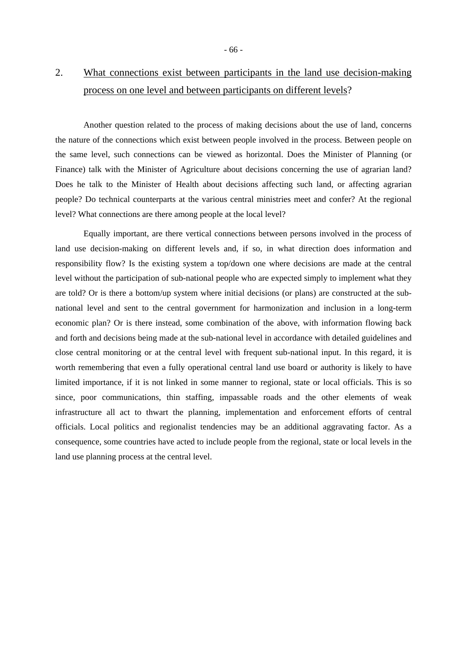## 2. What connections exist between participants in the land use decision-making process on one level and between participants on different levels?

Another question related to the process of making decisions about the use of land, concerns the nature of the connections which exist between people involved in the process. Between people on the same level, such connections can be viewed as horizontal. Does the Minister of Planning (or Finance) talk with the Minister of Agriculture about decisions concerning the use of agrarian land? Does he talk to the Minister of Health about decisions affecting such land, or affecting agrarian people? Do technical counterparts at the various central ministries meet and confer? At the regional level? What connections are there among people at the local level?

Equally important, are there vertical connections between persons involved in the process of land use decision-making on different levels and, if so, in what direction does information and responsibility flow? Is the existing system a top/down one where decisions are made at the central level without the participation of sub-national people who are expected simply to implement what they are told? Or is there a bottom/up system where initial decisions (or plans) are constructed at the subnational level and sent to the central government for harmonization and inclusion in a long-term economic plan? Or is there instead, some combination of the above, with information flowing back and forth and decisions being made at the sub-national level in accordance with detailed guidelines and close central monitoring or at the central level with frequent sub-national input. In this regard, it is worth remembering that even a fully operational central land use board or authority is likely to have limited importance, if it is not linked in some manner to regional, state or local officials. This is so since, poor communications, thin staffing, impassable roads and the other elements of weak infrastructure all act to thwart the planning, implementation and enforcement efforts of central officials. Local politics and regionalist tendencies may be an additional aggravating factor. As a consequence, some countries have acted to include people from the regional, state or local levels in the land use planning process at the central level.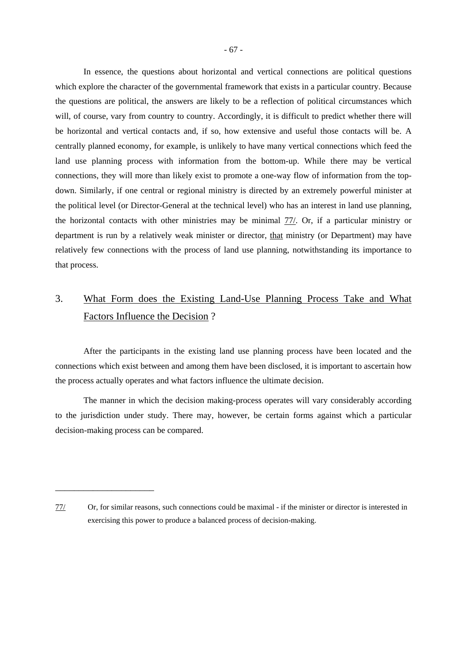In essence, the questions about horizontal and vertical connections are political questions which explore the character of the governmental framework that exists in a particular country. Because the questions are political, the answers are likely to be a reflection of political circumstances which will, of course, vary from country to country. Accordingly, it is difficult to predict whether there will be horizontal and vertical contacts and, if so, how extensive and useful those contacts will be. A centrally planned economy, for example, is unlikely to have many vertical connections which feed the land use planning process with information from the bottom-up. While there may be vertical connections, they will more than likely exist to promote a one-way flow of information from the topdown. Similarly, if one central or regional ministry is directed by an extremely powerful minister at the political level (or Director-General at the technical level) who has an interest in land use planning, the horizontal contacts with other ministries may be minimal 77/. Or, if a particular ministry or department is run by a relatively weak minister or director, that ministry (or Department) may have relatively few connections with the process of land use planning, notwithstanding its importance to that process.

## 3. What Form does the Existing Land-Use Planning Process Take and What Factors Influence the Decision ?

After the participants in the existing land use planning process have been located and the connections which exist between and among them have been disclosed, it is important to ascertain how the process actually operates and what factors influence the ultimate decision.

The manner in which the decision making-process operates will vary considerably according to the jurisdiction under study. There may, however, be certain forms against which a particular decision-making process can be compared.

<sup>77/</sup> Or, for similar reasons, such connections could be maximal - if the minister or director is interested in exercising this power to produce a balanced process of decision-making.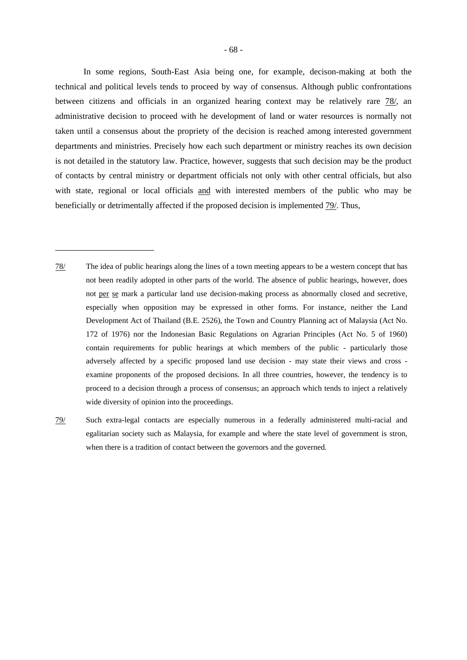In some regions, South-East Asia being one, for example, decison-making at both the technical and political levels tends to proceed by way of consensus. Although public confrontations between citizens and officials in an organized hearing context may be relatively rare 78/, an administrative decision to proceed with he development of land or water resources is normally not taken until a consensus about the propriety of the decision is reached among interested government departments and ministries. Precisely how each such department or ministry reaches its own decision is not detailed in the statutory law. Practice, however, suggests that such decision may be the product of contacts by central ministry or department officials not only with other central officials, but also with state, regional or local officials and with interested members of the public who may be beneficially or detrimentally affected if the proposed decision is implemented 79/. Thus,

78/ The idea of public hearings along the lines of a town meeting appears to be a western concept that has not been readily adopted in other parts of the world. The absence of public hearings, however, does not per se mark a particular land use decision-making process as abnormally closed and secretive, especially when opposition may be expressed in other forms. For instance, neither the Land Development Act of Thailand (B.E. 2526), the Town and Country Planning act of Malaysia (Act No. 172 of 1976) nor the Indonesian Basic Regulations on Agrarian Principles (Act No. 5 of 1960) contain requirements for public hearings at which members of the public - particularly those adversely affected by a specific proposed land use decision - may state their views and cross examine proponents of the proposed decisions. In all three countries, however, the tendency is to proceed to a decision through a process of consensus; an approach which tends to inject a relatively wide diversity of opinion into the proceedings.

\_\_\_\_\_\_\_\_\_\_\_\_\_\_\_\_\_\_\_\_\_

79/ Such extra-legal contacts are especially numerous in a federally administered multi-racial and egalitarian society such as Malaysia, for example and where the state level of government is stron, when there is a tradition of contact between the governors and the governed.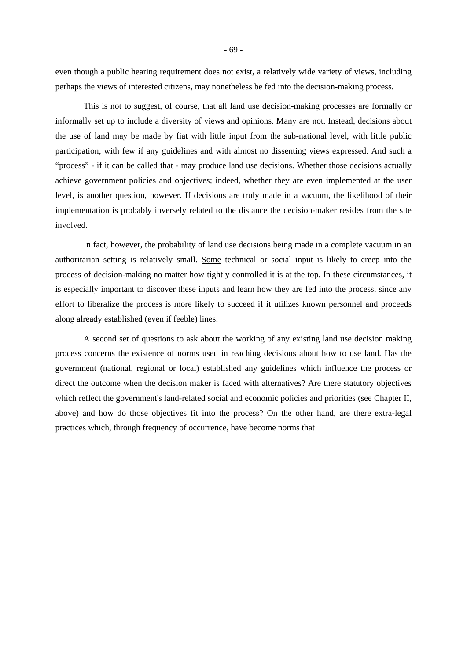even though a public hearing requirement does not exist, a relatively wide variety of views, including perhaps the views of interested citizens, may nonetheless be fed into the decision-making process.

This is not to suggest, of course, that all land use decision-making processes are formally or informally set up to include a diversity of views and opinions. Many are not. Instead, decisions about the use of land may be made by fiat with little input from the sub-national level, with little public participation, with few if any guidelines and with almost no dissenting views expressed. And such a "process" - if it can be called that - may produce land use decisions. Whether those decisions actually achieve government policies and objectives; indeed, whether they are even implemented at the user level, is another question, however. If decisions are truly made in a vacuum, the likelihood of their implementation is probably inversely related to the distance the decision-maker resides from the site involved.

In fact, however, the probability of land use decisions being made in a complete vacuum in an authoritarian setting is relatively small. Some technical or social input is likely to creep into the process of decision-making no matter how tightly controlled it is at the top. In these circumstances, it is especially important to discover these inputs and learn how they are fed into the process, since any effort to liberalize the process is more likely to succeed if it utilizes known personnel and proceeds along already established (even if feeble) lines.

A second set of questions to ask about the working of any existing land use decision making process concerns the existence of norms used in reaching decisions about how to use land. Has the government (national, regional or local) established any guidelines which influence the process or direct the outcome when the decision maker is faced with alternatives? Are there statutory objectives which reflect the government's land-related social and economic policies and priorities (see Chapter II, above) and how do those objectives fit into the process? On the other hand, are there extra-legal practices which, through frequency of occurrence, have become norms that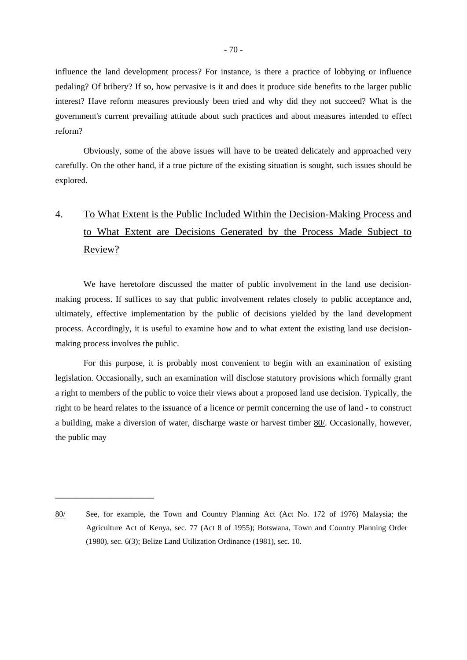influence the land development process? For instance, is there a practice of lobbying or influence pedaling? Of bribery? If so, how pervasive is it and does it produce side benefits to the larger public interest? Have reform measures previously been tried and why did they not succeed? What is the government's current prevailing attitude about such practices and about measures intended to effect reform?

Obviously, some of the above issues will have to be treated delicately and approached very carefully. On the other hand, if a true picture of the existing situation is sought, such issues should be explored.

## 4. To What Extent is the Public Included Within the Decision-Making Process and to What Extent are Decisions Generated by the Process Made Subject to Review?

We have heretofore discussed the matter of public involvement in the land use decisionmaking process. If suffices to say that public involvement relates closely to public acceptance and, ultimately, effective implementation by the public of decisions yielded by the land development process. Accordingly, it is useful to examine how and to what extent the existing land use decisionmaking process involves the public.

For this purpose, it is probably most convenient to begin with an examination of existing legislation. Occasionally, such an examination will disclose statutory provisions which formally grant a right to members of the public to voice their views about a proposed land use decision. Typically, the right to be heard relates to the issuance of a licence or permit concerning the use of land - to construct a building, make a diversion of water, discharge waste or harvest timber 80/. Occasionally, however, the public may

<sup>80/</sup> See, for example, the Town and Country Planning Act (Act No. 172 of 1976) Malaysia; the Agriculture Act of Kenya, sec. 77 (Act 8 of 1955); Botswana, Town and Country Planning Order (1980), sec. 6(3); Belize Land Utilization Ordinance (1981), sec. 10.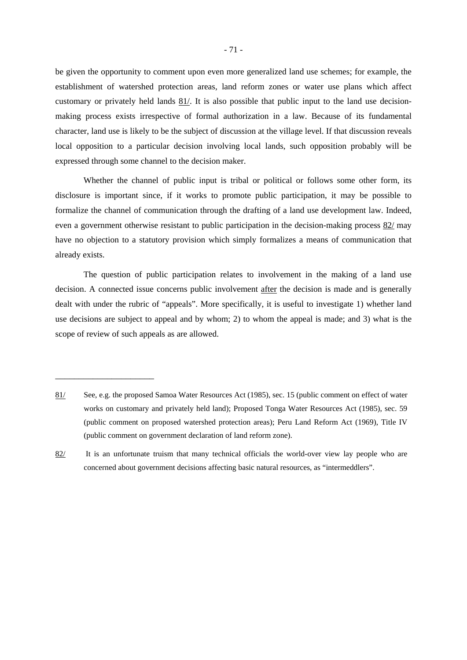be given the opportunity to comment upon even more generalized land use schemes; for example, the establishment of watershed protection areas, land reform zones or water use plans which affect customary or privately held lands 81/. It is also possible that public input to the land use decisionmaking process exists irrespective of formal authorization in a law. Because of its fundamental character, land use is likely to be the subject of discussion at the village level. If that discussion reveals local opposition to a particular decision involving local lands, such opposition probably will be expressed through some channel to the decision maker.

Whether the channel of public input is tribal or political or follows some other form, its disclosure is important since, if it works to promote public participation, it may be possible to formalize the channel of communication through the drafting of a land use development law. Indeed, even a government otherwise resistant to public participation in the decision-making process 82/ may have no objection to a statutory provision which simply formalizes a means of communication that already exists.

The question of public participation relates to involvement in the making of a land use decision. A connected issue concerns public involvement after the decision is made and is generally dealt with under the rubric of "appeals". More specifically, it is useful to investigate 1) whether land use decisions are subject to appeal and by whom; 2) to whom the appeal is made; and 3) what is the scope of review of such appeals as are allowed.

<sup>81/</sup> See, e.g. the proposed Samoa Water Resources Act (1985), sec. 15 (public comment on effect of water works on customary and privately held land); Proposed Tonga Water Resources Act (1985), sec. 59 (public comment on proposed watershed protection areas); Peru Land Reform Act (1969), Title IV (public comment on government declaration of land reform zone).

<sup>82/</sup> It is an unfortunate truism that many technical officials the world-over view lay people who are concerned about government decisions affecting basic natural resources, as "intermeddlers".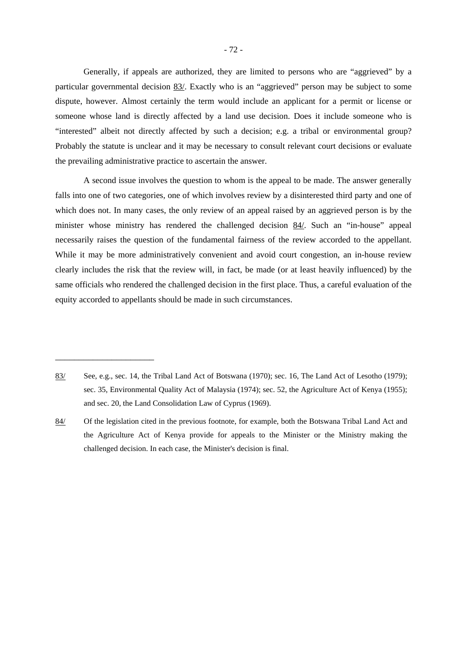Generally, if appeals are authorized, they are limited to persons who are "aggrieved" by a particular governmental decision 83/. Exactly who is an "aggrieved" person may be subject to some dispute, however. Almost certainly the term would include an applicant for a permit or license or someone whose land is directly affected by a land use decision. Does it include someone who is "interested" albeit not directly affected by such a decision; e.g. a tribal or environmental group? Probably the statute is unclear and it may be necessary to consult relevant court decisions or evaluate the prevailing administrative practice to ascertain the answer.

A second issue involves the question to whom is the appeal to be made. The answer generally falls into one of two categories, one of which involves review by a disinterested third party and one of which does not. In many cases, the only review of an appeal raised by an aggrieved person is by the minister whose ministry has rendered the challenged decision 84/. Such an "in-house" appeal necessarily raises the question of the fundamental fairness of the review accorded to the appellant. While it may be more administratively convenient and avoid court congestion, an in-house review clearly includes the risk that the review will, in fact, be made (or at least heavily influenced) by the same officials who rendered the challenged decision in the first place. Thus, a careful evaluation of the equity accorded to appellants should be made in such circumstances.

<sup>83/</sup> See, e.g., sec. 14, the Tribal Land Act of Botswana (1970); sec. 16, The Land Act of Lesotho (1979); sec. 35, Environmental Quality Act of Malaysia (1974); sec. 52, the Agriculture Act of Kenya (1955); and sec. 20, the Land Consolidation Law of Cyprus (1969).

<sup>84/</sup> Of the legislation cited in the previous footnote, for example, both the Botswana Tribal Land Act and the Agriculture Act of Kenya provide for appeals to the Minister or the Ministry making the challenged decision. In each case, the Minister's decision is final.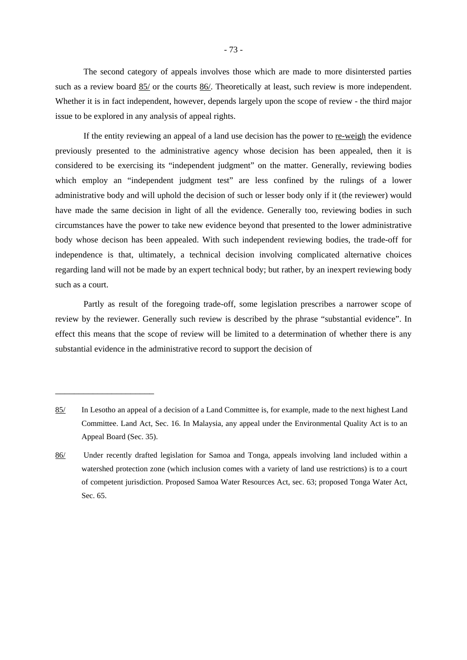The second category of appeals involves those which are made to more disintersted parties such as a review board 85/ or the courts 86/. Theoretically at least, such review is more independent. Whether it is in fact independent, however, depends largely upon the scope of review - the third major issue to be explored in any analysis of appeal rights.

If the entity reviewing an appeal of a land use decision has the power to re-weigh the evidence previously presented to the administrative agency whose decision has been appealed, then it is considered to be exercising its "independent judgment" on the matter. Generally, reviewing bodies which employ an "independent judgment test" are less confined by the rulings of a lower administrative body and will uphold the decision of such or lesser body only if it (the reviewer) would have made the same decision in light of all the evidence. Generally too, reviewing bodies in such circumstances have the power to take new evidence beyond that presented to the lower administrative body whose decison has been appealed. With such independent reviewing bodies, the trade-off for independence is that, ultimately, a technical decision involving complicated alternative choices regarding land will not be made by an expert technical body; but rather, by an inexpert reviewing body such as a court.

Partly as result of the foregoing trade-off, some legislation prescribes a narrower scope of review by the reviewer. Generally such review is described by the phrase "substantial evidence". In effect this means that the scope of review will be limited to a determination of whether there is any substantial evidence in the administrative record to support the decision of

<sup>85/</sup> In Lesotho an appeal of a decision of a Land Committee is, for example, made to the next highest Land Committee. Land Act, Sec. 16. In Malaysia, any appeal under the Environmental Quality Act is to an Appeal Board (Sec. 35).

<sup>86/</sup> Under recently drafted legislation for Samoa and Tonga, appeals involving land included within a watershed protection zone (which inclusion comes with a variety of land use restrictions) is to a court of competent jurisdiction. Proposed Samoa Water Resources Act, sec. 63; proposed Tonga Water Act, Sec. 65.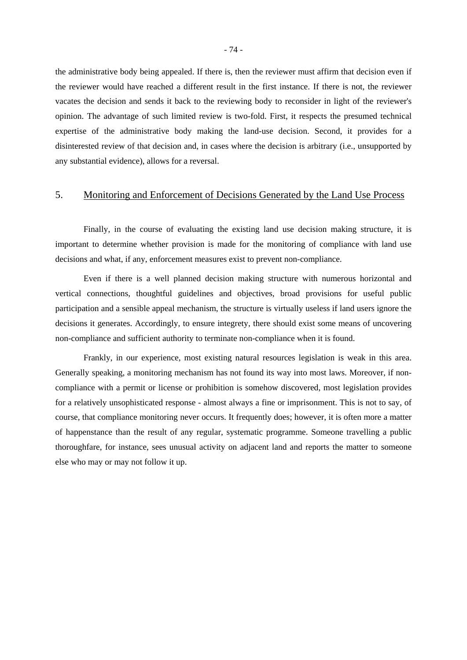the administrative body being appealed. If there is, then the reviewer must affirm that decision even if the reviewer would have reached a different result in the first instance. If there is not, the reviewer vacates the decision and sends it back to the reviewing body to reconsider in light of the reviewer's opinion. The advantage of such limited review is two-fold. First, it respects the presumed technical expertise of the administrative body making the land-use decision. Second, it provides for a disinterested review of that decision and, in cases where the decision is arbitrary (i.e., unsupported by any substantial evidence), allows for a reversal.

## 5. Monitoring and Enforcement of Decisions Generated by the Land Use Process

Finally, in the course of evaluating the existing land use decision making structure, it is important to determine whether provision is made for the monitoring of compliance with land use decisions and what, if any, enforcement measures exist to prevent non-compliance.

Even if there is a well planned decision making structure with numerous horizontal and vertical connections, thoughtful guidelines and objectives, broad provisions for useful public participation and a sensible appeal mechanism, the structure is virtually useless if land users ignore the decisions it generates. Accordingly, to ensure integrety, there should exist some means of uncovering non-compliance and sufficient authority to terminate non-compliance when it is found.

Frankly, in our experience, most existing natural resources legislation is weak in this area. Generally speaking, a monitoring mechanism has not found its way into most laws. Moreover, if noncompliance with a permit or license or prohibition is somehow discovered, most legislation provides for a relatively unsophisticated response - almost always a fine or imprisonment. This is not to say, of course, that compliance monitoring never occurs. It frequently does; however, it is often more a matter of happenstance than the result of any regular, systematic programme. Someone travelling a public thoroughfare, for instance, sees unusual activity on adjacent land and reports the matter to someone else who may or may not follow it up.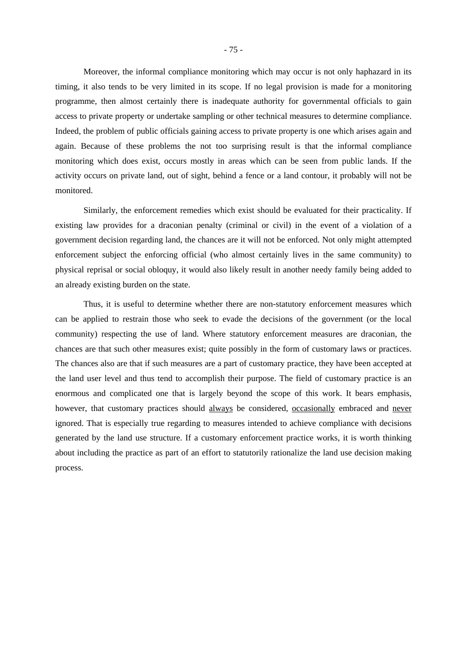Moreover, the informal compliance monitoring which may occur is not only haphazard in its timing, it also tends to be very limited in its scope. If no legal provision is made for a monitoring programme, then almost certainly there is inadequate authority for governmental officials to gain access to private property or undertake sampling or other technical measures to determine compliance. Indeed, the problem of public officials gaining access to private property is one which arises again and again. Because of these problems the not too surprising result is that the informal compliance monitoring which does exist, occurs mostly in areas which can be seen from public lands. If the activity occurs on private land, out of sight, behind a fence or a land contour, it probably will not be monitored.

Similarly, the enforcement remedies which exist should be evaluated for their practicality. If existing law provides for a draconian penalty (criminal or civil) in the event of a violation of a government decision regarding land, the chances are it will not be enforced. Not only might attempted enforcement subject the enforcing official (who almost certainly lives in the same community) to physical reprisal or social obloquy, it would also likely result in another needy family being added to an already existing burden on the state.

Thus, it is useful to determine whether there are non-statutory enforcement measures which can be applied to restrain those who seek to evade the decisions of the government (or the local community) respecting the use of land. Where statutory enforcement measures are draconian, the chances are that such other measures exist; quite possibly in the form of customary laws or practices. The chances also are that if such measures are a part of customary practice, they have been accepted at the land user level and thus tend to accomplish their purpose. The field of customary practice is an enormous and complicated one that is largely beyond the scope of this work. It bears emphasis, however, that customary practices should always be considered, occasionally embraced and never ignored. That is especially true regarding to measures intended to achieve compliance with decisions generated by the land use structure. If a customary enforcement practice works, it is worth thinking about including the practice as part of an effort to statutorily rationalize the land use decision making process.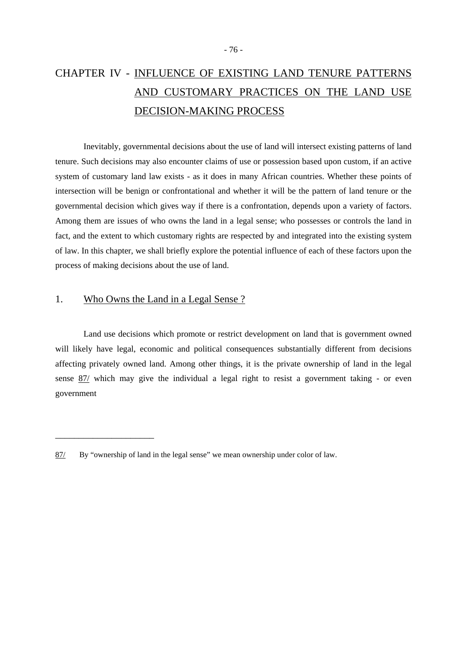# CHAPTER IV - INFLUENCE OF EXISTING LAND TENURE PATTERNS AND CUSTOMARY PRACTICES ON THE LAND USE DECISION-MAKING PROCESS

Inevitably, governmental decisions about the use of land will intersect existing patterns of land tenure. Such decisions may also encounter claims of use or possession based upon custom, if an active system of customary land law exists - as it does in many African countries. Whether these points of intersection will be benign or confrontational and whether it will be the pattern of land tenure or the governmental decision which gives way if there is a confrontation, depends upon a variety of factors. Among them are issues of who owns the land in a legal sense; who possesses or controls the land in fact, and the extent to which customary rights are respected by and integrated into the existing system of law. In this chapter, we shall briefly explore the potential influence of each of these factors upon the process of making decisions about the use of land.

## 1. Who Owns the Land in a Legal Sense ?

\_\_\_\_\_\_\_\_\_\_\_\_\_\_\_\_\_\_\_\_\_

Land use decisions which promote or restrict development on land that is government owned will likely have legal, economic and political consequences substantially different from decisions affecting privately owned land. Among other things, it is the private ownership of land in the legal sense 87/ which may give the individual a legal right to resist a government taking - or even government

<sup>87/</sup> By "ownership of land in the legal sense" we mean ownership under color of law.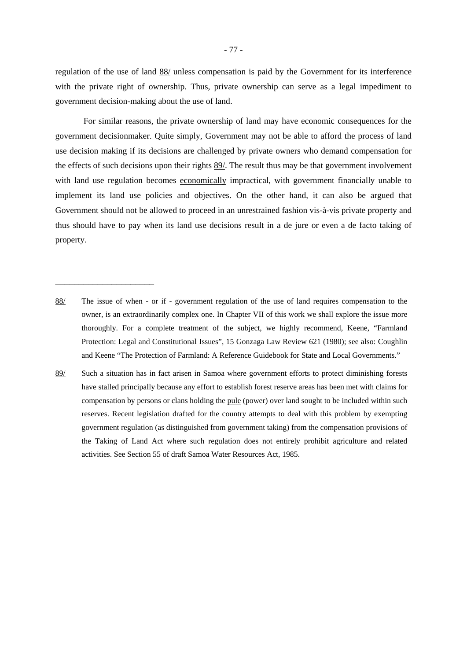regulation of the use of land 88/ unless compensation is paid by the Government for its interference with the private right of ownership. Thus, private ownership can serve as a legal impediment to government decision-making about the use of land.

For similar reasons, the private ownership of land may have economic consequences for the government decisionmaker. Quite simply, Government may not be able to afford the process of land use decision making if its decisions are challenged by private owners who demand compensation for the effects of such decisions upon their rights 89/. The result thus may be that government involvement with land use regulation becomes economically impractical, with government financially unable to implement its land use policies and objectives. On the other hand, it can also be argued that Government should not be allowed to proceed in an unrestrained fashion vis-à-vis private property and thus should have to pay when its land use decisions result in a de jure or even a de facto taking of property.

88/ The issue of when - or if - government regulation of the use of land requires compensation to the owner, is an extraordinarily complex one. In Chapter VII of this work we shall explore the issue more thoroughly. For a complete treatment of the subject, we highly recommend, Keene, "Farmland Protection: Legal and Constitutional Issues", 15 Gonzaga Law Review 621 (1980); see also: Coughlin and Keene "The Protection of Farmland: A Reference Guidebook for State and Local Governments."

\_\_\_\_\_\_\_\_\_\_\_\_\_\_\_\_\_\_\_\_\_

89/ Such a situation has in fact arisen in Samoa where government efforts to protect diminishing forests have stalled principally because any effort to establish forest reserve areas has been met with claims for compensation by persons or clans holding the pule (power) over land sought to be included within such reserves. Recent legislation drafted for the country attempts to deal with this problem by exempting government regulation (as distinguished from government taking) from the compensation provisions of the Taking of Land Act where such regulation does not entirely prohibit agriculture and related activities. See Section 55 of draft Samoa Water Resources Act, 1985.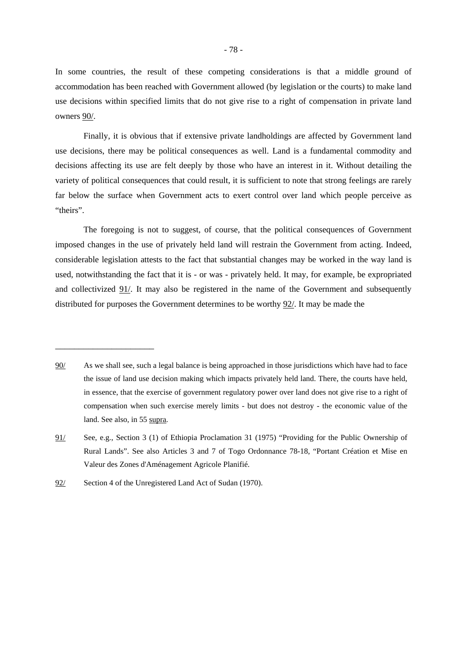In some countries, the result of these competing considerations is that a middle ground of accommodation has been reached with Government allowed (by legislation or the courts) to make land use decisions within specified limits that do not give rise to a right of compensation in private land owners 90/.

Finally, it is obvious that if extensive private landholdings are affected by Government land use decisions, there may be political consequences as well. Land is a fundamental commodity and decisions affecting its use are felt deeply by those who have an interest in it. Without detailing the variety of political consequences that could result, it is sufficient to note that strong feelings are rarely far below the surface when Government acts to exert control over land which people perceive as "theirs".

The foregoing is not to suggest, of course, that the political consequences of Government imposed changes in the use of privately held land will restrain the Government from acting. Indeed, considerable legislation attests to the fact that substantial changes may be worked in the way land is used, notwithstanding the fact that it is - or was - privately held. It may, for example, be expropriated and collectivized 91/. It may also be registered in the name of the Government and subsequently distributed for purposes the Government determines to be worthy 92/. It may be made the

<sup>90/</sup> As we shall see, such a legal balance is being approached in those jurisdictions which have had to face the issue of land use decision making which impacts privately held land. There, the courts have held, in essence, that the exercise of government regulatory power over land does not give rise to a right of compensation when such exercise merely limits - but does not destroy - the economic value of the land. See also, in 55 supra.

<sup>91/</sup> See, e.g., Section 3 (1) of Ethiopia Proclamation 31 (1975) "Providing for the Public Ownership of Rural Lands". See also Articles 3 and 7 of Togo Ordonnance 78-18, "Portant Création et Mise en Valeur des Zones d'Aménagement Agricole Planifié.

<sup>92/</sup> Section 4 of the Unregistered Land Act of Sudan (1970).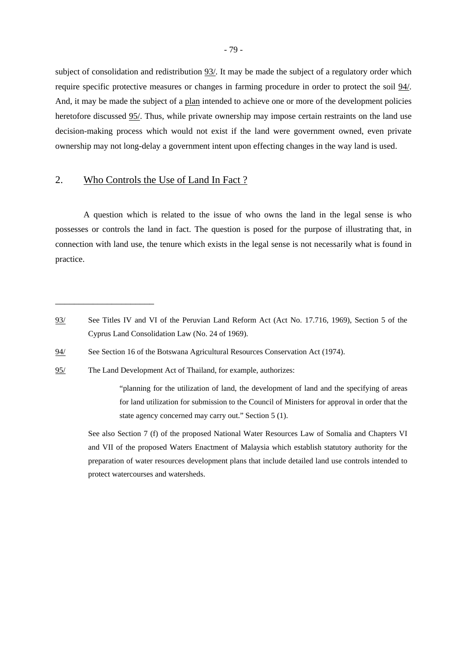subject of consolidation and redistribution 93/. It may be made the subject of a regulatory order which require specific protective measures or changes in farming procedure in order to protect the soil 94/. And, it may be made the subject of a plan intended to achieve one or more of the development policies heretofore discussed 95/. Thus, while private ownership may impose certain restraints on the land use decision-making process which would not exist if the land were government owned, even private ownership may not long-delay a government intent upon effecting changes in the way land is used.

### 2. Who Controls the Use of Land In Fact ?

\_\_\_\_\_\_\_\_\_\_\_\_\_\_\_\_\_\_\_\_\_

A question which is related to the issue of who owns the land in the legal sense is who possesses or controls the land in fact. The question is posed for the purpose of illustrating that, in connection with land use, the tenure which exists in the legal sense is not necessarily what is found in practice.

<sup>93/</sup> See Titles IV and VI of the Peruvian Land Reform Act (Act No. 17.716, 1969), Section 5 of the Cyprus Land Consolidation Law (No. 24 of 1969).

<sup>94/</sup> See Section 16 of the Botswana Agricultural Resources Conservation Act (1974).

<sup>95/</sup> The Land Development Act of Thailand, for example, authorizes:

 <sup>&</sup>quot;planning for the utilization of land, the development of land and the specifying of areas for land utilization for submission to the Council of Ministers for approval in order that the state agency concerned may carry out." Section 5 (1).

See also Section 7 (f) of the proposed National Water Resources Law of Somalia and Chapters VI and VII of the proposed Waters Enactment of Malaysia which establish statutory authority for the preparation of water resources development plans that include detailed land use controls intended to protect watercourses and watersheds.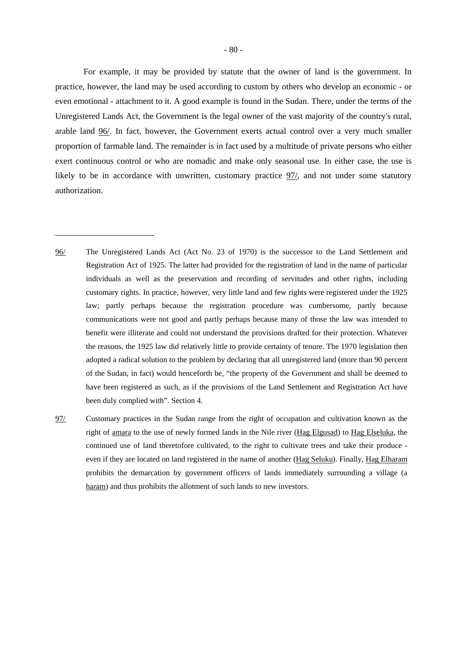For example, it may be provided by statute that the owner of land is the government. In practice, however, the land may be used according to custom by others who develop an economic - or even emotional - attachment to it. A good example is found in the Sudan. There, under the terms of the Unregistered Lands Act, the Government is the legal owner of the vast majority of the country's rural, arable land 96/. In fact, however, the Government exerts actual control over a very much smaller proportion of farmable land. The remainder is in fact used by a multitude of private persons who either exert continuous control or who are nomadic and make only seasonal use. In either case, the use is likely to be in accordance with unwritten, customary practice 97/, and not under some statutory authorization.

96/ The Unregistered Lands Act (Act No. 23 of 1970) is the successor to the Land Settlement and Registration Act of 1925. The latter had provided for the registration of land in the name of particular individuals as well as the preservation and recording of servitudes and other rights, including customary rights. In practice, however, very little land and few rights were registered under the 1925 law; partly perhaps because the registration procedure was cumbersome, partly because communications were not good and partly perhaps because many of those the law was intended to benefit were illiterate and could not understand the provisions drafted for their protection. Whatever the reasons, the 1925 law did relatively little to provide certainty of tenure. The 1970 legislation then adopted a radical solution to the problem by declaring that all unregistered land (more than 90 percent of the Sudan, in fact) would henceforth be, "the property of the Government and shall be deemed to have been registered as such, as if the provisions of the Land Settlement and Registration Act have been duly complied with". Section 4.

\_\_\_\_\_\_\_\_\_\_\_\_\_\_\_\_\_\_\_\_\_

97/ Customary practices in the Sudan range from the right of occupation and cultivation known as the right of amara to the use of newly formed lands in the Nile river (Hag Elgusad) to Hag Elseluka, the continued use of land theretofore cultivated, to the right to cultivate trees and take their produce even if they are located on land registered in the name of another (Hag Seluku). Finally, Hag Elharam prohibits the demarcation by government officers of lands immediately surrounding a village (a haram) and thus prohibits the allotment of such lands to new investors.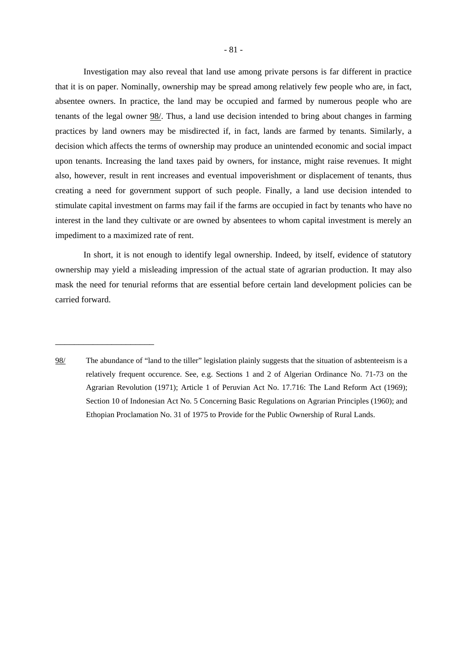Investigation may also reveal that land use among private persons is far different in practice that it is on paper. Nominally, ownership may be spread among relatively few people who are, in fact, absentee owners. In practice, the land may be occupied and farmed by numerous people who are tenants of the legal owner 98/. Thus, a land use decision intended to bring about changes in farming practices by land owners may be misdirected if, in fact, lands are farmed by tenants. Similarly, a decision which affects the terms of ownership may produce an unintended economic and social impact upon tenants. Increasing the land taxes paid by owners, for instance, might raise revenues. It might also, however, result in rent increases and eventual impoverishment or displacement of tenants, thus creating a need for government support of such people. Finally, a land use decision intended to stimulate capital investment on farms may fail if the farms are occupied in fact by tenants who have no interest in the land they cultivate or are owned by absentees to whom capital investment is merely an impediment to a maximized rate of rent.

In short, it is not enough to identify legal ownership. Indeed, by itself, evidence of statutory ownership may yield a misleading impression of the actual state of agrarian production. It may also mask the need for tenurial reforms that are essential before certain land development policies can be carried forward.

<sup>98/</sup> The abundance of "land to the tiller" legislation plainly suggests that the situation of asbtenteeism is a relatively frequent occurence. See, e.g. Sections 1 and 2 of Algerian Ordinance No. 71-73 on the Agrarian Revolution (1971); Article 1 of Peruvian Act No. 17.716: The Land Reform Act (1969); Section 10 of Indonesian Act No. 5 Concerning Basic Regulations on Agrarian Principles (1960); and Ethopian Proclamation No. 31 of 1975 to Provide for the Public Ownership of Rural Lands.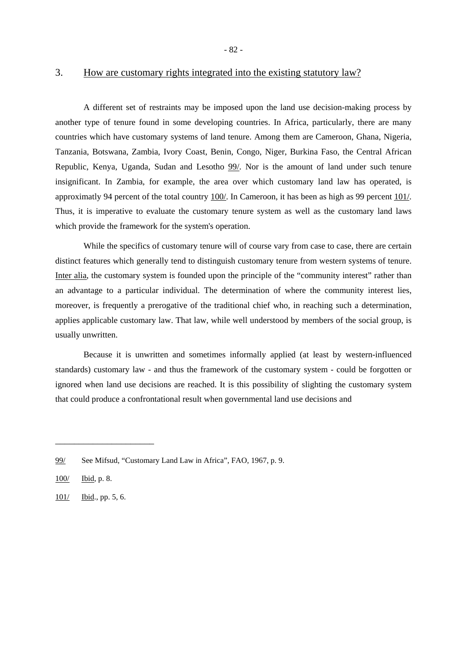#### 3. How are customary rights integrated into the existing statutory law?

A different set of restraints may be imposed upon the land use decision-making process by another type of tenure found in some developing countries. In Africa, particularly, there are many countries which have customary systems of land tenure. Among them are Cameroon, Ghana, Nigeria, Tanzania, Botswana, Zambia, Ivory Coast, Benin, Congo, Niger, Burkina Faso, the Central African Republic, Kenya, Uganda, Sudan and Lesotho 99/. Nor is the amount of land under such tenure insignificant. In Zambia, for example, the area over which customary land law has operated, is approximatly 94 percent of the total country 100/. In Cameroon, it has been as high as 99 percent 101/. Thus, it is imperative to evaluate the customary tenure system as well as the customary land laws which provide the framework for the system's operation.

While the specifics of customary tenure will of course vary from case to case, there are certain distinct features which generally tend to distinguish customary tenure from western systems of tenure. Inter alia, the customary system is founded upon the principle of the "community interest" rather than an advantage to a particular individual. The determination of where the community interest lies, moreover, is frequently a prerogative of the traditional chief who, in reaching such a determination, applies applicable customary law. That law, while well understood by members of the social group, is usually unwritten.

Because it is unwritten and sometimes informally applied (at least by western-influenced standards) customary law - and thus the framework of the customary system - could be forgotten or ignored when land use decisions are reached. It is this possibility of slighting the customary system that could produce a confrontational result when governmental land use decisions and

<sup>99/</sup> See Mifsud, "Customary Land Law in Africa", FAO, 1967, p. 9.

<sup>100/</sup> Ibid, p. 8.

<sup>101/</sup> Ibid., pp. 5, 6.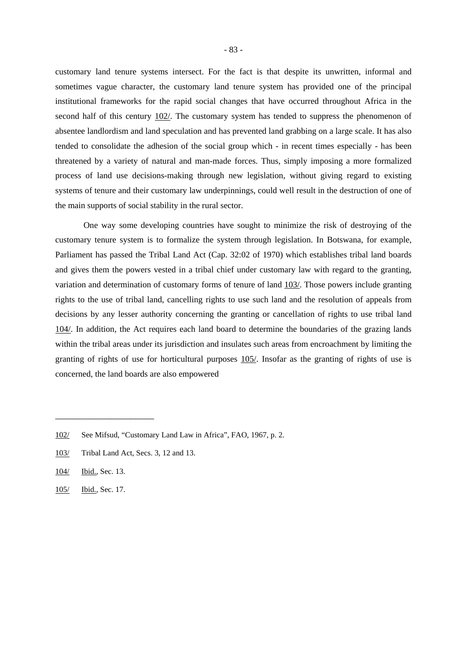customary land tenure systems intersect. For the fact is that despite its unwritten, informal and sometimes vague character, the customary land tenure system has provided one of the principal institutional frameworks for the rapid social changes that have occurred throughout Africa in the second half of this century 102/. The customary system has tended to suppress the phenomenon of absentee landlordism and land speculation and has prevented land grabbing on a large scale. It has also tended to consolidate the adhesion of the social group which - in recent times especially - has been threatened by a variety of natural and man-made forces. Thus, simply imposing a more formalized process of land use decisions-making through new legislation, without giving regard to existing systems of tenure and their customary law underpinnings, could well result in the destruction of one of the main supports of social stability in the rural sector.

One way some developing countries have sought to minimize the risk of destroying of the customary tenure system is to formalize the system through legislation. In Botswana, for example, Parliament has passed the Tribal Land Act (Cap. 32:02 of 1970) which establishes tribal land boards and gives them the powers vested in a tribal chief under customary law with regard to the granting, variation and determination of customary forms of tenure of land 103/. Those powers include granting rights to the use of tribal land, cancelling rights to use such land and the resolution of appeals from decisions by any lesser authority concerning the granting or cancellation of rights to use tribal land 104/. In addition, the Act requires each land board to determine the boundaries of the grazing lands within the tribal areas under its jurisdiction and insulates such areas from encroachment by limiting the granting of rights of use for horticultural purposes 105/. Insofar as the granting of rights of use is concerned, the land boards are also empowered

<sup>102/</sup> See Mifsud, "Customary Land Law in Africa", FAO, 1967, p. 2.

<sup>103/</sup> Tribal Land Act, Secs. 3, 12 and 13.

<sup>104/</sup> Ibid., Sec. 13.

<sup>105/</sup> Ibid., Sec. 17.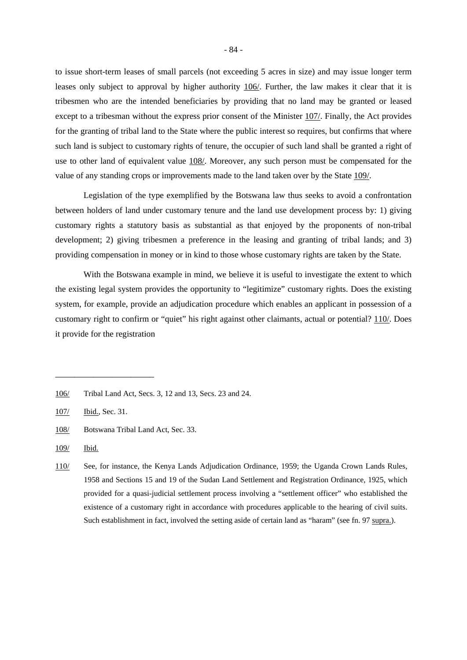to issue short-term leases of small parcels (not exceeding 5 acres in size) and may issue longer term leases only subject to approval by higher authority 106/. Further, the law makes it clear that it is tribesmen who are the intended beneficiaries by providing that no land may be granted or leased except to a tribesman without the express prior consent of the Minister 107/. Finally, the Act provides for the granting of tribal land to the State where the public interest so requires, but confirms that where such land is subject to customary rights of tenure, the occupier of such land shall be granted a right of use to other land of equivalent value 108/. Moreover, any such person must be compensated for the value of any standing crops or improvements made to the land taken over by the State 109/.

Legislation of the type exemplified by the Botswana law thus seeks to avoid a confrontation between holders of land under customary tenure and the land use development process by: 1) giving customary rights a statutory basis as substantial as that enjoyed by the proponents of non-tribal development; 2) giving tribesmen a preference in the leasing and granting of tribal lands; and 3) providing compensation in money or in kind to those whose customary rights are taken by the State.

With the Botswana example in mind, we believe it is useful to investigate the extent to which the existing legal system provides the opportunity to "legitimize" customary rights. Does the existing system, for example, provide an adjudication procedure which enables an applicant in possession of a customary right to confirm or "quiet" his right against other claimants, actual or potential? 110/. Does it provide for the registration

<sup>106/</sup> Tribal Land Act, Secs. 3, 12 and 13, Secs. 23 and 24.

<sup>107/</sup> Ibid., Sec. 31.

<sup>108/</sup> Botswana Tribal Land Act, Sec. 33.

<sup>109/</sup> Ibid.

<sup>110/</sup> See, for instance, the Kenya Lands Adjudication Ordinance, 1959; the Uganda Crown Lands Rules, 1958 and Sections 15 and 19 of the Sudan Land Settlement and Registration Ordinance, 1925, which provided for a quasi-judicial settlement process involving a "settlement officer" who established the existence of a customary right in accordance with procedures applicable to the hearing of civil suits. Such establishment in fact, involved the setting aside of certain land as "haram" (see fn. 97 supra.).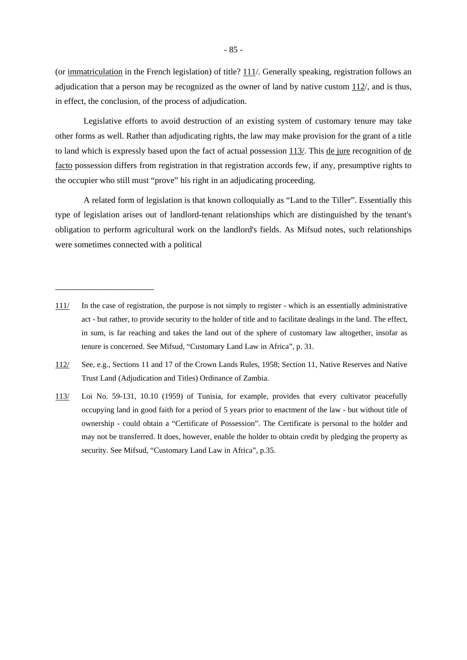(or immatriculation in the French legislation) of title? 111/. Generally speaking, registration follows an adjudication that a person may be recognized as the owner of land by native custom 112/, and is thus, in effect, the conclusion, of the process of adjudication.

Legislative efforts to avoid destruction of an existing system of customary tenure may take other forms as well. Rather than adjudicating rights, the law may make provision for the grant of a title to land which is expressly based upon the fact of actual possession 113/. This de jure recognition of de facto possession differs from registration in that registration accords few, if any, presumptive rights to the occupier who still must "prove" his right in an adjudicating proceeding.

A related form of legislation is that known colloquially as "Land to the Tiller". Essentially this type of legislation arises out of landlord-tenant relationships which are distinguished by the tenant's obligation to perform agricultural work on the landlord's fields. As Mifsud notes, such relationships were sometimes connected with a political

<sup>111/</sup> In the case of registration, the purpose is not simply to register - which is an essentially administrative act - but rather, to provide security to the holder of title and to facilitate dealings in the land. The effect, in sum, is far reaching and takes the land out of the sphere of customary law altogether, insofar as tenure is concerned. See Mifsud, "Customary Land Law in Africa", p. 31.

<sup>112/</sup> See, e.g., Sections 11 and 17 of the Crown Lands Rules, 1958; Section 11, Native Reserves and Native Trust Land (Adjudication and Titles) Ordinance of Zambia.

<sup>113/</sup> Loi No. 59-131, 10.10 (1959) of Tunisia, for example, provides that every cultivator peacefully occupying land in good faith for a period of 5 years prior to enactment of the law - but without title of ownership - could obtain a "Certificate of Possession". The Certificate is personal to the holder and may not be transferred. It does, however, enable the holder to obtain credit by pledging the property as security. See Mifsud, "Customary Land Law in Africa", p.35.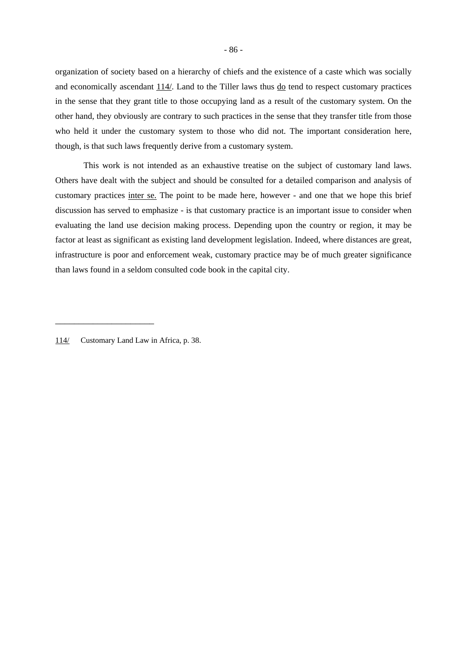organization of society based on a hierarchy of chiefs and the existence of a caste which was socially and economically ascendant 114/. Land to the Tiller laws thus do tend to respect customary practices in the sense that they grant title to those occupying land as a result of the customary system. On the other hand, they obviously are contrary to such practices in the sense that they transfer title from those who held it under the customary system to those who did not. The important consideration here, though, is that such laws frequently derive from a customary system.

This work is not intended as an exhaustive treatise on the subject of customary land laws. Others have dealt with the subject and should be consulted for a detailed comparison and analysis of customary practices inter se. The point to be made here, however - and one that we hope this brief discussion has served to emphasize - is that customary practice is an important issue to consider when evaluating the land use decision making process. Depending upon the country or region, it may be factor at least as significant as existing land development legislation. Indeed, where distances are great, infrastructure is poor and enforcement weak, customary practice may be of much greater significance than laws found in a seldom consulted code book in the capital city.

114/ Customary Land Law in Africa, p. 38.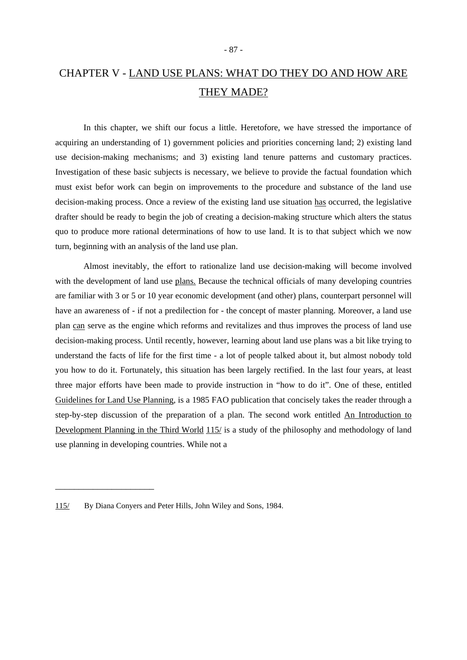## CHAPTER V - LAND USE PLANS: WHAT DO THEY DO AND HOW ARE THEY MADE?

In this chapter, we shift our focus a little. Heretofore, we have stressed the importance of acquiring an understanding of 1) government policies and priorities concerning land; 2) existing land use decision-making mechanisms; and 3) existing land tenure patterns and customary practices. Investigation of these basic subjects is necessary, we believe to provide the factual foundation which must exist befor work can begin on improvements to the procedure and substance of the land use decision-making process. Once a review of the existing land use situation has occurred, the legislative drafter should be ready to begin the job of creating a decision-making structure which alters the status quo to produce more rational determinations of how to use land. It is to that subject which we now turn, beginning with an analysis of the land use plan.

Almost inevitably, the effort to rationalize land use decision-making will become involved with the development of land use plans. Because the technical officials of many developing countries are familiar with 3 or 5 or 10 year economic development (and other) plans, counterpart personnel will have an awareness of - if not a predilection for - the concept of master planning. Moreover, a land use plan can serve as the engine which reforms and revitalizes and thus improves the process of land use decision-making process. Until recently, however, learning about land use plans was a bit like trying to understand the facts of life for the first time - a lot of people talked about it, but almost nobody told you how to do it. Fortunately, this situation has been largely rectified. In the last four years, at least three major efforts have been made to provide instruction in "how to do it". One of these, entitled Guidelines for Land Use Planning, is a 1985 FAO publication that concisely takes the reader through a step-by-step discussion of the preparation of a plan. The second work entitled An Introduction to Development Planning in the Third World 115/ is a study of the philosophy and methodology of land use planning in developing countries. While not a

<sup>115/</sup> By Diana Conyers and Peter Hills, John Wiley and Sons, 1984.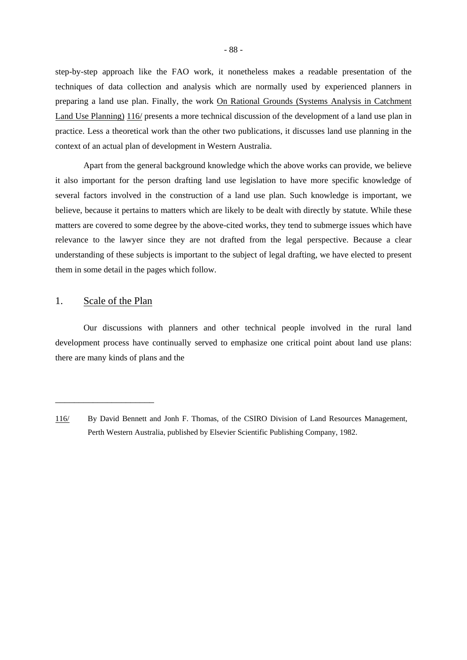step-by-step approach like the FAO work, it nonetheless makes a readable presentation of the techniques of data collection and analysis which are normally used by experienced planners in preparing a land use plan. Finally, the work On Rational Grounds (Systems Analysis in Catchment Land Use Planning) 116/ presents a more technical discussion of the development of a land use plan in practice. Less a theoretical work than the other two publications, it discusses land use planning in the context of an actual plan of development in Western Australia.

Apart from the general background knowledge which the above works can provide, we believe it also important for the person drafting land use legislation to have more specific knowledge of several factors involved in the construction of a land use plan. Such knowledge is important, we believe, because it pertains to matters which are likely to be dealt with directly by statute. While these matters are covered to some degree by the above-cited works, they tend to submerge issues which have relevance to the lawyer since they are not drafted from the legal perspective. Because a clear understanding of these subjects is important to the subject of legal drafting, we have elected to present them in some detail in the pages which follow.

#### 1. Scale of the Plan

\_\_\_\_\_\_\_\_\_\_\_\_\_\_\_\_\_\_\_\_\_

Our discussions with planners and other technical people involved in the rural land development process have continually served to emphasize one critical point about land use plans: there are many kinds of plans and the

<sup>116/</sup> By David Bennett and Jonh F. Thomas, of the CSIRO Division of Land Resources Management, Perth Western Australia, published by Elsevier Scientific Publishing Company, 1982.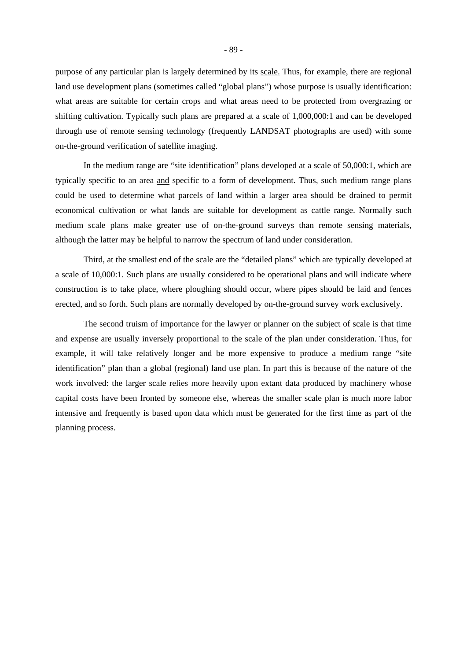purpose of any particular plan is largely determined by its scale. Thus, for example, there are regional land use development plans (sometimes called "global plans") whose purpose is usually identification: what areas are suitable for certain crops and what areas need to be protected from overgrazing or shifting cultivation. Typically such plans are prepared at a scale of 1,000,000:1 and can be developed through use of remote sensing technology (frequently LANDSAT photographs are used) with some on-the-ground verification of satellite imaging.

In the medium range are "site identification" plans developed at a scale of 50,000:1, which are typically specific to an area and specific to a form of development. Thus, such medium range plans could be used to determine what parcels of land within a larger area should be drained to permit economical cultivation or what lands are suitable for development as cattle range. Normally such medium scale plans make greater use of on-the-ground surveys than remote sensing materials, although the latter may be helpful to narrow the spectrum of land under consideration.

Third, at the smallest end of the scale are the "detailed plans" which are typically developed at a scale of 10,000:1. Such plans are usually considered to be operational plans and will indicate where construction is to take place, where ploughing should occur, where pipes should be laid and fences erected, and so forth. Such plans are normally developed by on-the-ground survey work exclusively.

The second truism of importance for the lawyer or planner on the subject of scale is that time and expense are usually inversely proportional to the scale of the plan under consideration. Thus, for example, it will take relatively longer and be more expensive to produce a medium range "site identification" plan than a global (regional) land use plan. In part this is because of the nature of the work involved: the larger scale relies more heavily upon extant data produced by machinery whose capital costs have been fronted by someone else, whereas the smaller scale plan is much more labor intensive and frequently is based upon data which must be generated for the first time as part of the planning process.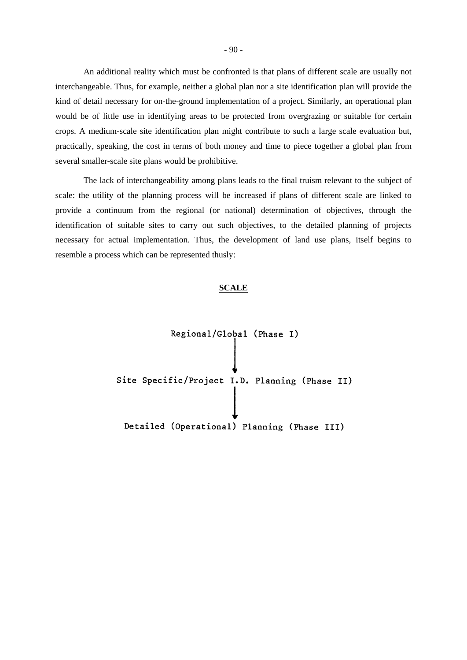An additional reality which must be confronted is that plans of different scale are usually not interchangeable. Thus, for example, neither a global plan nor a site identification plan will provide the kind of detail necessary for on-the-ground implementation of a project. Similarly, an operational plan would be of little use in identifying areas to be protected from overgrazing or suitable for certain crops. A medium-scale site identification plan might contribute to such a large scale evaluation but, practically, speaking, the cost in terms of both money and time to piece together a global plan from several smaller-scale site plans would be prohibitive.

The lack of interchangeability among plans leads to the final truism relevant to the subject of scale: the utility of the planning process will be increased if plans of different scale are linked to provide a continuum from the regional (or national) determination of objectives, through the identification of suitable sites to carry out such objectives, to the detailed planning of projects necessary for actual implementation. Thus, the development of land use plans, itself begins to resemble a process which can be represented thusly:

#### **SCALE**

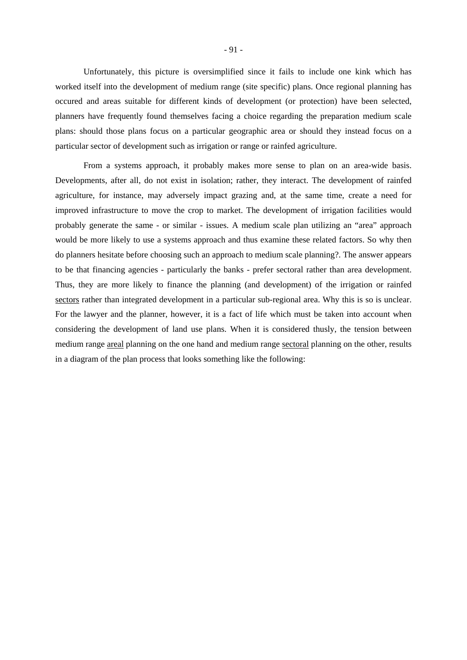Unfortunately, this picture is oversimplified since it fails to include one kink which has worked itself into the development of medium range (site specific) plans. Once regional planning has occured and areas suitable for different kinds of development (or protection) have been selected, planners have frequently found themselves facing a choice regarding the preparation medium scale plans: should those plans focus on a particular geographic area or should they instead focus on a particular sector of development such as irrigation or range or rainfed agriculture.

From a systems approach, it probably makes more sense to plan on an area-wide basis. Developments, after all, do not exist in isolation; rather, they interact. The development of rainfed agriculture, for instance, may adversely impact grazing and, at the same time, create a need for improved infrastructure to move the crop to market. The development of irrigation facilities would probably generate the same - or similar - issues. A medium scale plan utilizing an "area" approach would be more likely to use a systems approach and thus examine these related factors. So why then do planners hesitate before choosing such an approach to medium scale planning?. The answer appears to be that financing agencies - particularly the banks - prefer sectoral rather than area development. Thus, they are more likely to finance the planning (and development) of the irrigation or rainfed sectors rather than integrated development in a particular sub-regional area. Why this is so is unclear. For the lawyer and the planner, however, it is a fact of life which must be taken into account when considering the development of land use plans. When it is considered thusly, the tension between medium range areal planning on the one hand and medium range sectoral planning on the other, results in a diagram of the plan process that looks something like the following: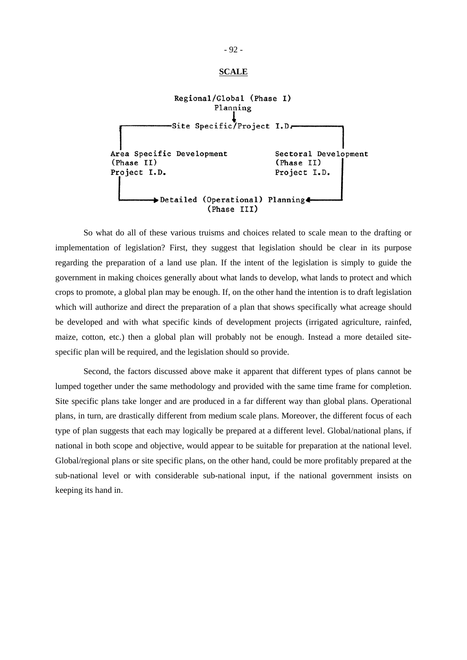#### **SCALE**



So what do all of these various truisms and choices related to scale mean to the drafting or implementation of legislation? First, they suggest that legislation should be clear in its purpose regarding the preparation of a land use plan. If the intent of the legislation is simply to guide the government in making choices generally about what lands to develop, what lands to protect and which crops to promote, a global plan may be enough. If, on the other hand the intention is to draft legislation which will authorize and direct the preparation of a plan that shows specifically what acreage should be developed and with what specific kinds of development projects (irrigated agriculture, rainfed, maize, cotton, etc.) then a global plan will probably not be enough. Instead a more detailed sitespecific plan will be required, and the legislation should so provide.

Second, the factors discussed above make it apparent that different types of plans cannot be lumped together under the same methodology and provided with the same time frame for completion. Site specific plans take longer and are produced in a far different way than global plans. Operational plans, in turn, are drastically different from medium scale plans. Moreover, the different focus of each type of plan suggests that each may logically be prepared at a different level. Global/national plans, if national in both scope and objective, would appear to be suitable for preparation at the national level. Global/regional plans or site specific plans, on the other hand, could be more profitably prepared at the sub-national level or with considerable sub-national input, if the national government insists on keeping its hand in.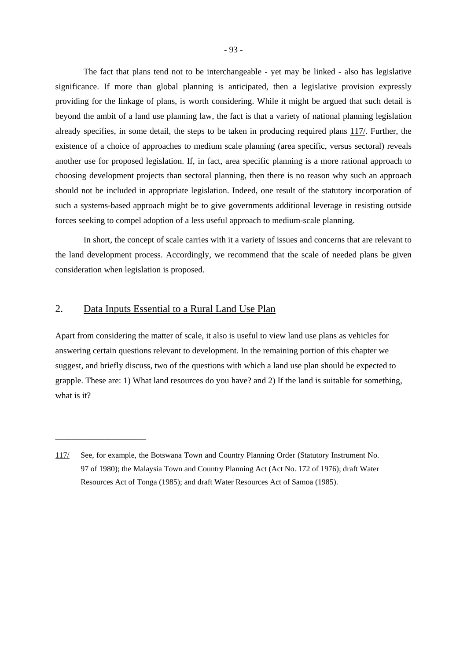The fact that plans tend not to be interchangeable - yet may be linked - also has legislative significance. If more than global planning is anticipated, then a legislative provision expressly providing for the linkage of plans, is worth considering. While it might be argued that such detail is beyond the ambit of a land use planning law, the fact is that a variety of national planning legislation already specifies, in some detail, the steps to be taken in producing required plans 117/. Further, the existence of a choice of approaches to medium scale planning (area specific, versus sectoral) reveals another use for proposed legislation. If, in fact, area specific planning is a more rational approach to choosing development projects than sectoral planning, then there is no reason why such an approach should not be included in appropriate legislation. Indeed, one result of the statutory incorporation of such a systems-based approach might be to give governments additional leverage in resisting outside forces seeking to compel adoption of a less useful approach to medium-scale planning.

In short, the concept of scale carries with it a variety of issues and concerns that are relevant to the land development process. Accordingly, we recommend that the scale of needed plans be given consideration when legislation is proposed.

### 2. Data Inputs Essential to a Rural Land Use Plan

\_\_\_\_\_\_\_\_\_\_\_\_\_\_\_\_\_\_\_\_\_

Apart from considering the matter of scale, it also is useful to view land use plans as vehicles for answering certain questions relevant to development. In the remaining portion of this chapter we suggest, and briefly discuss, two of the questions with which a land use plan should be expected to grapple. These are: 1) What land resources do you have? and 2) If the land is suitable for something, what is it?

<sup>117/</sup> See, for example, the Botswana Town and Country Planning Order (Statutory Instrument No. 97 of 1980); the Malaysia Town and Country Planning Act (Act No. 172 of 1976); draft Water Resources Act of Tonga (1985); and draft Water Resources Act of Samoa (1985).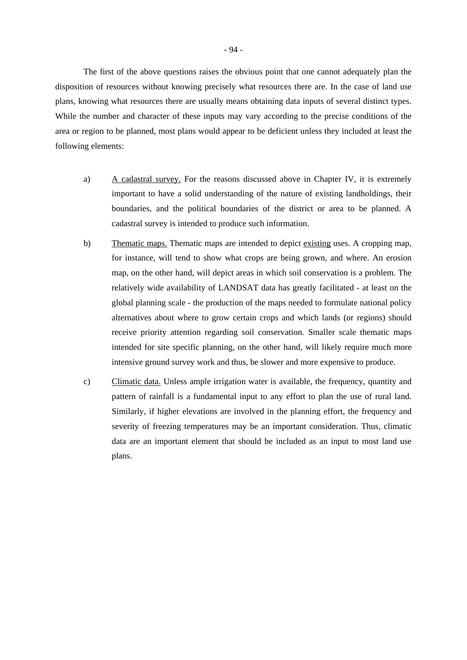The first of the above questions raises the obvious point that one cannot adequately plan the disposition of resources without knowing precisely what resources there are. In the case of land use plans, knowing what resources there are usually means obtaining data inputs of several distinct types. While the number and character of these inputs may vary according to the precise conditions of the area or region to be planned, most plans would appear to be deficient unless they included at least the following elements:

- a) A cadastral survey. For the reasons discussed above in Chapter IV, it is extremely important to have a solid understanding of the nature of existing landholdings, their boundaries, and the political boundaries of the district or area to be planned. A cadastral survey is intended to produce such information.
- b) Thematic maps. Thematic maps are intended to depict existing uses. A cropping map, for instance, will tend to show what crops are being grown, and where. An erosion map, on the other hand, will depict areas in which soil conservation is a problem. The relatively wide availability of LANDSAT data has greatly facilitated - at least on the global planning scale - the production of the maps needed to formulate national policy alternatives about where to grow certain crops and which lands (or regions) should receive priority attention regarding soil conservation. Smaller scale thematic maps intended for site specific planning, on the other hand, will likely require much more intensive ground survey work and thus, be slower and more expensive to produce.
- c) Climatic data. Unless ample irrigation water is available, the frequency, quantity and pattern of rainfall is a fundamental input to any effort to plan the use of rural land. Similarly, if higher elevations are involved in the planning effort, the frequency and severity of freezing temperatures may be an important consideration. Thus, climatic data are an important element that should be included as an input to most land use plans.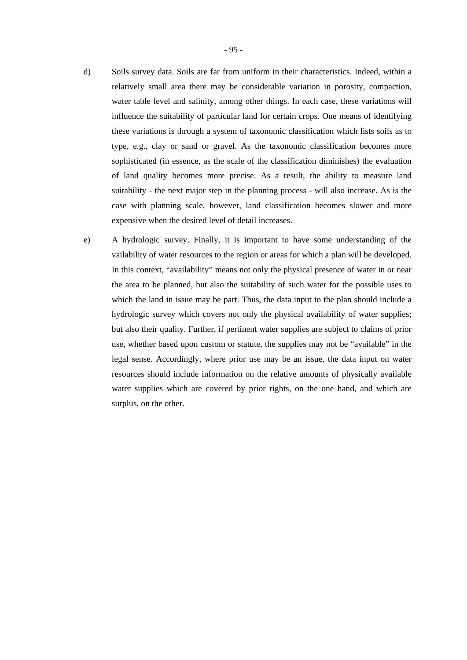- d) Soils survey data. Soils are far from uniform in their characteristics. Indeed, within a relatively small area there may be considerable variation in porosity, compaction, water table level and salinity, among other things. In each case, these variations will influence the suitability of particular land for certain crops. One means of identifying these variations is through a system of taxonomic classification which lists soils as to type, e.g., clay or sand or gravel. As the taxonomic classification becomes more sophisticated (in essence, as the scale of the classification diminishes) the evaluation of land quality becomes more precise. As a result, the ability to measure land suitability - the next major step in the planning process - will also increase. As is the case with planning scale, however, land classification becomes slower and more expensive when the desired level of detail increases.
- e) A hydrologic survey. Finally, it is important to have some understanding of the vailability of water resources to the region or areas for which a plan will be developed. In this context, "availability" means not only the physical presence of water in or near the area to be planned, but also the suitability of such water for the possible uses to which the land in issue may be part. Thus, the data input to the plan should include a hydrologic survey which covers not only the physical availability of water supplies; but also their quality. Further, if pertinent water supplies are subject to claims of prior use, whether based upon custom or statute, the supplies may not be "available" in the legal sense. Accordingly, where prior use may be an issue, the data input on water resources should include information on the relative amounts of physically available water supplies which are covered by prior rights, on the one hand, and which are surplus, on the other.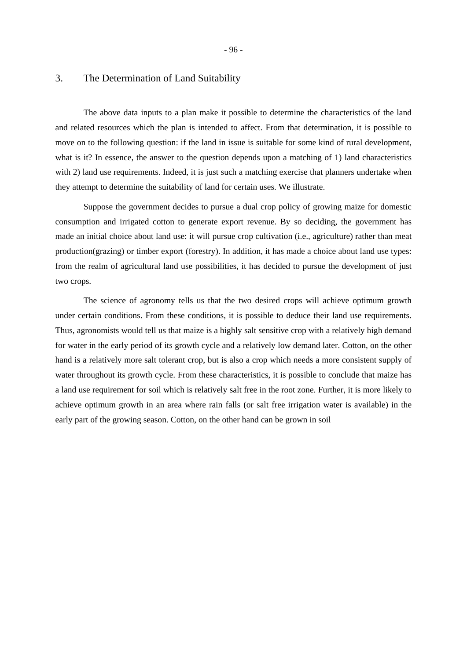## 3. The Determination of Land Suitability

The above data inputs to a plan make it possible to determine the characteristics of the land and related resources which the plan is intended to affect. From that determination, it is possible to move on to the following question: if the land in issue is suitable for some kind of rural development, what is it? In essence, the answer to the question depends upon a matching of 1) land characteristics with 2) land use requirements. Indeed, it is just such a matching exercise that planners undertake when they attempt to determine the suitability of land for certain uses. We illustrate.

Suppose the government decides to pursue a dual crop policy of growing maize for domestic consumption and irrigated cotton to generate export revenue. By so deciding, the government has made an initial choice about land use: it will pursue crop cultivation (i.e., agriculture) rather than meat production(grazing) or timber export (forestry). In addition, it has made a choice about land use types: from the realm of agricultural land use possibilities, it has decided to pursue the development of just two crops.

The science of agronomy tells us that the two desired crops will achieve optimum growth under certain conditions. From these conditions, it is possible to deduce their land use requirements. Thus, agronomists would tell us that maize is a highly salt sensitive crop with a relatively high demand for water in the early period of its growth cycle and a relatively low demand later. Cotton, on the other hand is a relatively more salt tolerant crop, but is also a crop which needs a more consistent supply of water throughout its growth cycle. From these characteristics, it is possible to conclude that maize has a land use requirement for soil which is relatively salt free in the root zone. Further, it is more likely to achieve optimum growth in an area where rain falls (or salt free irrigation water is available) in the early part of the growing season. Cotton, on the other hand can be grown in soil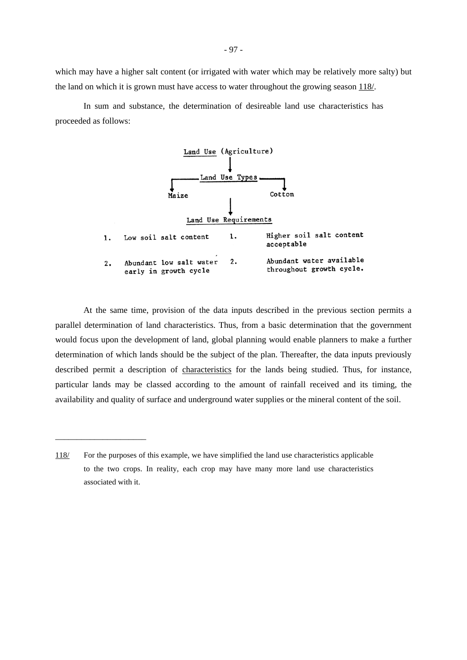which may have a higher salt content (or irrigated with water which may be relatively more salty) but the land on which it is grown must have access to water throughout the growing season 118/.

In sum and substance, the determination of desireable land use characteristics has proceeded as follows:



At the same time, provision of the data inputs described in the previous section permits a parallel determination of land characteristics. Thus, from a basic determination that the government would focus upon the development of land, global planning would enable planners to make a further determination of which lands should be the subject of the plan. Thereafter, the data inputs previously described permit a description of characteristics for the lands being studied. Thus, for instance, particular lands may be classed according to the amount of rainfall received and its timing, the availability and quality of surface and underground water supplies or the mineral content of the soil.

<sup>118/</sup> For the purposes of this example, we have simplified the land use characteristics applicable to the two crops. In reality, each crop may have many more land use characteristics associated with it.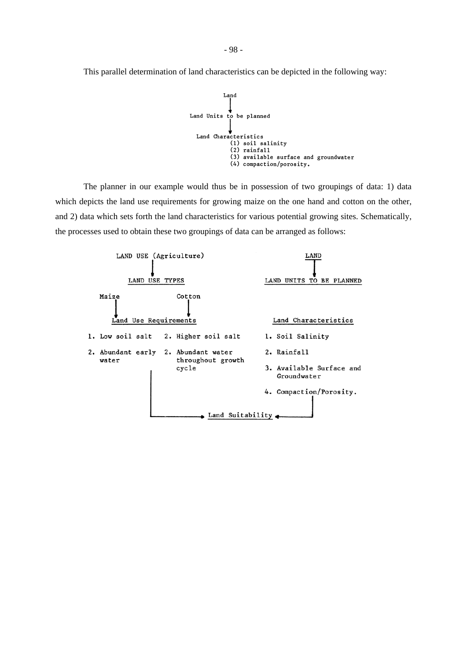This parallel determination of land characteristics can be depicted in the following way:



The planner in our example would thus be in possession of two groupings of data: 1) data which depicts the land use requirements for growing maize on the one hand and cotton on the other, and 2) data which sets forth the land characteristics for various potential growing sites. Schematically, the processes used to obtain these two groupings of data can be arranged as follows:

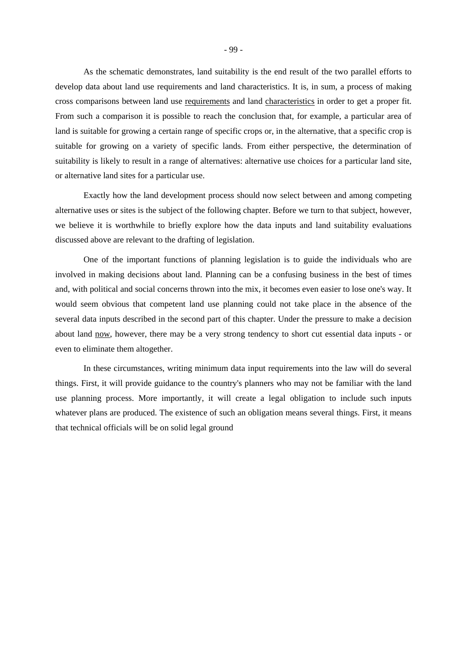As the schematic demonstrates, land suitability is the end result of the two parallel efforts to develop data about land use requirements and land characteristics. It is, in sum, a process of making cross comparisons between land use requirements and land characteristics in order to get a proper fit. From such a comparison it is possible to reach the conclusion that, for example, a particular area of land is suitable for growing a certain range of specific crops or, in the alternative, that a specific crop is suitable for growing on a variety of specific lands. From either perspective, the determination of suitability is likely to result in a range of alternatives: alternative use choices for a particular land site, or alternative land sites for a particular use.

Exactly how the land development process should now select between and among competing alternative uses or sites is the subject of the following chapter. Before we turn to that subject, however, we believe it is worthwhile to briefly explore how the data inputs and land suitability evaluations discussed above are relevant to the drafting of legislation.

One of the important functions of planning legislation is to guide the individuals who are involved in making decisions about land. Planning can be a confusing business in the best of times and, with political and social concerns thrown into the mix, it becomes even easier to lose one's way. It would seem obvious that competent land use planning could not take place in the absence of the several data inputs described in the second part of this chapter. Under the pressure to make a decision about land now, however, there may be a very strong tendency to short cut essential data inputs - or even to eliminate them altogether.

In these circumstances, writing minimum data input requirements into the law will do several things. First, it will provide guidance to the country's planners who may not be familiar with the land use planning process. More importantly, it will create a legal obligation to include such inputs whatever plans are produced. The existence of such an obligation means several things. First, it means that technical officials will be on solid legal ground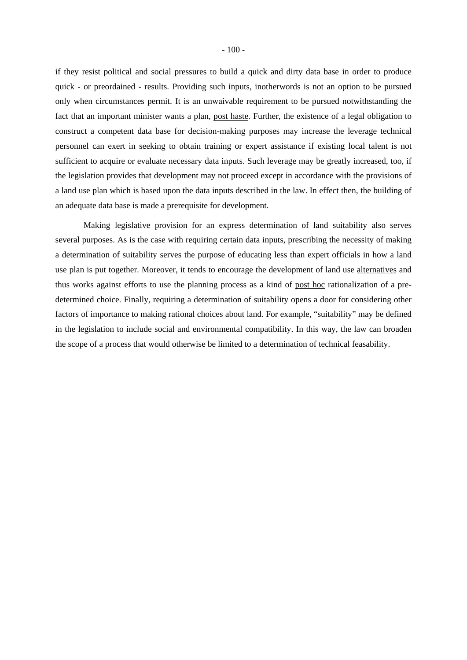if they resist political and social pressures to build a quick and dirty data base in order to produce quick - or preordained - results. Providing such inputs, inotherwords is not an option to be pursued only when circumstances permit. It is an unwaivable requirement to be pursued notwithstanding the fact that an important minister wants a plan, post haste. Further, the existence of a legal obligation to construct a competent data base for decision-making purposes may increase the leverage technical personnel can exert in seeking to obtain training or expert assistance if existing local talent is not sufficient to acquire or evaluate necessary data inputs. Such leverage may be greatly increased, too, if the legislation provides that development may not proceed except in accordance with the provisions of a land use plan which is based upon the data inputs described in the law. In effect then, the building of an adequate data base is made a prerequisite for development.

Making legislative provision for an express determination of land suitability also serves several purposes. As is the case with requiring certain data inputs, prescribing the necessity of making a determination of suitability serves the purpose of educating less than expert officials in how a land use plan is put together. Moreover, it tends to encourage the development of land use alternatives and thus works against efforts to use the planning process as a kind of post hoc rationalization of a predetermined choice. Finally, requiring a determination of suitability opens a door for considering other factors of importance to making rational choices about land. For example, "suitability" may be defined in the legislation to include social and environmental compatibility. In this way, the law can broaden the scope of a process that would otherwise be limited to a determination of technical feasability.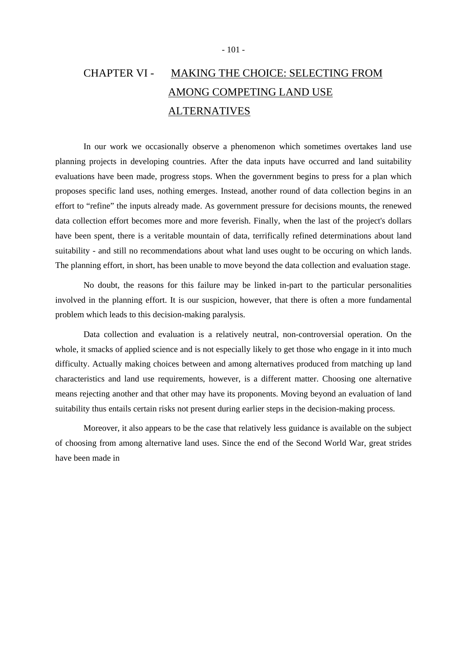# CHAPTER VI - MAKING THE CHOICE: SELECTING FROM AMONG COMPETING LAND USE **ALTERNATIVES**

In our work we occasionally observe a phenomenon which sometimes overtakes land use planning projects in developing countries. After the data inputs have occurred and land suitability evaluations have been made, progress stops. When the government begins to press for a plan which proposes specific land uses, nothing emerges. Instead, another round of data collection begins in an effort to "refine" the inputs already made. As government pressure for decisions mounts, the renewed data collection effort becomes more and more feverish. Finally, when the last of the project's dollars have been spent, there is a veritable mountain of data, terrifically refined determinations about land suitability - and still no recommendations about what land uses ought to be occuring on which lands. The planning effort, in short, has been unable to move beyond the data collection and evaluation stage.

No doubt, the reasons for this failure may be linked in-part to the particular personalities involved in the planning effort. It is our suspicion, however, that there is often a more fundamental problem which leads to this decision-making paralysis.

Data collection and evaluation is a relatively neutral, non-controversial operation. On the whole, it smacks of applied science and is not especially likely to get those who engage in it into much difficulty. Actually making choices between and among alternatives produced from matching up land characteristics and land use requirements, however, is a different matter. Choosing one alternative means rejecting another and that other may have its proponents. Moving beyond an evaluation of land suitability thus entails certain risks not present during earlier steps in the decision-making process.

Moreover, it also appears to be the case that relatively less guidance is available on the subject of choosing from among alternative land uses. Since the end of the Second World War, great strides have been made in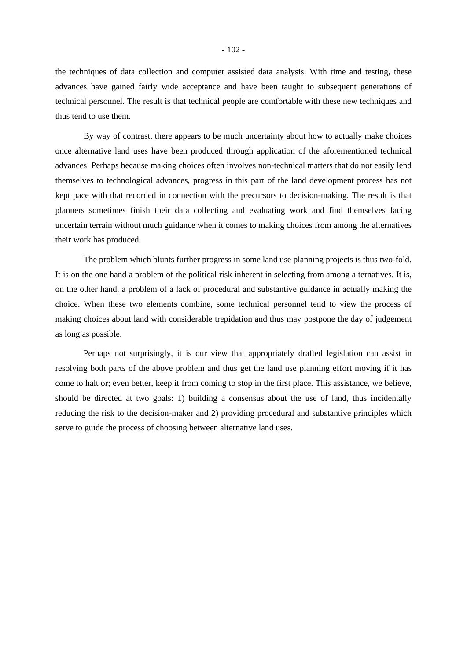the techniques of data collection and computer assisted data analysis. With time and testing, these advances have gained fairly wide acceptance and have been taught to subsequent generations of technical personnel. The result is that technical people are comfortable with these new techniques and thus tend to use them.

By way of contrast, there appears to be much uncertainty about how to actually make choices once alternative land uses have been produced through application of the aforementioned technical advances. Perhaps because making choices often involves non-technical matters that do not easily lend themselves to technological advances, progress in this part of the land development process has not kept pace with that recorded in connection with the precursors to decision-making. The result is that planners sometimes finish their data collecting and evaluating work and find themselves facing uncertain terrain without much guidance when it comes to making choices from among the alternatives their work has produced.

The problem which blunts further progress in some land use planning projects is thus two-fold. It is on the one hand a problem of the political risk inherent in selecting from among alternatives. It is, on the other hand, a problem of a lack of procedural and substantive guidance in actually making the choice. When these two elements combine, some technical personnel tend to view the process of making choices about land with considerable trepidation and thus may postpone the day of judgement as long as possible.

Perhaps not surprisingly, it is our view that appropriately drafted legislation can assist in resolving both parts of the above problem and thus get the land use planning effort moving if it has come to halt or; even better, keep it from coming to stop in the first place. This assistance, we believe, should be directed at two goals: 1) building a consensus about the use of land, thus incidentally reducing the risk to the decision-maker and 2) providing procedural and substantive principles which serve to guide the process of choosing between alternative land uses.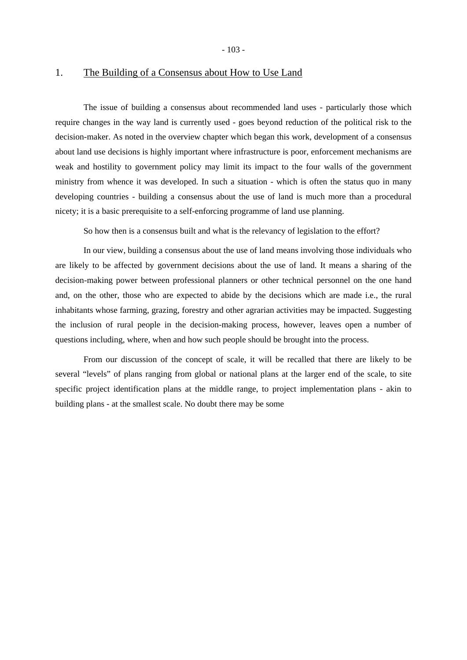- 103 -

# 1. The Building of a Consensus about How to Use Land

The issue of building a consensus about recommended land uses - particularly those which require changes in the way land is currently used - goes beyond reduction of the political risk to the decision-maker. As noted in the overview chapter which began this work, development of a consensus about land use decisions is highly important where infrastructure is poor, enforcement mechanisms are weak and hostility to government policy may limit its impact to the four walls of the government ministry from whence it was developed. In such a situation - which is often the status quo in many developing countries - building a consensus about the use of land is much more than a procedural nicety; it is a basic prerequisite to a self-enforcing programme of land use planning.

So how then is a consensus built and what is the relevancy of legislation to the effort?

In our view, building a consensus about the use of land means involving those individuals who are likely to be affected by government decisions about the use of land. It means a sharing of the decision-making power between professional planners or other technical personnel on the one hand and, on the other, those who are expected to abide by the decisions which are made i.e., the rural inhabitants whose farming, grazing, forestry and other agrarian activities may be impacted. Suggesting the inclusion of rural people in the decision-making process, however, leaves open a number of questions including, where, when and how such people should be brought into the process.

From our discussion of the concept of scale, it will be recalled that there are likely to be several "levels" of plans ranging from global or national plans at the larger end of the scale, to site specific project identification plans at the middle range, to project implementation plans - akin to building plans - at the smallest scale. No doubt there may be some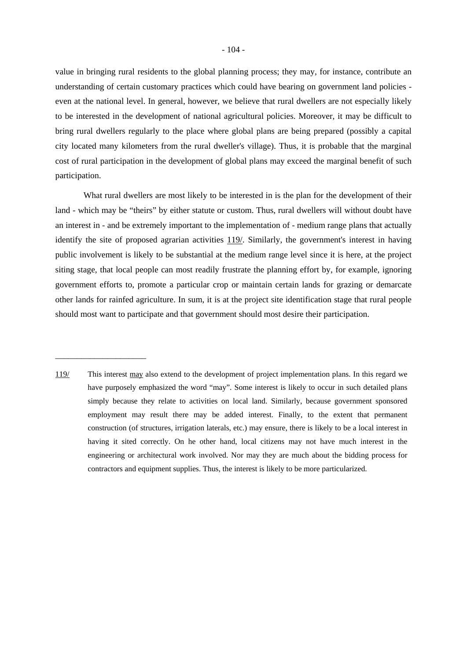value in bringing rural residents to the global planning process; they may, for instance, contribute an understanding of certain customary practices which could have bearing on government land policies even at the national level. In general, however, we believe that rural dwellers are not especially likely to be interested in the development of national agricultural policies. Moreover, it may be difficult to bring rural dwellers regularly to the place where global plans are being prepared (possibly a capital city located many kilometers from the rural dweller's village). Thus, it is probable that the marginal cost of rural participation in the development of global plans may exceed the marginal benefit of such participation.

What rural dwellers are most likely to be interested in is the plan for the development of their land - which may be "theirs" by either statute or custom. Thus, rural dwellers will without doubt have an interest in - and be extremely important to the implementation of - medium range plans that actually identify the site of proposed agrarian activities 119. Similarly, the government's interest in having public involvement is likely to be substantial at the medium range level since it is here, at the project siting stage, that local people can most readily frustrate the planning effort by, for example, ignoring government efforts to, promote a particular crop or maintain certain lands for grazing or demarcate other lands for rainfed agriculture. In sum, it is at the project site identification stage that rural people should most want to participate and that government should most desire their participation.

119/ This interest may also extend to the development of project implementation plans. In this regard we have purposely emphasized the word "may". Some interest is likely to occur in such detailed plans simply because they relate to activities on local land. Similarly, because government sponsored employment may result there may be added interest. Finally, to the extent that permanent construction (of structures, irrigation laterals, etc.) may ensure, there is likely to be a local interest in having it sited correctly. On he other hand, local citizens may not have much interest in the engineering or architectural work involved. Nor may they are much about the bidding process for contractors and equipment supplies. Thus, the interest is likely to be more particularized.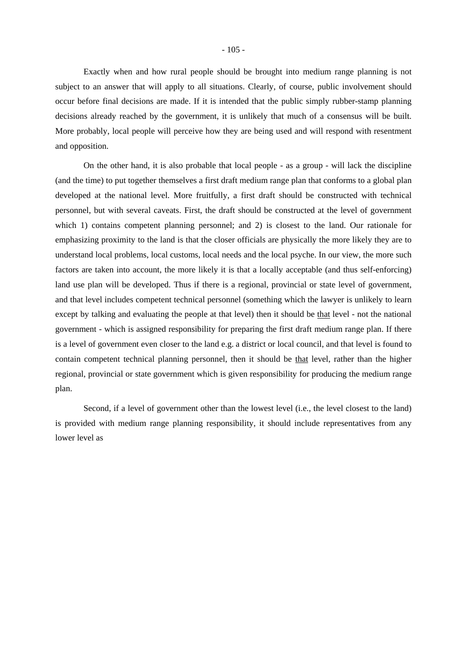Exactly when and how rural people should be brought into medium range planning is not subject to an answer that will apply to all situations. Clearly, of course, public involvement should occur before final decisions are made. If it is intended that the public simply rubber-stamp planning decisions already reached by the government, it is unlikely that much of a consensus will be built. More probably, local people will perceive how they are being used and will respond with resentment and opposition.

On the other hand, it is also probable that local people - as a group - will lack the discipline (and the time) to put together themselves a first draft medium range plan that conforms to a global plan developed at the national level. More fruitfully, a first draft should be constructed with technical personnel, but with several caveats. First, the draft should be constructed at the level of government which 1) contains competent planning personnel; and 2) is closest to the land. Our rationale for emphasizing proximity to the land is that the closer officials are physically the more likely they are to understand local problems, local customs, local needs and the local psyche. In our view, the more such factors are taken into account, the more likely it is that a locally acceptable (and thus self-enforcing) land use plan will be developed. Thus if there is a regional, provincial or state level of government, and that level includes competent technical personnel (something which the lawyer is unlikely to learn except by talking and evaluating the people at that level) then it should be that level - not the national government - which is assigned responsibility for preparing the first draft medium range plan. If there is a level of government even closer to the land e.g. a district or local council, and that level is found to contain competent technical planning personnel, then it should be that level, rather than the higher regional, provincial or state government which is given responsibility for producing the medium range plan.

Second, if a level of government other than the lowest level (i.e., the level closest to the land) is provided with medium range planning responsibility, it should include representatives from any lower level as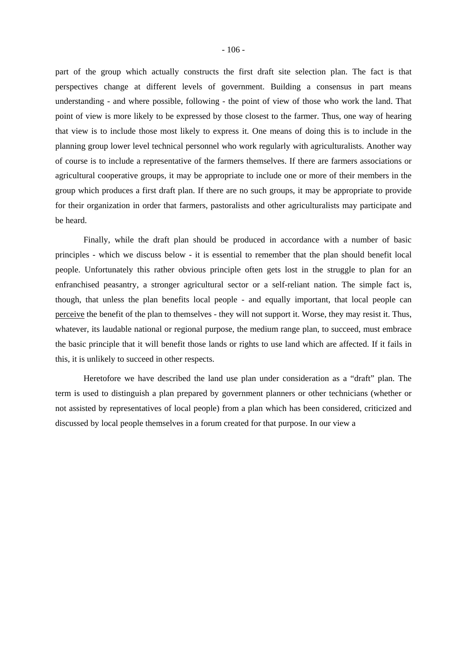part of the group which actually constructs the first draft site selection plan. The fact is that perspectives change at different levels of government. Building a consensus in part means understanding - and where possible, following - the point of view of those who work the land. That point of view is more likely to be expressed by those closest to the farmer. Thus, one way of hearing that view is to include those most likely to express it. One means of doing this is to include in the planning group lower level technical personnel who work regularly with agriculturalists. Another way of course is to include a representative of the farmers themselves. If there are farmers associations or agricultural cooperative groups, it may be appropriate to include one or more of their members in the group which produces a first draft plan. If there are no such groups, it may be appropriate to provide for their organization in order that farmers, pastoralists and other agriculturalists may participate and be heard.

Finally, while the draft plan should be produced in accordance with a number of basic principles - which we discuss below - it is essential to remember that the plan should benefit local people. Unfortunately this rather obvious principle often gets lost in the struggle to plan for an enfranchised peasantry, a stronger agricultural sector or a self-reliant nation. The simple fact is, though, that unless the plan benefits local people - and equally important, that local people can perceive the benefit of the plan to themselves - they will not support it. Worse, they may resist it. Thus, whatever, its laudable national or regional purpose, the medium range plan, to succeed, must embrace the basic principle that it will benefit those lands or rights to use land which are affected. If it fails in this, it is unlikely to succeed in other respects.

Heretofore we have described the land use plan under consideration as a "draft" plan. The term is used to distinguish a plan prepared by government planners or other technicians (whether or not assisted by representatives of local people) from a plan which has been considered, criticized and discussed by local people themselves in a forum created for that purpose. In our view a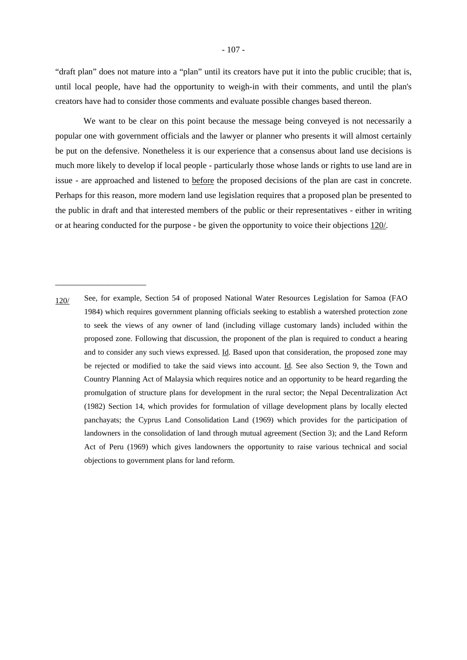"draft plan" does not mature into a "plan" until its creators have put it into the public crucible; that is, until local people, have had the opportunity to weigh-in with their comments, and until the plan's creators have had to consider those comments and evaluate possible changes based thereon.

We want to be clear on this point because the message being conveyed is not necessarily a popular one with government officials and the lawyer or planner who presents it will almost certainly be put on the defensive. Nonetheless it is our experience that a consensus about land use decisions is much more likely to develop if local people - particularly those whose lands or rights to use land are in issue - are approached and listened to before the proposed decisions of the plan are cast in concrete. Perhaps for this reason, more modern land use legislation requires that a proposed plan be presented to the public in draft and that interested members of the public or their representatives - either in writing or at hearing conducted for the purpose - be given the opportunity to voice their objections 120/.

<sup>120/</sup> See, for example, Section 54 of proposed National Water Resources Legislation for Samoa (FAO 1984) which requires government planning officials seeking to establish a watershed protection zone to seek the views of any owner of land (including village customary lands) included within the proposed zone. Following that discussion, the proponent of the plan is required to conduct a hearing and to consider any such views expressed. Id. Based upon that consideration, the proposed zone may be rejected or modified to take the said views into account. Id. See also Section 9, the Town and Country Planning Act of Malaysia which requires notice and an opportunity to be heard regarding the promulgation of structure plans for development in the rural sector; the Nepal Decentralization Act (1982) Section 14, which provides for formulation of village development plans by locally elected panchayats; the Cyprus Land Consolidation Land (1969) which provides for the participation of landowners in the consolidation of land through mutual agreement (Section 3); and the Land Reform Act of Peru (1969) which gives landowners the opportunity to raise various technical and social objections to government plans for land reform.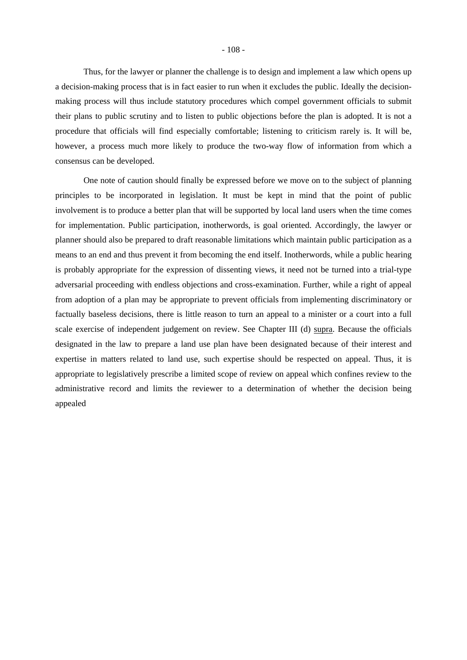Thus, for the lawyer or planner the challenge is to design and implement a law which opens up a decision-making process that is in fact easier to run when it excludes the public. Ideally the decisionmaking process will thus include statutory procedures which compel government officials to submit their plans to public scrutiny and to listen to public objections before the plan is adopted. It is not a procedure that officials will find especially comfortable; listening to criticism rarely is. It will be, however, a process much more likely to produce the two-way flow of information from which a consensus can be developed.

One note of caution should finally be expressed before we move on to the subject of planning principles to be incorporated in legislation. It must be kept in mind that the point of public involvement is to produce a better plan that will be supported by local land users when the time comes for implementation. Public participation, inotherwords, is goal oriented. Accordingly, the lawyer or planner should also be prepared to draft reasonable limitations which maintain public participation as a means to an end and thus prevent it from becoming the end itself. Inotherwords, while a public hearing is probably appropriate for the expression of dissenting views, it need not be turned into a trial-type adversarial proceeding with endless objections and cross-examination. Further, while a right of appeal from adoption of a plan may be appropriate to prevent officials from implementing discriminatory or factually baseless decisions, there is little reason to turn an appeal to a minister or a court into a full scale exercise of independent judgement on review. See Chapter III (d) supra. Because the officials designated in the law to prepare a land use plan have been designated because of their interest and expertise in matters related to land use, such expertise should be respected on appeal. Thus, it is appropriate to legislatively prescribe a limited scope of review on appeal which confines review to the administrative record and limits the reviewer to a determination of whether the decision being appealed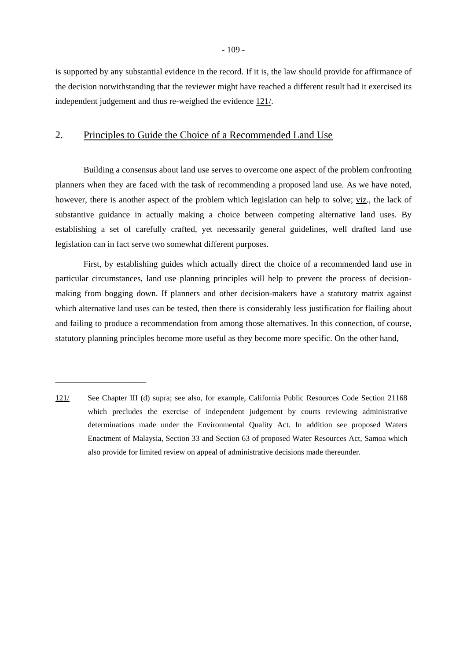is supported by any substantial evidence in the record. If it is, the law should provide for affirmance of the decision notwithstanding that the reviewer might have reached a different result had it exercised its independent judgement and thus re-weighed the evidence 121/.

## 2. Principles to Guide the Choice of a Recommended Land Use

Building a consensus about land use serves to overcome one aspect of the problem confronting planners when they are faced with the task of recommending a proposed land use. As we have noted, however, there is another aspect of the problem which legislation can help to solve; viz., the lack of substantive guidance in actually making a choice between competing alternative land uses. By establishing a set of carefully crafted, yet necessarily general guidelines, well drafted land use legislation can in fact serve two somewhat different purposes.

First, by establishing guides which actually direct the choice of a recommended land use in particular circumstances, land use planning principles will help to prevent the process of decisionmaking from bogging down. If planners and other decision-makers have a statutory matrix against which alternative land uses can be tested, then there is considerably less justification for flailing about and failing to produce a recommendation from among those alternatives. In this connection, of course, statutory planning principles become more useful as they become more specific. On the other hand,

<sup>121/</sup> See Chapter III (d) supra; see also, for example, California Public Resources Code Section 21168 which precludes the exercise of independent judgement by courts reviewing administrative determinations made under the Environmental Quality Act. In addition see proposed Waters Enactment of Malaysia, Section 33 and Section 63 of proposed Water Resources Act, Samoa which also provide for limited review on appeal of administrative decisions made thereunder.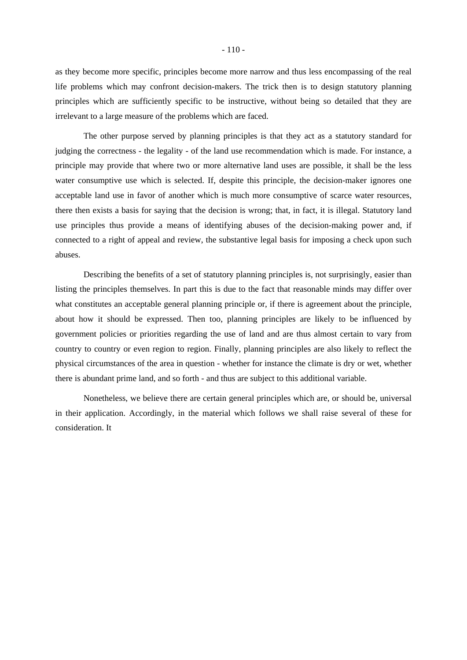as they become more specific, principles become more narrow and thus less encompassing of the real life problems which may confront decision-makers. The trick then is to design statutory planning principles which are sufficiently specific to be instructive, without being so detailed that they are irrelevant to a large measure of the problems which are faced.

The other purpose served by planning principles is that they act as a statutory standard for judging the correctness - the legality - of the land use recommendation which is made. For instance, a principle may provide that where two or more alternative land uses are possible, it shall be the less water consumptive use which is selected. If, despite this principle, the decision-maker ignores one acceptable land use in favor of another which is much more consumptive of scarce water resources, there then exists a basis for saying that the decision is wrong; that, in fact, it is illegal. Statutory land use principles thus provide a means of identifying abuses of the decision-making power and, if connected to a right of appeal and review, the substantive legal basis for imposing a check upon such abuses.

Describing the benefits of a set of statutory planning principles is, not surprisingly, easier than listing the principles themselves. In part this is due to the fact that reasonable minds may differ over what constitutes an acceptable general planning principle or, if there is agreement about the principle, about how it should be expressed. Then too, planning principles are likely to be influenced by government policies or priorities regarding the use of land and are thus almost certain to vary from country to country or even region to region. Finally, planning principles are also likely to reflect the physical circumstances of the area in question - whether for instance the climate is dry or wet, whether there is abundant prime land, and so forth - and thus are subject to this additional variable.

Nonetheless, we believe there are certain general principles which are, or should be, universal in their application. Accordingly, in the material which follows we shall raise several of these for consideration. It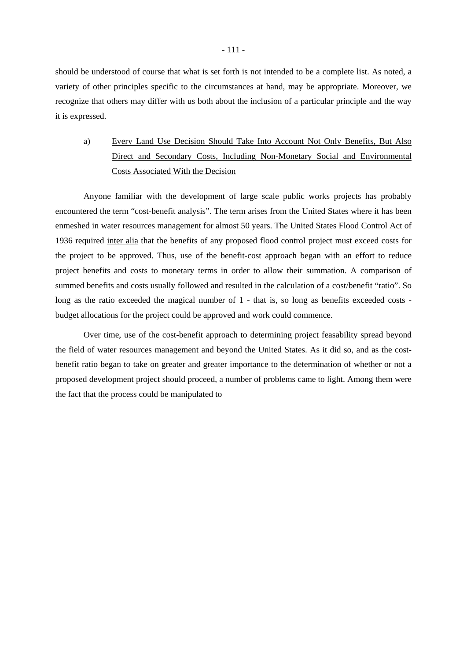should be understood of course that what is set forth is not intended to be a complete list. As noted, a variety of other principles specific to the circumstances at hand, may be appropriate. Moreover, we recognize that others may differ with us both about the inclusion of a particular principle and the way it is expressed.

a) Every Land Use Decision Should Take Into Account Not Only Benefits, But Also Direct and Secondary Costs, Including Non-Monetary Social and Environmental Costs Associated With the Decision

Anyone familiar with the development of large scale public works projects has probably encountered the term "cost-benefit analysis". The term arises from the United States where it has been enmeshed in water resources management for almost 50 years. The United States Flood Control Act of 1936 required inter alia that the benefits of any proposed flood control project must exceed costs for the project to be approved. Thus, use of the benefit-cost approach began with an effort to reduce project benefits and costs to monetary terms in order to allow their summation. A comparison of summed benefits and costs usually followed and resulted in the calculation of a cost/benefit "ratio". So long as the ratio exceeded the magical number of 1 - that is, so long as benefits exceeded costs budget allocations for the project could be approved and work could commence.

Over time, use of the cost-benefit approach to determining project feasability spread beyond the field of water resources management and beyond the United States. As it did so, and as the costbenefit ratio began to take on greater and greater importance to the determination of whether or not a proposed development project should proceed, a number of problems came to light. Among them were the fact that the process could be manipulated to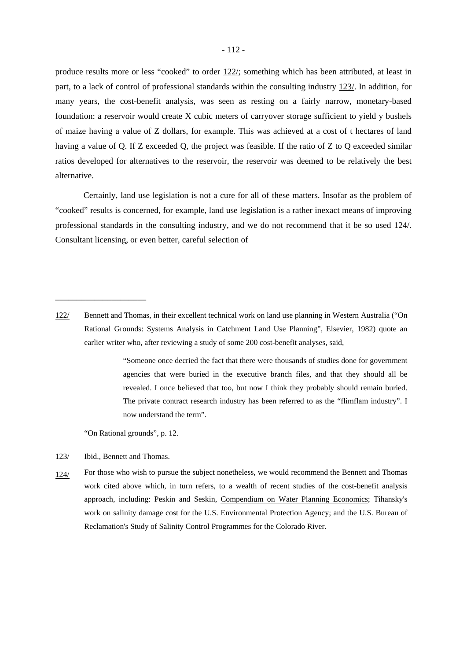produce results more or less "cooked" to order 122/; something which has been attributed, at least in part, to a lack of control of professional standards within the consulting industry 123/. In addition, for many years, the cost-benefit analysis, was seen as resting on a fairly narrow, monetary-based foundation: a reservoir would create X cubic meters of carryover storage sufficient to yield y bushels of maize having a value of Z dollars, for example. This was achieved at a cost of t hectares of land having a value of Q. If Z exceeded Q, the project was feasible. If the ratio of Z to Q exceeded similar ratios developed for alternatives to the reservoir, the reservoir was deemed to be relatively the best alternative.

Certainly, land use legislation is not a cure for all of these matters. Insofar as the problem of "cooked" results is concerned, for example, land use legislation is a rather inexact means of improving professional standards in the consulting industry, and we do not recommend that it be so used 124/. Consultant licensing, or even better, careful selection of

 "Someone once decried the fact that there were thousands of studies done for government agencies that were buried in the executive branch files, and that they should all be revealed. I once believed that too, but now I think they probably should remain buried. The private contract research industry has been referred to as the "flimflam industry". I now understand the term".

"On Rational grounds", p. 12.

123/ Ibid., Bennett and Thomas.

\_\_\_\_\_\_\_\_\_\_\_\_\_\_\_\_\_\_\_\_\_

124/ For those who wish to pursue the subject nonetheless, we would recommend the Bennett and Thomas work cited above which, in turn refers, to a wealth of recent studies of the cost-benefit analysis approach, including: Peskin and Seskin, Compendium on Water Planning Economics; Tihansky's work on salinity damage cost for the U.S. Environmental Protection Agency; and the U.S. Bureau of Reclamation's Study of Salinity Control Programmes for the Colorado River.

Bennett and Thomas, in their excellent technical work on land use planning in Western Australia ("On Rational Grounds: Systems Analysis in Catchment Land Use Planning", Elsevier, 1982) quote an earlier writer who, after reviewing a study of some 200 cost-benefit analyses, said, 122/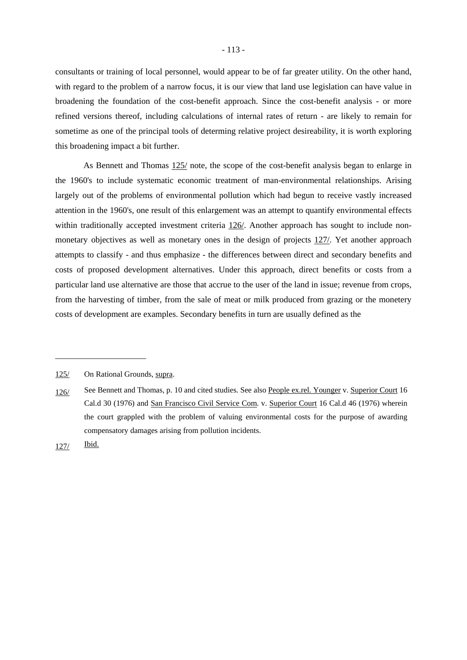consultants or training of local personnel, would appear to be of far greater utility. On the other hand, with regard to the problem of a narrow focus, it is our view that land use legislation can have value in broadening the foundation of the cost-benefit approach. Since the cost-benefit analysis - or more refined versions thereof, including calculations of internal rates of return - are likely to remain for sometime as one of the principal tools of determing relative project desireability, it is worth exploring this broadening impact a bit further.

As Bennett and Thomas  $125/$  note, the scope of the cost-benefit analysis began to enlarge in the 1960's to include systematic economic treatment of man-environmental relationships. Arising largely out of the problems of environmental pollution which had begun to receive vastly increased attention in the 1960's, one result of this enlargement was an attempt to quantify environmental effects within traditionally accepted investment criteria  $126/$ . Another approach has sought to include nonmonetary objectives as well as monetary ones in the design of projects 127/. Yet another approach attempts to classify - and thus emphasize - the differences between direct and secondary benefits and costs of proposed development alternatives. Under this approach, direct benefits or costs from a particular land use alternative are those that accrue to the user of the land in issue; revenue from crops, from the harvesting of timber, from the sale of meat or milk produced from grazing or the monetery costs of development are examples. Secondary benefits in turn are usually defined as the

<sup>125/</sup> On Rational Grounds, supra.

<sup>126/</sup> See Bennett and Thomas, p. 10 and cited studies. See also People ex.rel. Younger v. Superior Court 16 Cal.d 30 (1976) and San Francisco Civil Service Com. v. Superior Court 16 Cal.d 46 (1976) wherein the court grappled with the problem of valuing environmental costs for the purpose of awarding compensatory damages arising from pollution incidents.

<sup>127/</sup> Ibid.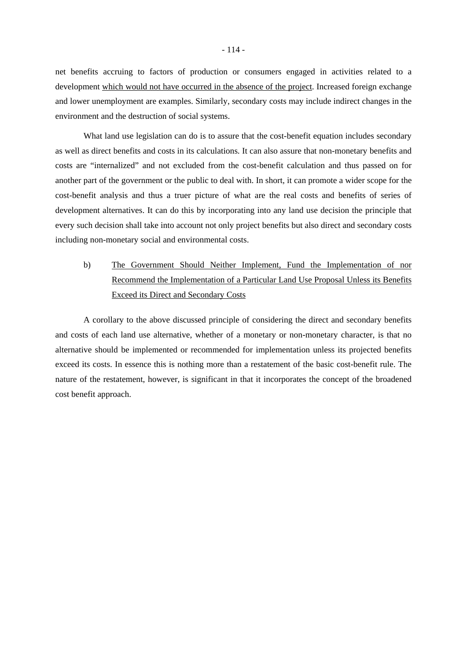net benefits accruing to factors of production or consumers engaged in activities related to a development which would not have occurred in the absence of the project. Increased foreign exchange and lower unemployment are examples. Similarly, secondary costs may include indirect changes in the environment and the destruction of social systems.

What land use legislation can do is to assure that the cost-benefit equation includes secondary as well as direct benefits and costs in its calculations. It can also assure that non-monetary benefits and costs are "internalized" and not excluded from the cost-benefit calculation and thus passed on for another part of the government or the public to deal with. In short, it can promote a wider scope for the cost-benefit analysis and thus a truer picture of what are the real costs and benefits of series of development alternatives. It can do this by incorporating into any land use decision the principle that every such decision shall take into account not only project benefits but also direct and secondary costs including non-monetary social and environmental costs.

# b) The Government Should Neither Implement, Fund the Implementation of nor Recommend the Implementation of a Particular Land Use Proposal Unless its Benefits Exceed its Direct and Secondary Costs

A corollary to the above discussed principle of considering the direct and secondary benefits and costs of each land use alternative, whether of a monetary or non-monetary character, is that no alternative should be implemented or recommended for implementation unless its projected benefits exceed its costs. In essence this is nothing more than a restatement of the basic cost-benefit rule. The nature of the restatement, however, is significant in that it incorporates the concept of the broadened cost benefit approach.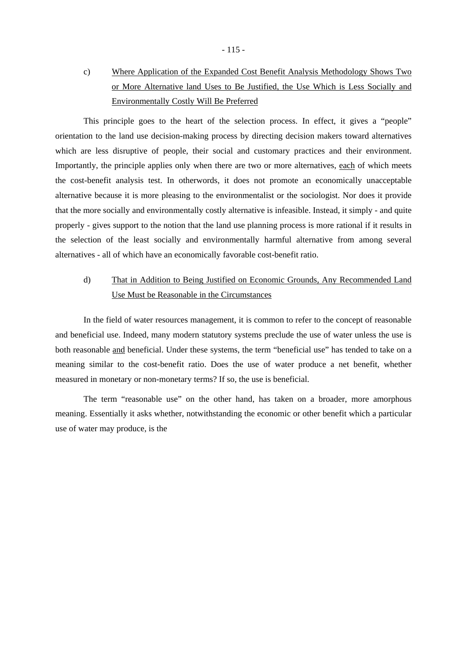# c) Where Application of the Expanded Cost Benefit Analysis Methodology Shows Two or More Alternative land Uses to Be Justified, the Use Which is Less Socially and Environmentally Costly Will Be Preferred

This principle goes to the heart of the selection process. In effect, it gives a "people" orientation to the land use decision-making process by directing decision makers toward alternatives which are less disruptive of people, their social and customary practices and their environment. Importantly, the principle applies only when there are two or more alternatives, each of which meets the cost-benefit analysis test. In otherwords, it does not promote an economically unacceptable alternative because it is more pleasing to the environmentalist or the sociologist. Nor does it provide that the more socially and environmentally costly alternative is infeasible. Instead, it simply - and quite properly - gives support to the notion that the land use planning process is more rational if it results in the selection of the least socially and environmentally harmful alternative from among several alternatives - all of which have an economically favorable cost-benefit ratio.

# d) That in Addition to Being Justified on Economic Grounds, Any Recommended Land Use Must be Reasonable in the Circumstances

In the field of water resources management, it is common to refer to the concept of reasonable and beneficial use. Indeed, many modern statutory systems preclude the use of water unless the use is both reasonable and beneficial. Under these systems, the term "beneficial use" has tended to take on a meaning similar to the cost-benefit ratio. Does the use of water produce a net benefit, whether measured in monetary or non-monetary terms? If so, the use is beneficial.

The term "reasonable use" on the other hand, has taken on a broader, more amorphous meaning. Essentially it asks whether, notwithstanding the economic or other benefit which a particular use of water may produce, is the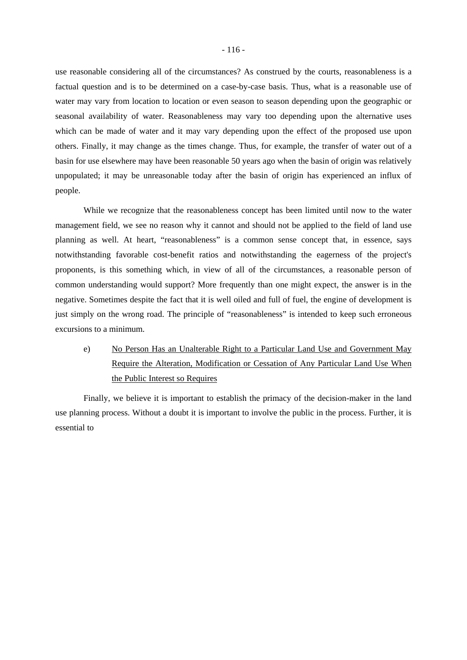use reasonable considering all of the circumstances? As construed by the courts, reasonableness is a factual question and is to be determined on a case-by-case basis. Thus, what is a reasonable use of water may vary from location to location or even season to season depending upon the geographic or seasonal availability of water. Reasonableness may vary too depending upon the alternative uses which can be made of water and it may vary depending upon the effect of the proposed use upon others. Finally, it may change as the times change. Thus, for example, the transfer of water out of a basin for use elsewhere may have been reasonable 50 years ago when the basin of origin was relatively unpopulated; it may be unreasonable today after the basin of origin has experienced an influx of people.

While we recognize that the reasonableness concept has been limited until now to the water management field, we see no reason why it cannot and should not be applied to the field of land use planning as well. At heart, "reasonableness" is a common sense concept that, in essence, says notwithstanding favorable cost-benefit ratios and notwithstanding the eagerness of the project's proponents, is this something which, in view of all of the circumstances, a reasonable person of common understanding would support? More frequently than one might expect, the answer is in the negative. Sometimes despite the fact that it is well oiled and full of fuel, the engine of development is just simply on the wrong road. The principle of "reasonableness" is intended to keep such erroneous excursions to a minimum.

e) No Person Has an Unalterable Right to a Particular Land Use and Government May Require the Alteration, Modification or Cessation of Any Particular Land Use When the Public Interest so Requires

Finally, we believe it is important to establish the primacy of the decision-maker in the land use planning process. Without a doubt it is important to involve the public in the process. Further, it is essential to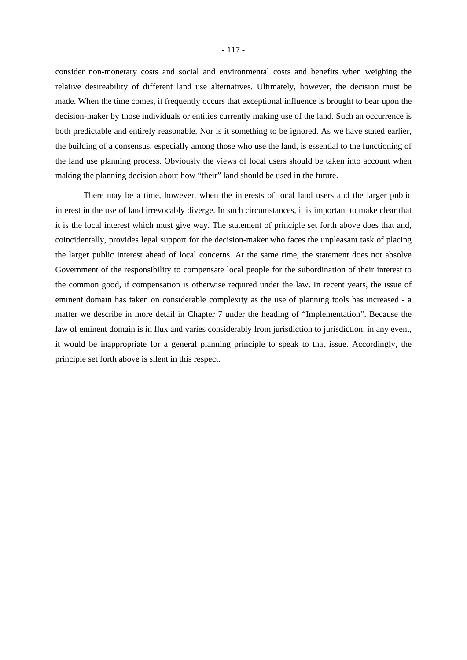consider non-monetary costs and social and environmental costs and benefits when weighing the relative desireability of different land use alternatives. Ultimately, however, the decision must be made. When the time comes, it frequently occurs that exceptional influence is brought to bear upon the decision-maker by those individuals or entities currently making use of the land. Such an occurrence is both predictable and entirely reasonable. Nor is it something to be ignored. As we have stated earlier, the building of a consensus, especially among those who use the land, is essential to the functioning of the land use planning process. Obviously the views of local users should be taken into account when making the planning decision about how "their" land should be used in the future.

There may be a time, however, when the interests of local land users and the larger public interest in the use of land irrevocably diverge. In such circumstances, it is important to make clear that it is the local interest which must give way. The statement of principle set forth above does that and, coincidentally, provides legal support for the decision-maker who faces the unpleasant task of placing the larger public interest ahead of local concerns. At the same time, the statement does not absolve Government of the responsibility to compensate local people for the subordination of their interest to the common good, if compensation is otherwise required under the law. In recent years, the issue of eminent domain has taken on considerable complexity as the use of planning tools has increased - a matter we describe in more detail in Chapter 7 under the heading of "Implementation". Because the law of eminent domain is in flux and varies considerably from jurisdiction to jurisdiction, in any event, it would be inappropriate for a general planning principle to speak to that issue. Accordingly, the principle set forth above is silent in this respect.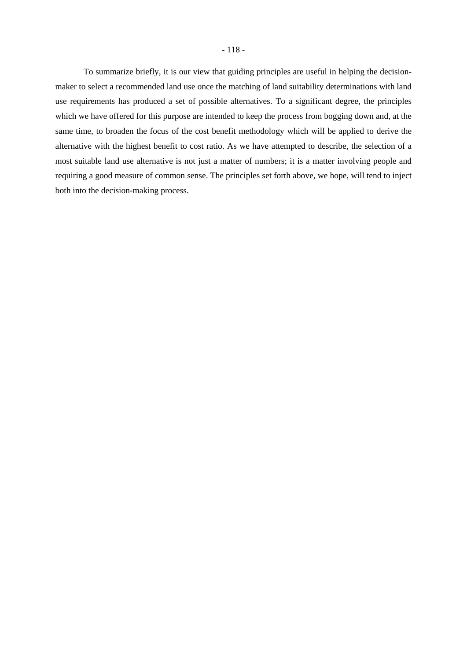To summarize briefly, it is our view that guiding principles are useful in helping the decisionmaker to select a recommended land use once the matching of land suitability determinations with land use requirements has produced a set of possible alternatives. To a significant degree, the principles which we have offered for this purpose are intended to keep the process from bogging down and, at the same time, to broaden the focus of the cost benefit methodology which will be applied to derive the alternative with the highest benefit to cost ratio. As we have attempted to describe, the selection of a most suitable land use alternative is not just a matter of numbers; it is a matter involving people and requiring a good measure of common sense. The principles set forth above, we hope, will tend to inject both into the decision-making process.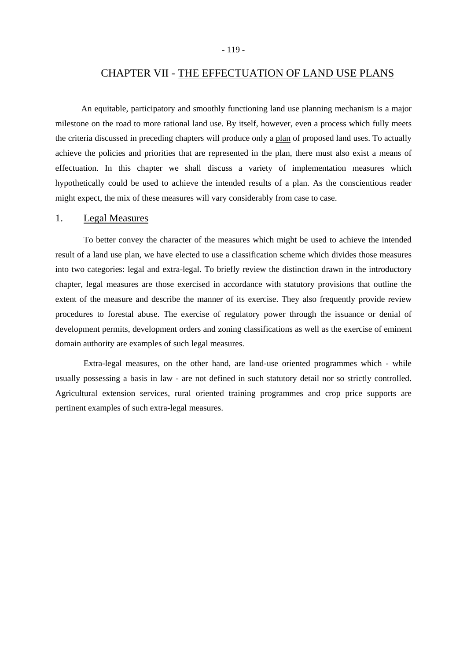# CHAPTER VII - THE EFFECTUATION OF LAND USE PLANS

An equitable, participatory and smoothly functioning land use planning mechanism is a major milestone on the road to more rational land use. By itself, however, even a process which fully meets the criteria discussed in preceding chapters will produce only a plan of proposed land uses. To actually achieve the policies and priorities that are represented in the plan, there must also exist a means of effectuation. In this chapter we shall discuss a variety of implementation measures which hypothetically could be used to achieve the intended results of a plan. As the conscientious reader might expect, the mix of these measures will vary considerably from case to case.

### 1. Legal Measures

To better convey the character of the measures which might be used to achieve the intended result of a land use plan, we have elected to use a classification scheme which divides those measures into two categories: legal and extra-legal. To briefly review the distinction drawn in the introductory chapter, legal measures are those exercised in accordance with statutory provisions that outline the extent of the measure and describe the manner of its exercise. They also frequently provide review procedures to forestal abuse. The exercise of regulatory power through the issuance or denial of development permits, development orders and zoning classifications as well as the exercise of eminent domain authority are examples of such legal measures.

Extra-legal measures, on the other hand, are land-use oriented programmes which - while usually possessing a basis in law - are not defined in such statutory detail nor so strictly controlled. Agricultural extension services, rural oriented training programmes and crop price supports are pertinent examples of such extra-legal measures.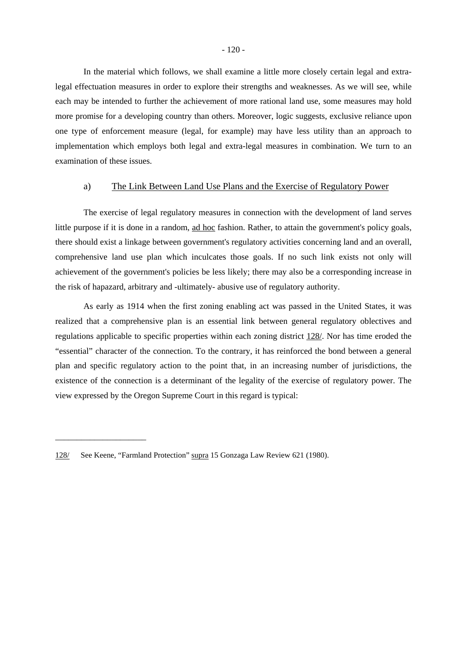In the material which follows, we shall examine a little more closely certain legal and extralegal effectuation measures in order to explore their strengths and weaknesses. As we will see, while each may be intended to further the achievement of more rational land use, some measures may hold more promise for a developing country than others. Moreover, logic suggests, exclusive reliance upon one type of enforcement measure (legal, for example) may have less utility than an approach to implementation which employs both legal and extra-legal measures in combination. We turn to an examination of these issues.

### a) The Link Between Land Use Plans and the Exercise of Regulatory Power

The exercise of legal regulatory measures in connection with the development of land serves little purpose if it is done in a random, ad hoc fashion. Rather, to attain the government's policy goals, there should exist a linkage between government's regulatory activities concerning land and an overall, comprehensive land use plan which inculcates those goals. If no such link exists not only will achievement of the government's policies be less likely; there may also be a corresponding increase in the risk of hapazard, arbitrary and -ultimately- abusive use of regulatory authority.

As early as 1914 when the first zoning enabling act was passed in the United States, it was realized that a comprehensive plan is an essential link between general regulatory oblectives and regulations applicable to specific properties within each zoning district 128/. Nor has time eroded the "essential" character of the connection. To the contrary, it has reinforced the bond between a general plan and specific regulatory action to the point that, in an increasing number of jurisdictions, the existence of the connection is a determinant of the legality of the exercise of regulatory power. The view expressed by the Oregon Supreme Court in this regard is typical:

<sup>128/</sup> See Keene, "Farmland Protection" supra 15 Gonzaga Law Review 621 (1980).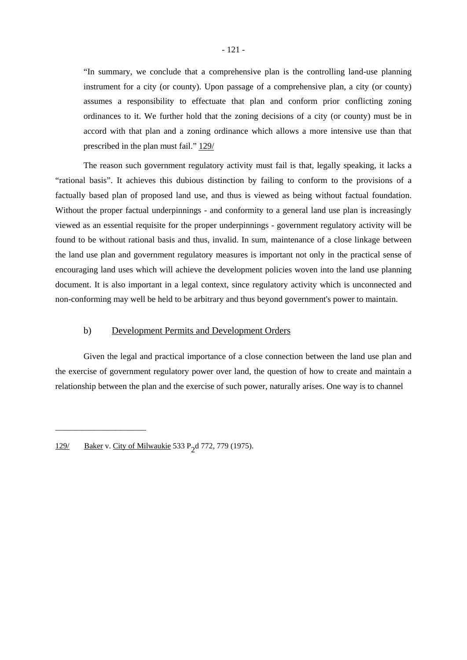"In summary, we conclude that a comprehensive plan is the controlling land-use planning instrument for a city (or county). Upon passage of a comprehensive plan, a city (or county) assumes a responsibility to effectuate that plan and conform prior conflicting zoning ordinances to it. We further hold that the zoning decisions of a city (or county) must be in accord with that plan and a zoning ordinance which allows a more intensive use than that prescribed in the plan must fail." 129/

The reason such government regulatory activity must fail is that, legally speaking, it lacks a "rational basis". It achieves this dubious distinction by failing to conform to the provisions of a factually based plan of proposed land use, and thus is viewed as being without factual foundation. Without the proper factual underpinnings - and conformity to a general land use plan is increasingly viewed as an essential requisite for the proper underpinnings - government regulatory activity will be found to be without rational basis and thus, invalid. In sum, maintenance of a close linkage between the land use plan and government regulatory measures is important not only in the practical sense of encouraging land uses which will achieve the development policies woven into the land use planning document. It is also important in a legal context, since regulatory activity which is unconnected and non-conforming may well be held to be arbitrary and thus beyond government's power to maintain.

## b) Development Permits and Development Orders

Given the legal and practical importance of a close connection between the land use plan and the exercise of government regulatory power over land, the question of how to create and maintain a relationship between the plan and the exercise of such power, naturally arises. One way is to channel

<sup>129/</sup> Baker v. City of Milwaukie 533 P<sub>2</sub>d 772, 779 (1975).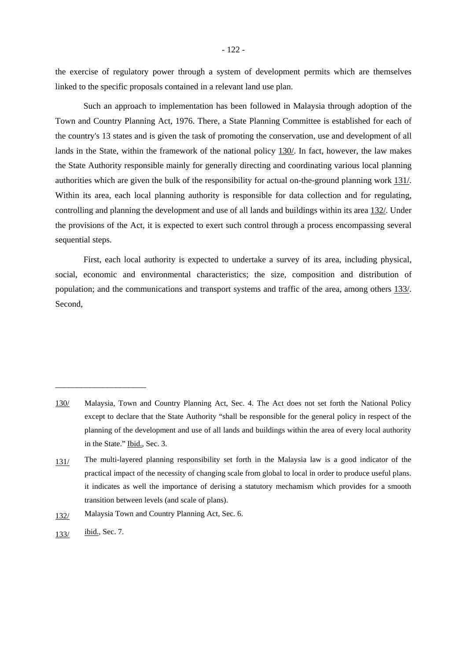the exercise of regulatory power through a system of development permits which are themselves linked to the specific proposals contained in a relevant land use plan.

Such an approach to implementation has been followed in Malaysia through adoption of the Town and Country Planning Act, 1976. There, a State Planning Committee is established for each of the country's 13 states and is given the task of promoting the conservation, use and development of all lands in the State, within the framework of the national policy 130/. In fact, however, the law makes the State Authority responsible mainly for generally directing and coordinating various local planning authorities which are given the bulk of the responsibility for actual on-the-ground planning work 131/. Within its area, each local planning authority is responsible for data collection and for regulating, controlling and planning the development and use of all lands and buildings within its area 132/. Under the provisions of the Act, it is expected to exert such control through a process encompassing several sequential steps.

First, each local authority is expected to undertake a survey of its area, including physical, social, economic and environmental characteristics; the size, composition and distribution of population; and the communications and transport systems and traffic of the area, among others 133/. Second,

<sup>130/</sup> Malaysia, Town and Country Planning Act, Sec. 4. The Act does not set forth the National Policy except to declare that the State Authority "shall be responsible for the general policy in respect of the planning of the development and use of all lands and buildings within the area of every local authority in the State." Ibid., Sec. 3.

<sup>131/</sup> The multi-layered planning responsibility set forth in the Malaysia law is a good indicator of the practical impact of the necessity of changing scale from global to local in order to produce useful plans. it indicates as well the importance of derising a statutory mechamism which provides for a smooth transition between levels (and scale of plans).

<sup>132/</sup> Malaysia Town and Country Planning Act, Sec. 6.

<sup>133/ &</sup>lt;u>ibid.,</u> Sec. 7.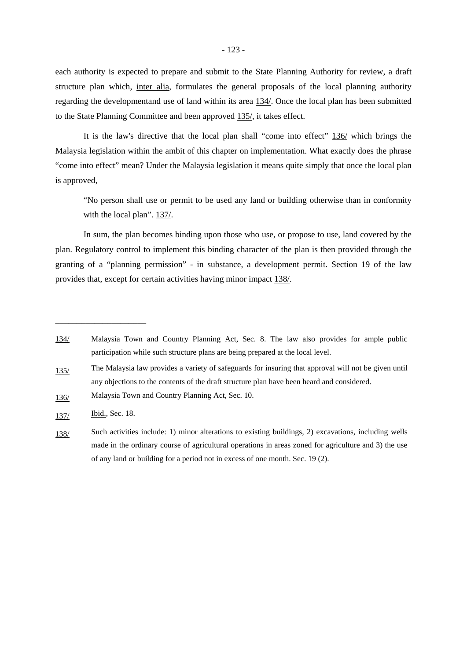each authority is expected to prepare and submit to the State Planning Authority for review, a draft structure plan which, inter alia, formulates the general proposals of the local planning authority regarding the developmentand use of land within its area 134/. Once the local plan has been submitted to the State Planning Committee and been approved 135/, it takes effect.

It is the law's directive that the local plan shall "come into effect" 136/ which brings the Malaysia legislation within the ambit of this chapter on implementation. What exactly does the phrase "come into effect" mean? Under the Malaysia legislation it means quite simply that once the local plan is approved,

"No person shall use or permit to be used any land or building otherwise than in conformity with the local plan". 137/.

In sum, the plan becomes binding upon those who use, or propose to use, land covered by the plan. Regulatory control to implement this binding character of the plan is then provided through the granting of a "planning permission" - in substance, a development permit. Section 19 of the law provides that, except for certain activities having minor impact 138/.

- 135/ The Malaysia law provides a variety of safeguards for insuring that approval will not be given until any objections to the contents of the draft structure plan have been heard and considered.
- 136/ Malaysia Town and Country Planning Act, Sec. 10.
- 137/ **Ibid.**, Sec. 18.

<sup>134/</sup> Malaysia Town and Country Planning Act, Sec. 8. The law also provides for ample public participation while such structure plans are being prepared at the local level.

<sup>138/</sup> Such activities include: 1) minor alterations to existing buildings, 2) excavations, including wells made in the ordinary course of agricultural operations in areas zoned for agriculture and 3) the use of any land or building for a period not in excess of one month. Sec. 19 (2).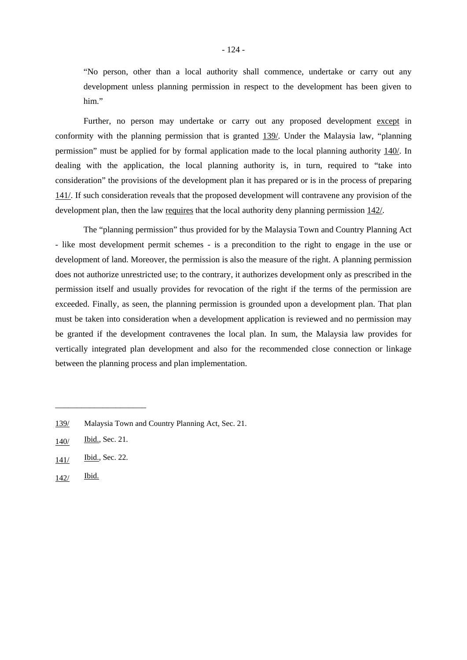"No person, other than a local authority shall commence, undertake or carry out any development unless planning permission in respect to the development has been given to him."

Further, no person may undertake or carry out any proposed development except in conformity with the planning permission that is granted 139/. Under the Malaysia law, "planning permission" must be applied for by formal application made to the local planning authority 140/. In dealing with the application, the local planning authority is, in turn, required to "take into consideration" the provisions of the development plan it has prepared or is in the process of preparing 141/. If such consideration reveals that the proposed development will contravene any provision of the development plan, then the law requires that the local authority deny planning permission 142/.

The "planning permission" thus provided for by the Malaysia Town and Country Planning Act - like most development permit schemes - is a precondition to the right to engage in the use or development of land. Moreover, the permission is also the measure of the right. A planning permission does not authorize unrestricted use; to the contrary, it authorizes development only as prescribed in the permission itself and usually provides for revocation of the right if the terms of the permission are exceeded. Finally, as seen, the planning permission is grounded upon a development plan. That plan must be taken into consideration when a development application is reviewed and no permission may be granted if the development contravenes the local plan. In sum, the Malaysia law provides for vertically integrated plan development and also for the recommended close connection or linkage between the planning process and plan implementation.

\_\_\_\_\_\_\_\_\_\_\_\_\_\_\_\_\_\_\_\_\_

142/ Ibid.

<sup>139/</sup> Malaysia Town and Country Planning Act, Sec. 21.

<sup>140/</sup> Ibid., Sec. 21.

<sup>141/</sup> Ibid., Sec. 22.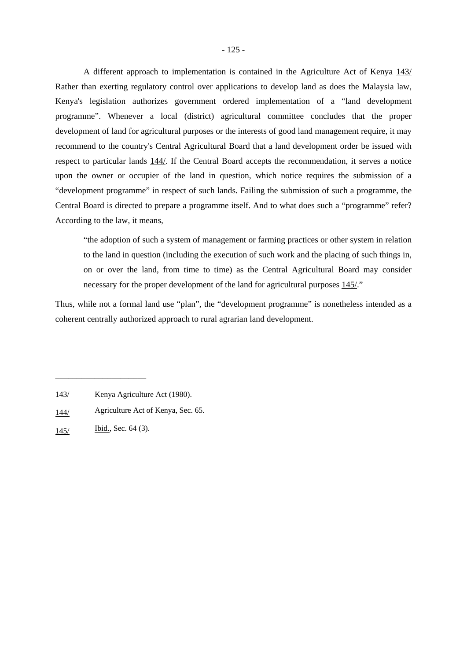A different approach to implementation is contained in the Agriculture Act of Kenya 143/ Rather than exerting regulatory control over applications to develop land as does the Malaysia law, Kenya's legislation authorizes government ordered implementation of a "land development programme". Whenever a local (district) agricultural committee concludes that the proper development of land for agricultural purposes or the interests of good land management require, it may recommend to the country's Central Agricultural Board that a land development order be issued with respect to particular lands 144/. If the Central Board accepts the recommendation, it serves a notice upon the owner or occupier of the land in question, which notice requires the submission of a "development programme" in respect of such lands. Failing the submission of such a programme, the Central Board is directed to prepare a programme itself. And to what does such a "programme" refer? According to the law, it means,

"the adoption of such a system of management or farming practices or other system in relation to the land in question (including the execution of such work and the placing of such things in, on or over the land, from time to time) as the Central Agricultural Board may consider necessary for the proper development of the land for agricultural purposes 145/."

Thus, while not a formal land use "plan", the "development programme" is nonetheless intended as a coherent centrally authorized approach to rural agrarian land development.

<sup>143/</sup> Kenya Agriculture Act (1980).

<sup>144/</sup> Agriculture Act of Kenya, Sec. 65.

<sup>145/</sup> **Ibid.**, Sec. 64 (3).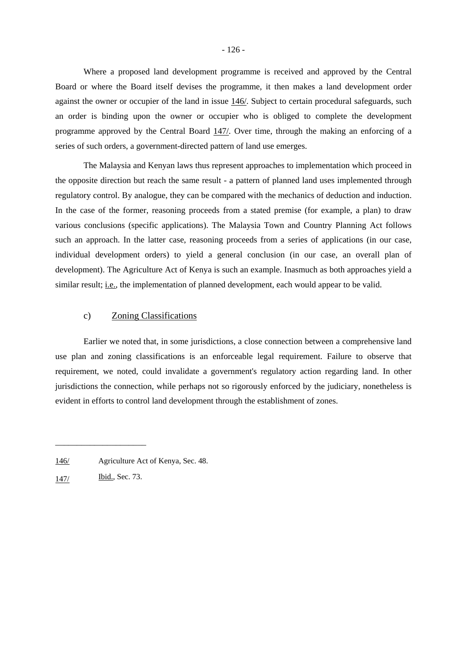Where a proposed land development programme is received and approved by the Central Board or where the Board itself devises the programme, it then makes a land development order against the owner or occupier of the land in issue 146/. Subject to certain procedural safeguards, such an order is binding upon the owner or occupier who is obliged to complete the development programme approved by the Central Board 147/. Over time, through the making an enforcing of a series of such orders, a government-directed pattern of land use emerges.

The Malaysia and Kenyan laws thus represent approaches to implementation which proceed in the opposite direction but reach the same result - a pattern of planned land uses implemented through regulatory control. By analogue, they can be compared with the mechanics of deduction and induction. In the case of the former, reasoning proceeds from a stated premise (for example, a plan) to draw various conclusions (specific applications). The Malaysia Town and Country Planning Act follows such an approach. In the latter case, reasoning proceeds from a series of applications (in our case, individual development orders) to yield a general conclusion (in our case, an overall plan of development). The Agriculture Act of Kenya is such an example. Inasmuch as both approaches yield a similar result; *i.e.*, the implementation of planned development, each would appear to be valid.

## c) Zoning Classifications

Earlier we noted that, in some jurisdictions, a close connection between a comprehensive land use plan and zoning classifications is an enforceable legal requirement. Failure to observe that requirement, we noted, could invalidate a government's regulatory action regarding land. In other jurisdictions the connection, while perhaps not so rigorously enforced by the judiciary, nonetheless is evident in efforts to control land development through the establishment of zones.

<sup>146/</sup> Agriculture Act of Kenya, Sec. 48.

<sup>147/</sup> **Ibid.**, Sec. 73.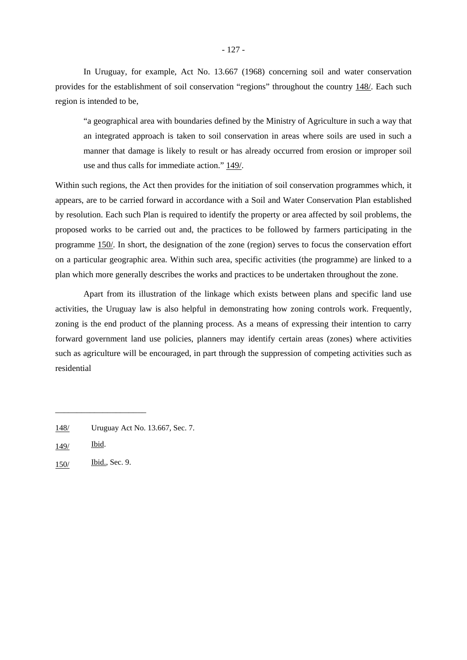In Uruguay, for example, Act No. 13.667 (1968) concerning soil and water conservation provides for the establishment of soil conservation "regions" throughout the country 148/. Each such region is intended to be,

"a geographical area with boundaries defined by the Ministry of Agriculture in such a way that an integrated approach is taken to soil conservation in areas where soils are used in such a manner that damage is likely to result or has already occurred from erosion or improper soil use and thus calls for immediate action."  $149/$ .

Within such regions, the Act then provides for the initiation of soil conservation programmes which, it appears, are to be carried forward in accordance with a Soil and Water Conservation Plan established by resolution. Each such Plan is required to identify the property or area affected by soil problems, the proposed works to be carried out and, the practices to be followed by farmers participating in the programme 150/. In short, the designation of the zone (region) serves to focus the conservation effort on a particular geographic area. Within such area, specific activities (the programme) are linked to a plan which more generally describes the works and practices to be undertaken throughout the zone.

Apart from its illustration of the linkage which exists between plans and specific land use activities, the Uruguay law is also helpful in demonstrating how zoning controls work. Frequently, zoning is the end product of the planning process. As a means of expressing their intention to carry forward government land use policies, planners may identify certain areas (zones) where activities such as agriculture will be encouraged, in part through the suppression of competing activities such as residential

150/ Ibid., Sec. 9.

<sup>148/</sup> Uruguay Act No. 13.667, Sec. 7.

<sup>149/</sup> Ibid.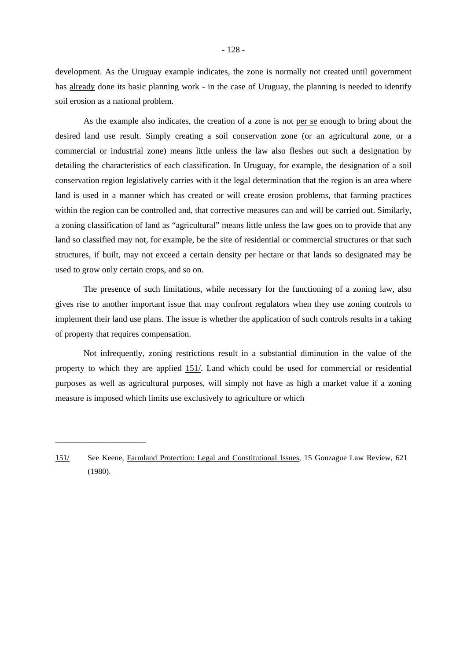development. As the Uruguay example indicates, the zone is normally not created until government has already done its basic planning work - in the case of Uruguay, the planning is needed to identify soil erosion as a national problem.

As the example also indicates, the creation of a zone is not per se enough to bring about the desired land use result. Simply creating a soil conservation zone (or an agricultural zone, or a commercial or industrial zone) means little unless the law also fleshes out such a designation by detailing the characteristics of each classification. In Uruguay, for example, the designation of a soil conservation region legislatively carries with it the legal determination that the region is an area where land is used in a manner which has created or will create erosion problems, that farming practices within the region can be controlled and, that corrective measures can and will be carried out. Similarly, a zoning classification of land as "agricultural" means little unless the law goes on to provide that any land so classified may not, for example, be the site of residential or commercial structures or that such structures, if built, may not exceed a certain density per hectare or that lands so designated may be used to grow only certain crops, and so on.

The presence of such limitations, while necessary for the functioning of a zoning law, also gives rise to another important issue that may confront regulators when they use zoning controls to implement their land use plans. The issue is whether the application of such controls results in a taking of property that requires compensation.

Not infrequently, zoning restrictions result in a substantial diminution in the value of the property to which they are applied 151/. Land which could be used for commercial or residential purposes as well as agricultural purposes, will simply not have as high a market value if a zoning measure is imposed which limits use exclusively to agriculture or which

<sup>151/</sup> See Keene, Farmland Protection: Legal and Constitutional Issues, 15 Gonzague Law Review, 621 (1980).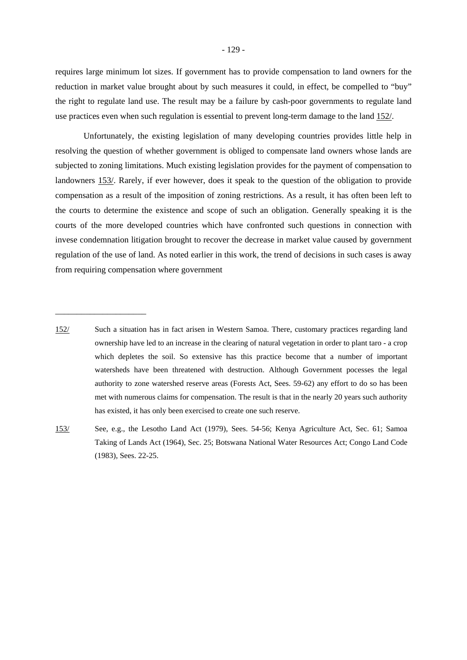requires large minimum lot sizes. If government has to provide compensation to land owners for the reduction in market value brought about by such measures it could, in effect, be compelled to "buy" the right to regulate land use. The result may be a failure by cash-poor governments to regulate land use practices even when such regulation is essential to prevent long-term damage to the land 152/.

Unfortunately, the existing legislation of many developing countries provides little help in resolving the question of whether government is obliged to compensate land owners whose lands are subjected to zoning limitations. Much existing legislation provides for the payment of compensation to landowners 153/. Rarely, if ever however, does it speak to the question of the obligation to provide compensation as a result of the imposition of zoning restrictions. As a result, it has often been left to the courts to determine the existence and scope of such an obligation. Generally speaking it is the courts of the more developed countries which have confronted such questions in connection with invese condemnation litigation brought to recover the decrease in market value caused by government regulation of the use of land. As noted earlier in this work, the trend of decisions in such cases is away from requiring compensation where government

<sup>152/</sup> Such a situation has in fact arisen in Western Samoa. There, customary practices regarding land ownership have led to an increase in the clearing of natural vegetation in order to plant taro - a crop which depletes the soil. So extensive has this practice become that a number of important watersheds have been threatened with destruction. Although Government pocesses the legal authority to zone watershed reserve areas (Forests Act, Sees. 59-62) any effort to do so has been met with numerous claims for compensation. The result is that in the nearly 20 years such authority has existed, it has only been exercised to create one such reserve.

<sup>153/</sup> See, e.g., the Lesotho Land Act (1979), Sees. 54-56; Kenya Agriculture Act, Sec. 61; Samoa Taking of Lands Act (1964), Sec. 25; Botswana National Water Resources Act; Congo Land Code (1983), Sees. 22-25.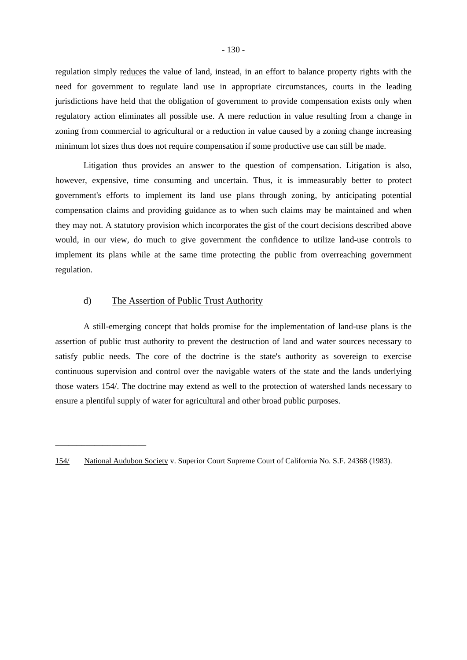regulation simply reduces the value of land, instead, in an effort to balance property rights with the need for government to regulate land use in appropriate circumstances, courts in the leading jurisdictions have held that the obligation of government to provide compensation exists only when regulatory action eliminates all possible use. A mere reduction in value resulting from a change in zoning from commercial to agricultural or a reduction in value caused by a zoning change increasing minimum lot sizes thus does not require compensation if some productive use can still be made.

Litigation thus provides an answer to the question of compensation. Litigation is also, however, expensive, time consuming and uncertain. Thus, it is immeasurably better to protect government's efforts to implement its land use plans through zoning, by anticipating potential compensation claims and providing guidance as to when such claims may be maintained and when they may not. A statutory provision which incorporates the gist of the court decisions described above would, in our view, do much to give government the confidence to utilize land-use controls to implement its plans while at the same time protecting the public from overreaching government regulation.

## d) The Assertion of Public Trust Authority

\_\_\_\_\_\_\_\_\_\_\_\_\_\_\_\_\_\_\_\_\_

A still-emerging concept that holds promise for the implementation of land-use plans is the assertion of public trust authority to prevent the destruction of land and water sources necessary to satisfy public needs. The core of the doctrine is the state's authority as sovereign to exercise continuous supervision and control over the navigable waters of the state and the lands underlying those waters 154/. The doctrine may extend as well to the protection of watershed lands necessary to ensure a plentiful supply of water for agricultural and other broad public purposes.

<sup>154/</sup> National Audubon Society v. Superior Court Supreme Court of California No. S.F. 24368 (1983).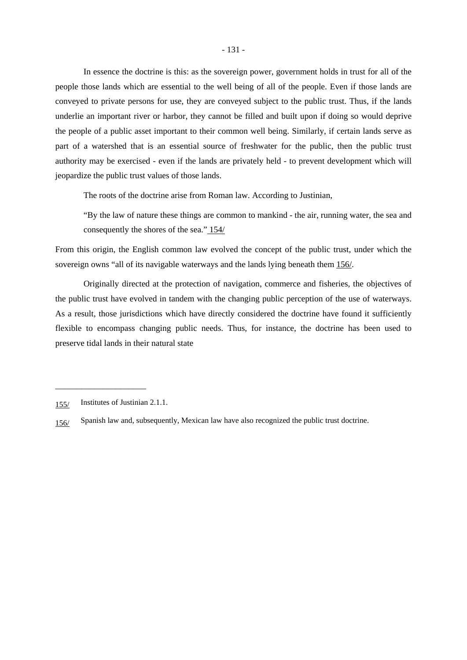In essence the doctrine is this: as the sovereign power, government holds in trust for all of the people those lands which are essential to the well being of all of the people. Even if those lands are conveyed to private persons for use, they are conveyed subject to the public trust. Thus, if the lands underlie an important river or harbor, they cannot be filled and built upon if doing so would deprive the people of a public asset important to their common well being. Similarly, if certain lands serve as part of a watershed that is an essential source of freshwater for the public, then the public trust authority may be exercised - even if the lands are privately held - to prevent development which will jeopardize the public trust values of those lands.

The roots of the doctrine arise from Roman law. According to Justinian,

"By the law of nature these things are common to mankind - the air, running water, the sea and consequently the shores of the sea." 154/

From this origin, the English common law evolved the concept of the public trust, under which the sovereign owns "all of its navigable waterways and the lands lying beneath them 156/.

Originally directed at the protection of navigation, commerce and fisheries, the objectives of the public trust have evolved in tandem with the changing public perception of the use of waterways. As a result, those jurisdictions which have directly considered the doctrine have found it sufficiently flexible to encompass changing public needs. Thus, for instance, the doctrine has been used to preserve tidal lands in their natural state

<sup>155/</sup> Institutes of Justinian 2.1.1.

<sup>156/</sup> Spanish law and, subsequently, Mexican law have also recognized the public trust doctrine.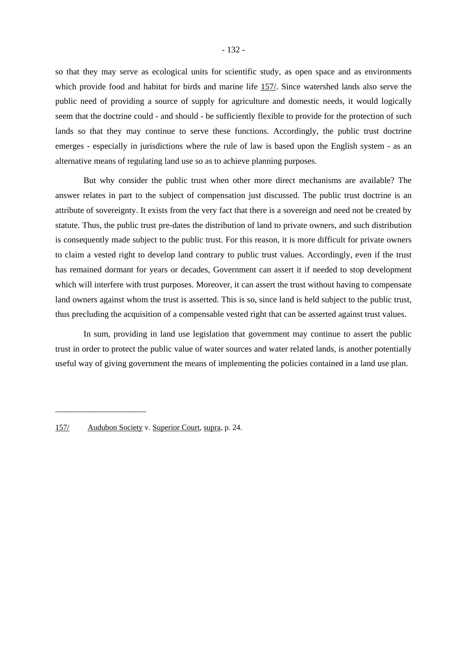so that they may serve as ecological units for scientific study, as open space and as environments which provide food and habitat for birds and marine life 157/. Since watershed lands also serve the public need of providing a source of supply for agriculture and domestic needs, it would logically seem that the doctrine could - and should - be sufficiently flexible to provide for the protection of such lands so that they may continue to serve these functions. Accordingly, the public trust doctrine emerges - especially in jurisdictions where the rule of law is based upon the English system - as an alternative means of regulating land use so as to achieve planning purposes.

But why consider the public trust when other more direct mechanisms are available? The answer relates in part to the subject of compensation just discussed. The public trust doctrine is an attribute of sovereignty. It exists from the very fact that there is a sovereign and need not be created by statute. Thus, the public trust pre-dates the distribution of land to private owners, and such distribution is consequently made subject to the public trust. For this reason, it is more difficult for private owners to claim a vested right to develop land contrary to public trust values. Accordingly, even if the trust has remained dormant for years or decades, Government can assert it if needed to stop development which will interfere with trust purposes. Moreover, it can assert the trust without having to compensate land owners against whom the trust is asserted. This is so, since land is held subject to the public trust, thus precluding the acquisition of a compensable vested right that can be asserted against trust values.

In sum, providing in land use legislation that government may continue to assert the public trust in order to protect the public value of water sources and water related lands, is another potentially useful way of giving government the means of implementing the policies contained in a land use plan.

<sup>157/</sup> Audubon Society v. Superior Court, supra, p. 24.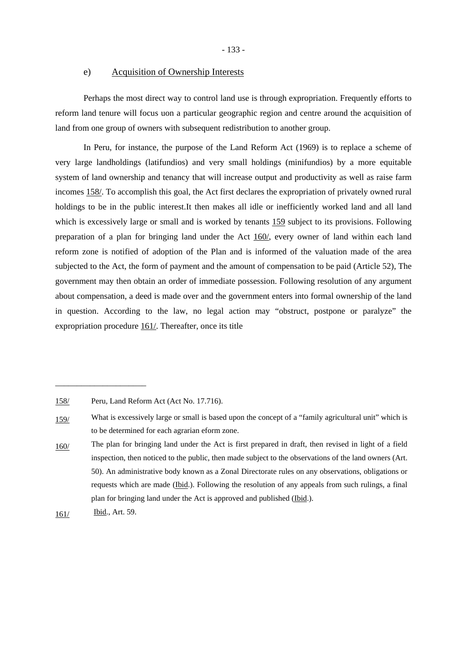- 133 -

### e) Acquisition of Ownership Interests

Perhaps the most direct way to control land use is through expropriation. Frequently efforts to reform land tenure will focus uon a particular geographic region and centre around the acquisition of land from one group of owners with subsequent redistribution to another group.

In Peru, for instance, the purpose of the Land Reform Act (1969) is to replace a scheme of very large landholdings (latifundios) and very small holdings (minifundios) by a more equitable system of land ownership and tenancy that will increase output and productivity as well as raise farm incomes 158/. To accomplish this goal, the Act first declares the expropriation of privately owned rural holdings to be in the public interest.It then makes all idle or inefficiently worked land and all land which is excessively large or small and is worked by tenants 159 subject to its provisions. Following preparation of a plan for bringing land under the Act 160/, every owner of land within each land reform zone is notified of adoption of the Plan and is informed of the valuation made of the area subjected to the Act, the form of payment and the amount of compensation to be paid (Article 52), The government may then obtain an order of immediate possession. Following resolution of any argument about compensation, a deed is made over and the government enters into formal ownership of the land in question. According to the law, no legal action may "obstruct, postpone or paralyze" the expropriation procedure 161/. Thereafter, once its title

<sup>158/</sup> Peru, Land Reform Act (Act No. 17.716).

<sup>159/</sup> What is excessively large or small is based upon the concept of a "family agricultural unit" which is to be determined for each agrarian eform zone.

<sup>160/</sup> The plan for bringing land under the Act is first prepared in draft, then revised in light of a field inspection, then noticed to the public, then made subject to the observations of the land owners (Art. 50). An administrative body known as a Zonal Directorate rules on any observations, obligations or requests which are made (Ibid.). Following the resolution of any appeals from such rulings, a final plan for bringing land under the Act is approved and published (Ibid.).

<sup>161/</sup> Ibid., Art. 59.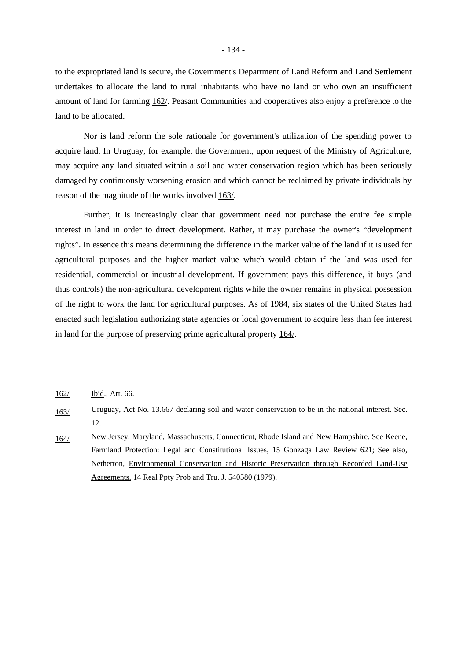to the expropriated land is secure, the Government's Department of Land Reform and Land Settlement undertakes to allocate the land to rural inhabitants who have no land or who own an insufficient amount of land for farming 162/. Peasant Communities and cooperatives also enjoy a preference to the land to be allocated.

Nor is land reform the sole rationale for government's utilization of the spending power to acquire land. In Uruguay, for example, the Government, upon request of the Ministry of Agriculture, may acquire any land situated within a soil and water conservation region which has been seriously damaged by continuously worsening erosion and which cannot be reclaimed by private individuals by reason of the magnitude of the works involved 163/.

Further, it is increasingly clear that government need not purchase the entire fee simple interest in land in order to direct development. Rather, it may purchase the owner's "development rights". In essence this means determining the difference in the market value of the land if it is used for agricultural purposes and the higher market value which would obtain if the land was used for residential, commercial or industrial development. If government pays this difference, it buys (and thus controls) the non-agricultural development rights while the owner remains in physical possession of the right to work the land for agricultural purposes. As of 1984, six states of the United States had enacted such legislation authorizing state agencies or local government to acquire less than fee interest in land for the purpose of preserving prime agricultural property 164/.

<sup>162/</sup> Ibid., Art. 66.

<sup>163/</sup> Uruguay, Act No. 13.667 declaring soil and water conservation to be in the national interest. Sec. 12.

<sup>164/</sup> New Jersey, Maryland, Massachusetts, Connecticut, Rhode Island and New Hampshire. See Keene, Farmland Protection: Legal and Constitutional Issues, 15 Gonzaga Law Review 621; See also, Netherton, Environmental Conservation and Historic Preservation through Recorded Land-Use Agreements. 14 Real Ppty Prob and Tru. J. 540580 (1979).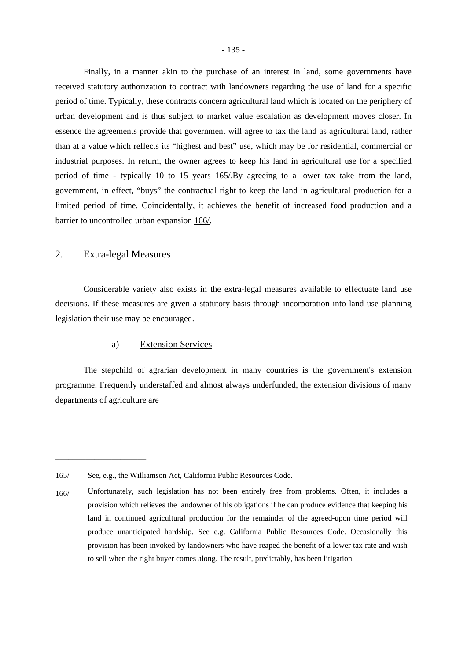Finally, in a manner akin to the purchase of an interest in land, some governments have received statutory authorization to contract with landowners regarding the use of land for a specific period of time. Typically, these contracts concern agricultural land which is located on the periphery of urban development and is thus subject to market value escalation as development moves closer. In essence the agreements provide that government will agree to tax the land as agricultural land, rather than at a value which reflects its "highest and best" use, which may be for residential, commercial or industrial purposes. In return, the owner agrees to keep his land in agricultural use for a specified period of time - typically 10 to 15 years 165/.By agreeing to a lower tax take from the land, government, in effect, "buys" the contractual right to keep the land in agricultural production for a limited period of time. Coincidentally, it achieves the benefit of increased food production and a barrier to uncontrolled urban expansion 166/.

## 2. Extra-legal Measures

\_\_\_\_\_\_\_\_\_\_\_\_\_\_\_\_\_\_\_\_\_

Considerable variety also exists in the extra-legal measures available to effectuate land use decisions. If these measures are given a statutory basis through incorporation into land use planning legislation their use may be encouraged.

### a) Extension Services

The stepchild of agrarian development in many countries is the government's extension programme. Frequently understaffed and almost always underfunded, the extension divisions of many departments of agriculture are

<sup>165/</sup> See, e.g., the Williamson Act, California Public Resources Code.

<sup>166/</sup> Unfortunately, such legislation has not been entirely free from problems. Often, it includes a provision which relieves the landowner of his obligations if he can produce evidence that keeping his land in continued agricultural production for the remainder of the agreed-upon time period will produce unanticipated hardship. See e.g. California Public Resources Code. Occasionally this provision has been invoked by landowners who have reaped the benefit of a lower tax rate and wish to sell when the right buyer comes along. The result, predictably, has been litigation.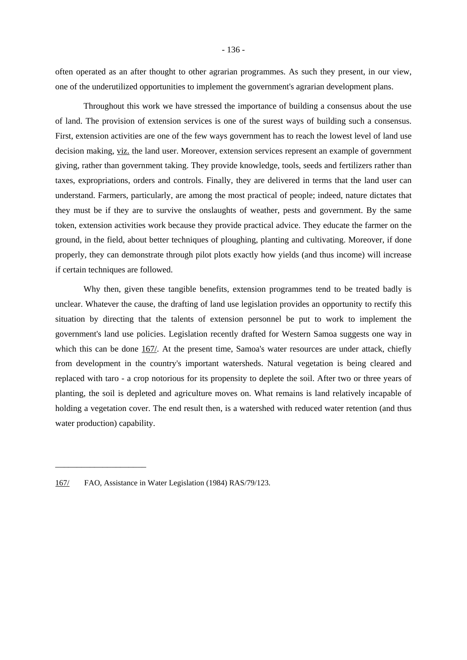often operated as an after thought to other agrarian programmes. As such they present, in our view, one of the underutilized opportunities to implement the government's agrarian development plans.

Throughout this work we have stressed the importance of building a consensus about the use of land. The provision of extension services is one of the surest ways of building such a consensus. First, extension activities are one of the few ways government has to reach the lowest level of land use decision making, viz. the land user. Moreover, extension services represent an example of government giving, rather than government taking. They provide knowledge, tools, seeds and fertilizers rather than taxes, expropriations, orders and controls. Finally, they are delivered in terms that the land user can understand. Farmers, particularly, are among the most practical of people; indeed, nature dictates that they must be if they are to survive the onslaughts of weather, pests and government. By the same token, extension activities work because they provide practical advice. They educate the farmer on the ground, in the field, about better techniques of ploughing, planting and cultivating. Moreover, if done properly, they can demonstrate through pilot plots exactly how yields (and thus income) will increase if certain techniques are followed.

Why then, given these tangible benefits, extension programmes tend to be treated badly is unclear. Whatever the cause, the drafting of land use legislation provides an opportunity to rectify this situation by directing that the talents of extension personnel be put to work to implement the government's land use policies. Legislation recently drafted for Western Samoa suggests one way in which this can be done 167/. At the present time, Samoa's water resources are under attack, chiefly from development in the country's important watersheds. Natural vegetation is being cleared and replaced with taro - a crop notorious for its propensity to deplete the soil. After two or three years of planting, the soil is depleted and agriculture moves on. What remains is land relatively incapable of holding a vegetation cover. The end result then, is a watershed with reduced water retention (and thus water production) capability.

<sup>167/</sup> FAO, Assistance in Water Legislation (1984) RAS/79/123.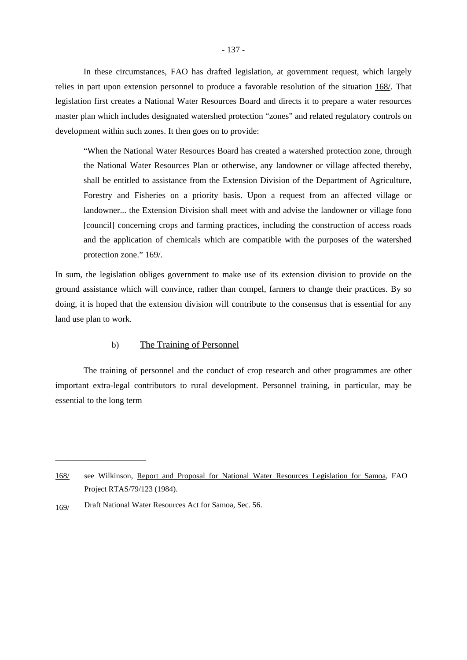In these circumstances, FAO has drafted legislation, at government request, which largely relies in part upon extension personnel to produce a favorable resolution of the situation 168/. That legislation first creates a National Water Resources Board and directs it to prepare a water resources master plan which includes designated watershed protection "zones" and related regulatory controls on development within such zones. It then goes on to provide:

"When the National Water Resources Board has created a watershed protection zone, through the National Water Resources Plan or otherwise, any landowner or village affected thereby, shall be entitled to assistance from the Extension Division of the Department of Agriculture, Forestry and Fisheries on a priority basis. Upon a request from an affected village or landowner... the Extension Division shall meet with and advise the landowner or village fono [council] concerning crops and farming practices, including the construction of access roads and the application of chemicals which are compatible with the purposes of the watershed protection zone." 169/.

In sum, the legislation obliges government to make use of its extension division to provide on the ground assistance which will convince, rather than compel, farmers to change their practices. By so doing, it is hoped that the extension division will contribute to the consensus that is essential for any land use plan to work.

### b) The Training of Personnel

The training of personnel and the conduct of crop research and other programmes are other important extra-legal contributors to rural development. Personnel training, in particular, may be essential to the long term

<sup>168/</sup> see Wilkinson, Report and Proposal for National Water Resources Legislation for Samoa, FAO Project RTAS/79/123 (1984).

<sup>169/</sup> Draft National Water Resources Act for Samoa, Sec. 56.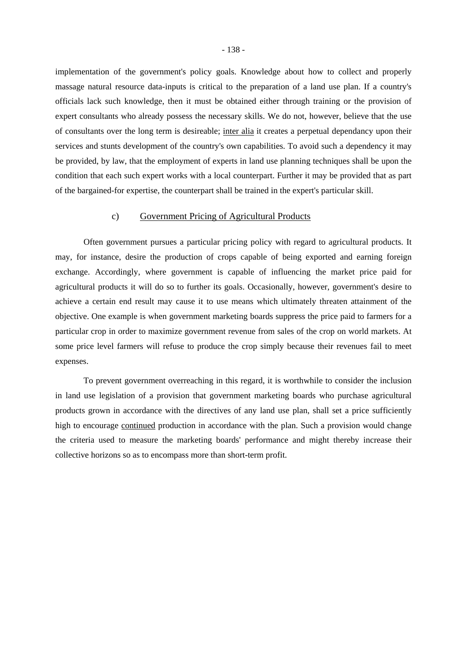implementation of the government's policy goals. Knowledge about how to collect and properly massage natural resource data-inputs is critical to the preparation of a land use plan. If a country's officials lack such knowledge, then it must be obtained either through training or the provision of expert consultants who already possess the necessary skills. We do not, however, believe that the use of consultants over the long term is desireable; inter alia it creates a perpetual dependancy upon their services and stunts development of the country's own capabilities. To avoid such a dependency it may be provided, by law, that the employment of experts in land use planning techniques shall be upon the condition that each such expert works with a local counterpart. Further it may be provided that as part of the bargained-for expertise, the counterpart shall be trained in the expert's particular skill.

### c) Government Pricing of Agricultural Products

Often government pursues a particular pricing policy with regard to agricultural products. It may, for instance, desire the production of crops capable of being exported and earning foreign exchange. Accordingly, where government is capable of influencing the market price paid for agricultural products it will do so to further its goals. Occasionally, however, government's desire to achieve a certain end result may cause it to use means which ultimately threaten attainment of the objective. One example is when government marketing boards suppress the price paid to farmers for a particular crop in order to maximize government revenue from sales of the crop on world markets. At some price level farmers will refuse to produce the crop simply because their revenues fail to meet expenses.

To prevent government overreaching in this regard, it is worthwhile to consider the inclusion in land use legislation of a provision that government marketing boards who purchase agricultural products grown in accordance with the directives of any land use plan, shall set a price sufficiently high to encourage continued production in accordance with the plan. Such a provision would change the criteria used to measure the marketing boards' performance and might thereby increase their collective horizons so as to encompass more than short-term profit.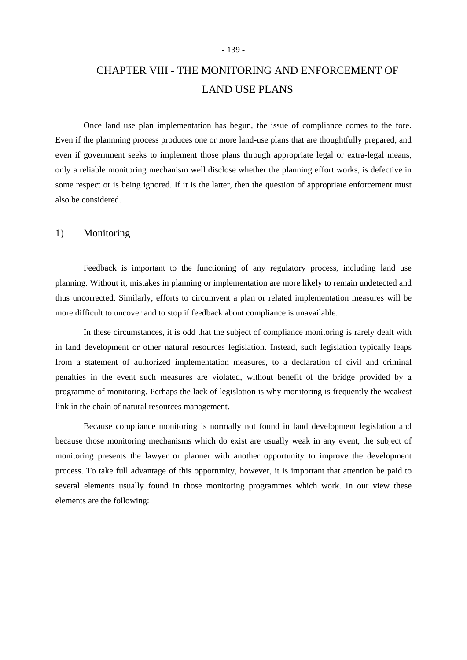#### - 139 -

# CHAPTER VIII - THE MONITORING AND ENFORCEMENT OF LAND USE PLANS

Once land use plan implementation has begun, the issue of compliance comes to the fore. Even if the plannning process produces one or more land-use plans that are thoughtfully prepared, and even if government seeks to implement those plans through appropriate legal or extra-legal means, only a reliable monitoring mechanism well disclose whether the planning effort works, is defective in some respect or is being ignored. If it is the latter, then the question of appropriate enforcement must also be considered.

## 1) Monitoring

Feedback is important to the functioning of any regulatory process, including land use planning. Without it, mistakes in planning or implementation are more likely to remain undetected and thus uncorrected. Similarly, efforts to circumvent a plan or related implementation measures will be more difficult to uncover and to stop if feedback about compliance is unavailable.

In these circumstances, it is odd that the subject of compliance monitoring is rarely dealt with in land development or other natural resources legislation. Instead, such legislation typically leaps from a statement of authorized implementation measures, to a declaration of civil and criminal penalties in the event such measures are violated, without benefit of the bridge provided by a programme of monitoring. Perhaps the lack of legislation is why monitoring is frequently the weakest link in the chain of natural resources management.

Because compliance monitoring is normally not found in land development legislation and because those monitoring mechanisms which do exist are usually weak in any event, the subject of monitoring presents the lawyer or planner with another opportunity to improve the development process. To take full advantage of this opportunity, however, it is important that attention be paid to several elements usually found in those monitoring programmes which work. In our view these elements are the following: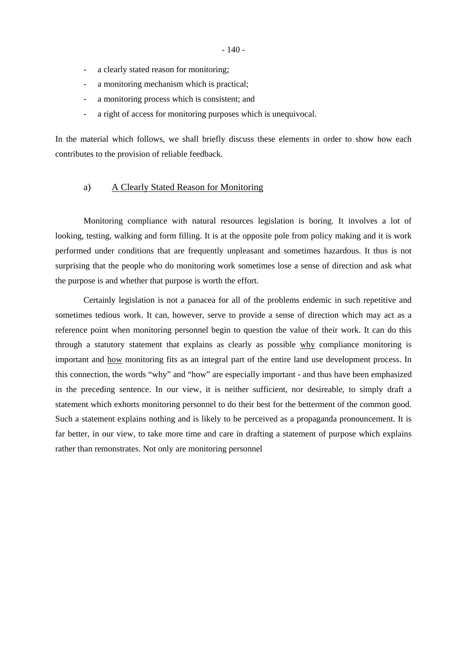- a clearly stated reason for monitoring;
- a monitoring mechanism which is practical;
- a monitoring process which is consistent; and
- a right of access for monitoring purposes which is unequivocal.

In the material which follows, we shall briefly discuss these elements in order to show how each contributes to the provision of reliable feedback.

## a) A Clearly Stated Reason for Monitoring

Monitoring compliance with natural resources legislation is boring. It involves a lot of looking, testing, walking and form filling. It is at the opposite pole from policy making and it is work performed under conditions that are frequently unpleasant and sometimes hazardous. It thus is not surprising that the people who do monitoring work sometimes lose a sense of direction and ask what the purpose is and whether that purpose is worth the effort.

Certainly legislation is not a panacea for all of the problems endemic in such repetitive and sometimes tedious work. It can, however, serve to provide a sense of direction which may act as a reference point when monitoring personnel begin to question the value of their work. It can do this through a statutory statement that explains as clearly as possible why compliance monitoring is important and how monitoring fits as an integral part of the entire land use development process. In this connection, the words "why" and "how" are especially important - and thus have been emphasized in the preceding sentence. In our view, it is neither sufficient, nor desireable, to simply draft a statement which exhorts monitoring personnel to do their best for the betterment of the common good. Such a statement explains nothing and is likely to be perceived as a propaganda pronouncement. It is far better, in our view, to take more time and care in drafting a statement of purpose which explains rather than remonstrates. Not only are monitoring personnel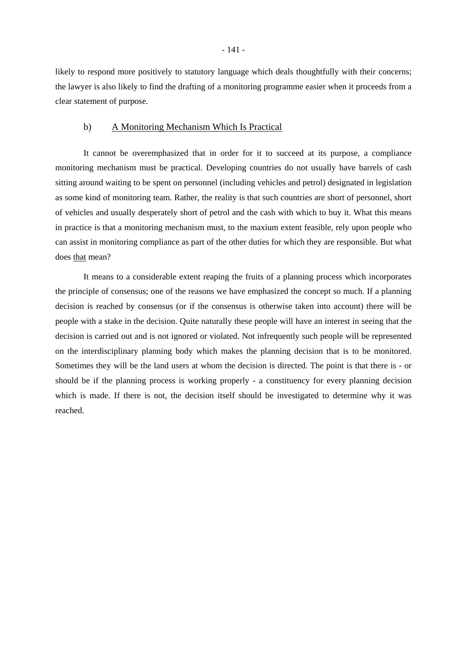likely to respond more positively to statutory language which deals thoughtfully with their concerns; the lawyer is also likely to find the drafting of a monitoring programme easier when it proceeds from a clear statement of purpose.

## b) A Monitoring Mechanism Which Is Practical

It cannot be overemphasized that in order for it to succeed at its purpose, a compliance monitoring mechanism must be practical. Developing countries do not usually have barrels of cash sitting around waiting to be spent on personnel (including vehicles and petrol) designated in legislation as some kind of monitoring team. Rather, the reality is that such countries are short of personnel, short of vehicles and usually desperately short of petrol and the cash with which to buy it. What this means in practice is that a monitoring mechanism must, to the maxium extent feasible, rely upon people who can assist in monitoring compliance as part of the other duties for which they are responsible. But what does that mean?

It means to a considerable extent reaping the fruits of a planning process which incorporates the principle of consensus; one of the reasons we have emphasized the concept so much. If a planning decision is reached by consensus (or if the consensus is otherwise taken into account) there will be people with a stake in the decision. Quite naturally these people will have an interest in seeing that the decision is carried out and is not ignored or violated. Not infrequently such people will be represented on the interdisciplinary planning body which makes the planning decision that is to be monitored. Sometimes they will be the land users at whom the decision is directed. The point is that there is - or should be if the planning process is working properly - a constituency for every planning decision which is made. If there is not, the decision itself should be investigated to determine why it was reached.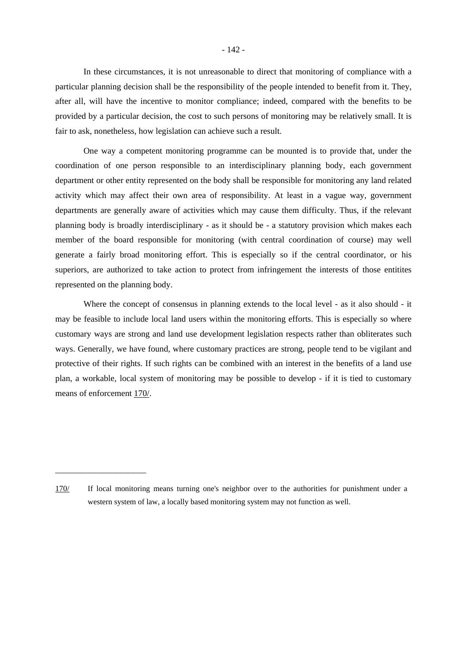In these circumstances, it is not unreasonable to direct that monitoring of compliance with a particular planning decision shall be the responsibility of the people intended to benefit from it. They, after all, will have the incentive to monitor compliance; indeed, compared with the benefits to be provided by a particular decision, the cost to such persons of monitoring may be relatively small. It is fair to ask, nonetheless, how legislation can achieve such a result.

One way a competent monitoring programme can be mounted is to provide that, under the coordination of one person responsible to an interdisciplinary planning body, each government department or other entity represented on the body shall be responsible for monitoring any land related activity which may affect their own area of responsibility. At least in a vague way, government departments are generally aware of activities which may cause them difficulty. Thus, if the relevant planning body is broadly interdisciplinary - as it should be - a statutory provision which makes each member of the board responsible for monitoring (with central coordination of course) may well generate a fairly broad monitoring effort. This is especially so if the central coordinator, or his superiors, are authorized to take action to protect from infringement the interests of those entitites represented on the planning body.

Where the concept of consensus in planning extends to the local level - as it also should - it may be feasible to include local land users within the monitoring efforts. This is especially so where customary ways are strong and land use development legislation respects rather than obliterates such ways. Generally, we have found, where customary practices are strong, people tend to be vigilant and protective of their rights. If such rights can be combined with an interest in the benefits of a land use plan, a workable, local system of monitoring may be possible to develop - if it is tied to customary means of enforcement 170/.

<sup>170/</sup> If local monitoring means turning one's neighbor over to the authorities for punishment under a western system of law, a locally based monitoring system may not function as well.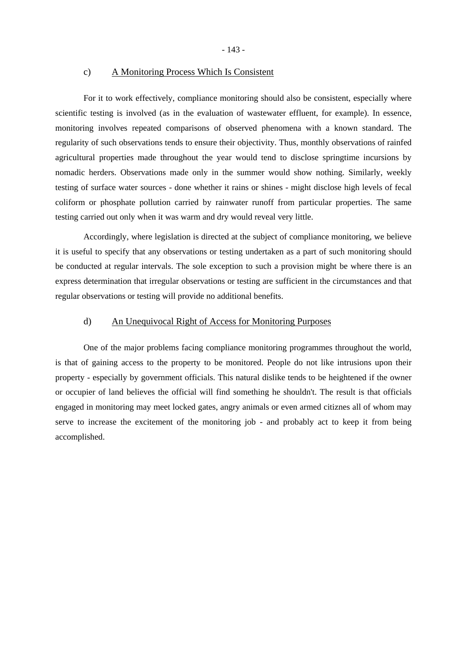- 143 -

# c) A Monitoring Process Which Is Consistent

For it to work effectively, compliance monitoring should also be consistent, especially where scientific testing is involved (as in the evaluation of wastewater effluent, for example). In essence, monitoring involves repeated comparisons of observed phenomena with a known standard. The regularity of such observations tends to ensure their objectivity. Thus, monthly observations of rainfed agricultural properties made throughout the year would tend to disclose springtime incursions by nomadic herders. Observations made only in the summer would show nothing. Similarly, weekly testing of surface water sources - done whether it rains or shines - might disclose high levels of fecal coliform or phosphate pollution carried by rainwater runoff from particular properties. The same testing carried out only when it was warm and dry would reveal very little.

Accordingly, where legislation is directed at the subject of compliance monitoring, we believe it is useful to specify that any observations or testing undertaken as a part of such monitoring should be conducted at regular intervals. The sole exception to such a provision might be where there is an express determination that irregular observations or testing are sufficient in the circumstances and that regular observations or testing will provide no additional benefits.

# d) An Unequivocal Right of Access for Monitoring Purposes

One of the major problems facing compliance monitoring programmes throughout the world, is that of gaining access to the property to be monitored. People do not like intrusions upon their property - especially by government officials. This natural dislike tends to be heightened if the owner or occupier of land believes the official will find something he shouldn't. The result is that officials engaged in monitoring may meet locked gates, angry animals or even armed citiznes all of whom may serve to increase the excitement of the monitoring job - and probably act to keep it from being accomplished.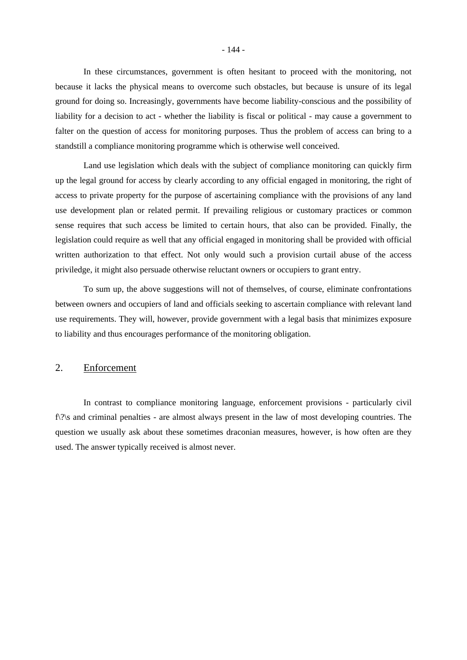In these circumstances, government is often hesitant to proceed with the monitoring, not because it lacks the physical means to overcome such obstacles, but because is unsure of its legal ground for doing so. Increasingly, governments have become liability-conscious and the possibility of liability for a decision to act - whether the liability is fiscal or political - may cause a government to falter on the question of access for monitoring purposes. Thus the problem of access can bring to a standstill a compliance monitoring programme which is otherwise well conceived.

Land use legislation which deals with the subject of compliance monitoring can quickly firm up the legal ground for access by clearly according to any official engaged in monitoring, the right of access to private property for the purpose of ascertaining compliance with the provisions of any land use development plan or related permit. If prevailing religious or customary practices or common sense requires that such access be limited to certain hours, that also can be provided. Finally, the legislation could require as well that any official engaged in monitoring shall be provided with official written authorization to that effect. Not only would such a provision curtail abuse of the access priviledge, it might also persuade otherwise reluctant owners or occupiers to grant entry.

To sum up, the above suggestions will not of themselves, of course, eliminate confrontations between owners and occupiers of land and officials seeking to ascertain compliance with relevant land use requirements. They will, however, provide government with a legal basis that minimizes exposure to liability and thus encourages performance of the monitoring obligation.

## 2. Enforcement

In contrast to compliance monitoring language, enforcement provisions - particularly civil f\?\s and criminal penalties - are almost always present in the law of most developing countries. The question we usually ask about these sometimes draconian measures, however, is how often are they used. The answer typically received is almost never.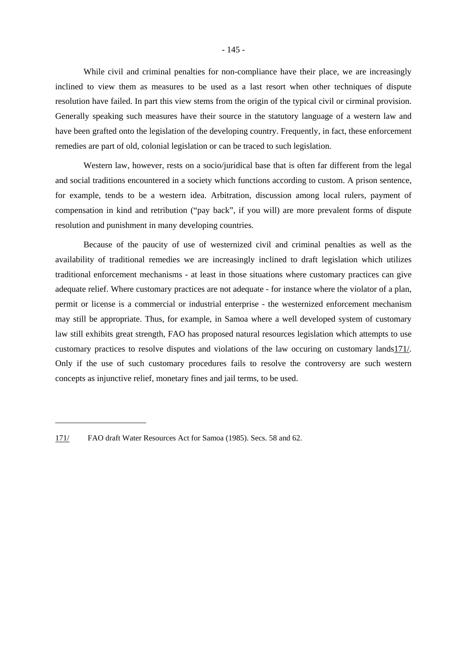While civil and criminal penalties for non-compliance have their place, we are increasingly inclined to view them as measures to be used as a last resort when other techniques of dispute resolution have failed. In part this view stems from the origin of the typical civil or cirminal provision. Generally speaking such measures have their source in the statutory language of a western law and have been grafted onto the legislation of the developing country. Frequently, in fact, these enforcement remedies are part of old, colonial legislation or can be traced to such legislation.

Western law, however, rests on a socio/juridical base that is often far different from the legal and social traditions encountered in a society which functions according to custom. A prison sentence, for example, tends to be a western idea. Arbitration, discussion among local rulers, payment of compensation in kind and retribution ("pay back", if you will) are more prevalent forms of dispute resolution and punishment in many developing countries.

Because of the paucity of use of westernized civil and criminal penalties as well as the availability of traditional remedies we are increasingly inclined to draft legislation which utilizes traditional enforcement mechanisms - at least in those situations where customary practices can give adequate relief. Where customary practices are not adequate - for instance where the violator of a plan, permit or license is a commercial or industrial enterprise - the westernized enforcement mechanism may still be appropriate. Thus, for example, in Samoa where a well developed system of customary law still exhibits great strength, FAO has proposed natural resources legislation which attempts to use customary practices to resolve disputes and violations of the law occuring on customary lands171/. Only if the use of such customary procedures fails to resolve the controversy are such western concepts as injunctive relief, monetary fines and jail terms, to be used.

<sup>171/</sup> FAO draft Water Resources Act for Samoa (1985). Secs. 58 and 62.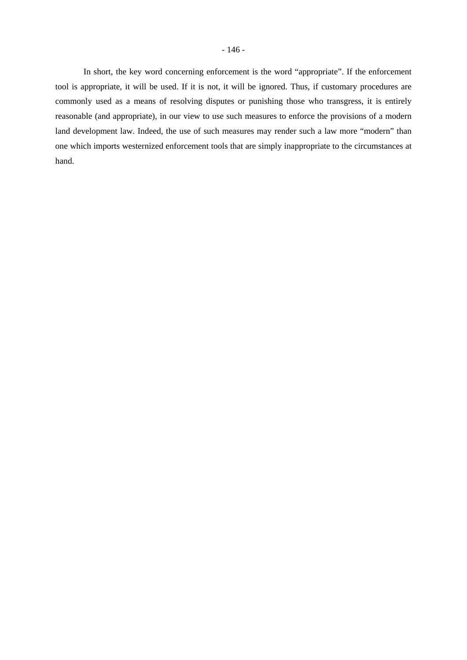In short, the key word concerning enforcement is the word "appropriate". If the enforcement tool is appropriate, it will be used. If it is not, it will be ignored. Thus, if customary procedures are commonly used as a means of resolving disputes or punishing those who transgress, it is entirely reasonable (and appropriate), in our view to use such measures to enforce the provisions of a modern land development law. Indeed, the use of such measures may render such a law more "modern" than one which imports westernized enforcement tools that are simply inappropriate to the circumstances at hand.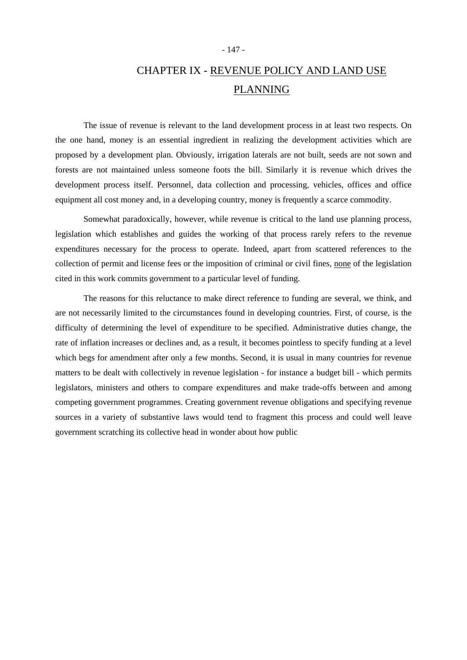# CHAPTER IX - REVENUE POLICY AND LAND USE PLANNING

The issue of revenue is relevant to the land development process in at least two respects. On the one hand, money is an essential ingredient in realizing the development activities which are proposed by a development plan. Obviously, irrigation laterals are not built, seeds are not sown and forests are not maintained unless someone foots the bill. Similarly it is revenue which drives the development process itself. Personnel, data collection and processing, vehicles, offices and office equipment all cost money and, in a developing country, money is frequently a scarce commodity.

Somewhat paradoxically, however, while revenue is critical to the land use planning process, legislation which establishes and guides the working of that process rarely refers to the revenue expenditures necessary for the process to operate. Indeed, apart from scattered references to the collection of permit and license fees or the imposition of criminal or civil fines, none of the legislation cited in this work commits government to a particular level of funding.

The reasons for this reluctance to make direct reference to funding are several, we think, and are not necessarily limited to the circumstances found in developing countries. First, of course, is the difficulty of determining the level of expenditure to be specified. Administrative duties change, the rate of inflation increases or declines and, as a result, it becomes pointless to specify funding at a level which begs for amendment after only a few months. Second, it is usual in many countries for revenue matters to be dealt with collectively in revenue legislation - for instance a budget bill - which permits legislators, ministers and others to compare expenditures and make trade-offs between and among competing government programmes. Creating government revenue obligations and specifying revenue sources in a variety of substantive laws would tend to fragment this process and could well leave government scratching its collective head in wonder about how public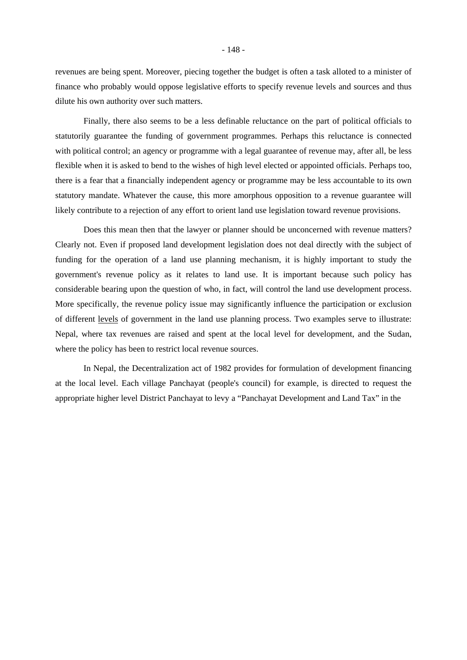revenues are being spent. Moreover, piecing together the budget is often a task alloted to a minister of finance who probably would oppose legislative efforts to specify revenue levels and sources and thus dilute his own authority over such matters.

Finally, there also seems to be a less definable reluctance on the part of political officials to statutorily guarantee the funding of government programmes. Perhaps this reluctance is connected with political control; an agency or programme with a legal guarantee of revenue may, after all, be less flexible when it is asked to bend to the wishes of high level elected or appointed officials. Perhaps too, there is a fear that a financially independent agency or programme may be less accountable to its own statutory mandate. Whatever the cause, this more amorphous opposition to a revenue guarantee will likely contribute to a rejection of any effort to orient land use legislation toward revenue provisions.

Does this mean then that the lawyer or planner should be unconcerned with revenue matters? Clearly not. Even if proposed land development legislation does not deal directly with the subject of funding for the operation of a land use planning mechanism, it is highly important to study the government's revenue policy as it relates to land use. It is important because such policy has considerable bearing upon the question of who, in fact, will control the land use development process. More specifically, the revenue policy issue may significantly influence the participation or exclusion of different levels of government in the land use planning process. Two examples serve to illustrate: Nepal, where tax revenues are raised and spent at the local level for development, and the Sudan, where the policy has been to restrict local revenue sources.

In Nepal, the Decentralization act of 1982 provides for formulation of development financing at the local level. Each village Panchayat (people's council) for example, is directed to request the appropriate higher level District Panchayat to levy a "Panchayat Development and Land Tax" in the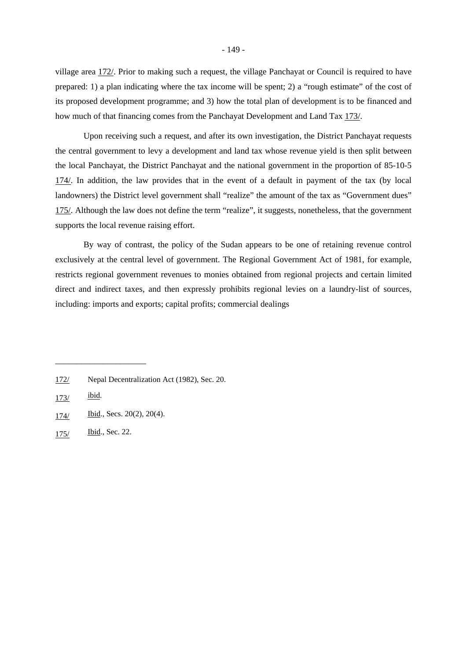village area 172/. Prior to making such a request, the village Panchayat or Council is required to have prepared: 1) a plan indicating where the tax income will be spent; 2) a "rough estimate" of the cost of its proposed development programme; and 3) how the total plan of development is to be financed and how much of that financing comes from the Panchayat Development and Land Tax 173/.

Upon receiving such a request, and after its own investigation, the District Panchayat requests the central government to levy a development and land tax whose revenue yield is then split between the local Panchayat, the District Panchayat and the national government in the proportion of 85-10-5 174/. In addition, the law provides that in the event of a default in payment of the tax (by local landowners) the District level government shall "realize" the amount of the tax as "Government dues" 175/. Although the law does not define the term "realize", it suggests, nonetheless, that the government supports the local revenue raising effort.

By way of contrast, the policy of the Sudan appears to be one of retaining revenue control exclusively at the central level of government. The Regional Government Act of 1981, for example, restricts regional government revenues to monies obtained from regional projects and certain limited direct and indirect taxes, and then expressly prohibits regional levies on a laundry-list of sources, including: imports and exports; capital profits; commercial dealings

<sup>172/</sup> Nepal Decentralization Act (1982), Sec. 20.

<sup>173/</sup> ibid.

<sup>174/</sup> Ibid., Secs. 20(2), 20(4).

<sup>175/</sup> Ibid., Sec. 22.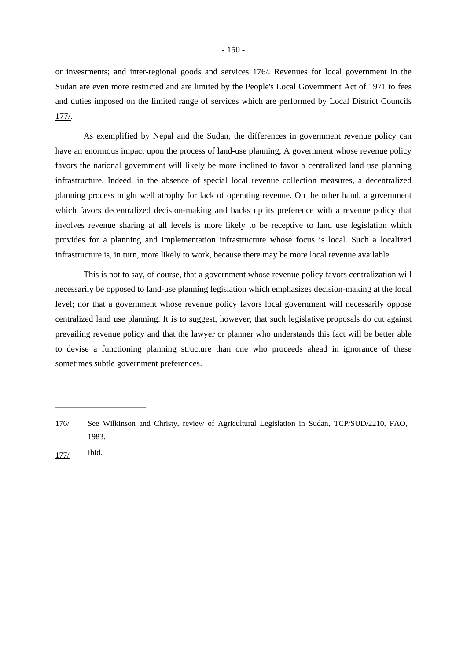or investments; and inter-regional goods and services 176/. Revenues for local government in the Sudan are even more restricted and are limited by the People's Local Government Act of 1971 to fees and duties imposed on the limited range of services which are performed by Local District Councils 177/.

As exemplified by Nepal and the Sudan, the differences in government revenue policy can have an enormous impact upon the process of land-use planning, A government whose revenue policy favors the national government will likely be more inclined to favor a centralized land use planning infrastructure. Indeed, in the absence of special local revenue collection measures, a decentralized planning process might well atrophy for lack of operating revenue. On the other hand, a government which favors decentralized decision-making and backs up its preference with a revenue policy that involves revenue sharing at all levels is more likely to be receptive to land use legislation which provides for a planning and implementation infrastructure whose focus is local. Such a localized infrastructure is, in turn, more likely to work, because there may be more local revenue available.

This is not to say, of course, that a government whose revenue policy favors centralization will necessarily be opposed to land-use planning legislation which emphasizes decision-making at the local level; nor that a government whose revenue policy favors local government will necessarily oppose centralized land use planning. It is to suggest, however, that such legislative proposals do cut against prevailing revenue policy and that the lawyer or planner who understands this fact will be better able to devise a functioning planning structure than one who proceeds ahead in ignorance of these sometimes subtle government preferences.

177/ Ibid.

<sup>176/</sup> See Wilkinson and Christy, review of Agricultural Legislation in Sudan, TCP/SUD/2210, FAO, 1983.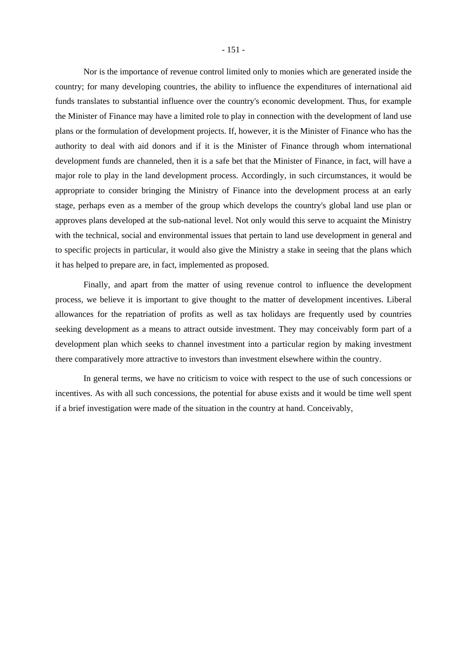Nor is the importance of revenue control limited only to monies which are generated inside the country; for many developing countries, the ability to influence the expenditures of international aid funds translates to substantial influence over the country's economic development. Thus, for example the Minister of Finance may have a limited role to play in connection with the development of land use plans or the formulation of development projects. If, however, it is the Minister of Finance who has the authority to deal with aid donors and if it is the Minister of Finance through whom international development funds are channeled, then it is a safe bet that the Minister of Finance, in fact, will have a major role to play in the land development process. Accordingly, in such circumstances, it would be appropriate to consider bringing the Ministry of Finance into the development process at an early stage, perhaps even as a member of the group which develops the country's global land use plan or approves plans developed at the sub-national level. Not only would this serve to acquaint the Ministry with the technical, social and environmental issues that pertain to land use development in general and to specific projects in particular, it would also give the Ministry a stake in seeing that the plans which it has helped to prepare are, in fact, implemented as proposed.

Finally, and apart from the matter of using revenue control to influence the development process, we believe it is important to give thought to the matter of development incentives. Liberal allowances for the repatriation of profits as well as tax holidays are frequently used by countries seeking development as a means to attract outside investment. They may conceivably form part of a development plan which seeks to channel investment into a particular region by making investment there comparatively more attractive to investors than investment elsewhere within the country.

In general terms, we have no criticism to voice with respect to the use of such concessions or incentives. As with all such concessions, the potential for abuse exists and it would be time well spent if a brief investigation were made of the situation in the country at hand. Conceivably,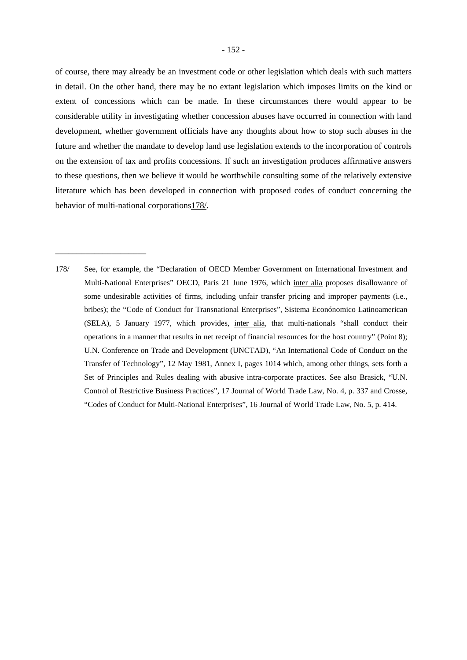of course, there may already be an investment code or other legislation which deals with such matters in detail. On the other hand, there may be no extant legislation which imposes limits on the kind or extent of concessions which can be made. In these circumstances there would appear to be considerable utility in investigating whether concession abuses have occurred in connection with land development, whether government officials have any thoughts about how to stop such abuses in the future and whether the mandate to develop land use legislation extends to the incorporation of controls on the extension of tax and profits concessions. If such an investigation produces affirmative answers to these questions, then we believe it would be worthwhile consulting some of the relatively extensive literature which has been developed in connection with proposed codes of conduct concerning the behavior of multi-national corporations178/.

178/ See, for example, the "Declaration of OECD Member Government on International Investment and Multi-National Enterprises" OECD, Paris 21 June 1976, which inter alia proposes disallowance of some undesirable activities of firms, including unfair transfer pricing and improper payments (i.e., bribes); the "Code of Conduct for Transnational Enterprises", Sistema Econónomico Latinoamerican (SELA), 5 January 1977, which provides, inter alia, that multi-nationals "shall conduct their operations in a manner that results in net receipt of financial resources for the host country" (Point 8); U.N. Conference on Trade and Development (UNCTAD), "An International Code of Conduct on the Transfer of Technology", 12 May 1981, Annex I, pages 1014 which, among other things, sets forth a Set of Principles and Rules dealing with abusive intra-corporate practices. See also Brasick, "U.N. Control of Restrictive Business Practices", 17 Journal of World Trade Law, No. 4, p. 337 and Crosse, "Codes of Conduct for Multi-National Enterprises", 16 Journal of World Trade Law, No. 5, p. 414.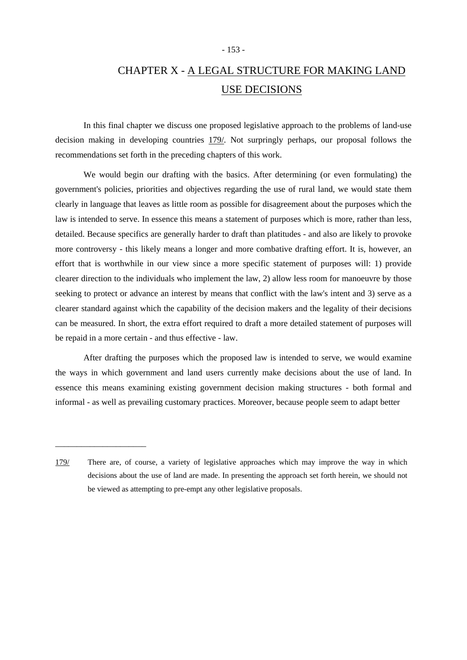### - 153 -

# CHAPTER X - A LEGAL STRUCTURE FOR MAKING LAND USE DECISIONS

In this final chapter we discuss one proposed legislative approach to the problems of land-use decision making in developing countries 179/. Not surpringly perhaps, our proposal follows the recommendations set forth in the preceding chapters of this work.

We would begin our drafting with the basics. After determining (or even formulating) the government's policies, priorities and objectives regarding the use of rural land, we would state them clearly in language that leaves as little room as possible for disagreement about the purposes which the law is intended to serve. In essence this means a statement of purposes which is more, rather than less, detailed. Because specifics are generally harder to draft than platitudes - and also are likely to provoke more controversy - this likely means a longer and more combative drafting effort. It is, however, an effort that is worthwhile in our view since a more specific statement of purposes will: 1) provide clearer direction to the individuals who implement the law, 2) allow less room for manoeuvre by those seeking to protect or advance an interest by means that conflict with the law's intent and 3) serve as a clearer standard against which the capability of the decision makers and the legality of their decisions can be measured. In short, the extra effort required to draft a more detailed statement of purposes will be repaid in a more certain - and thus effective - law.

After drafting the purposes which the proposed law is intended to serve, we would examine the ways in which government and land users currently make decisions about the use of land. In essence this means examining existing government decision making structures - both formal and informal - as well as prevailing customary practices. Moreover, because people seem to adapt better

<sup>179/</sup> There are, of course, a variety of legislative approaches which may improve the way in which decisions about the use of land are made. In presenting the approach set forth herein, we should not be viewed as attempting to pre-empt any other legislative proposals.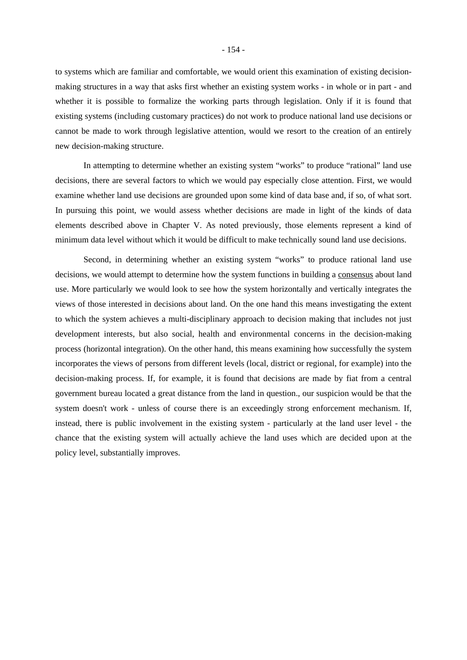to systems which are familiar and comfortable, we would orient this examination of existing decisionmaking structures in a way that asks first whether an existing system works - in whole or in part - and whether it is possible to formalize the working parts through legislation. Only if it is found that existing systems (including customary practices) do not work to produce national land use decisions or cannot be made to work through legislative attention, would we resort to the creation of an entirely new decision-making structure.

In attempting to determine whether an existing system "works" to produce "rational" land use decisions, there are several factors to which we would pay especially close attention. First, we would examine whether land use decisions are grounded upon some kind of data base and, if so, of what sort. In pursuing this point, we would assess whether decisions are made in light of the kinds of data elements described above in Chapter V. As noted previously, those elements represent a kind of minimum data level without which it would be difficult to make technically sound land use decisions.

Second, in determining whether an existing system "works" to produce rational land use decisions, we would attempt to determine how the system functions in building a consensus about land use. More particularly we would look to see how the system horizontally and vertically integrates the views of those interested in decisions about land. On the one hand this means investigating the extent to which the system achieves a multi-disciplinary approach to decision making that includes not just development interests, but also social, health and environmental concerns in the decision-making process (horizontal integration). On the other hand, this means examining how successfully the system incorporates the views of persons from different levels (local, district or regional, for example) into the decision-making process. If, for example, it is found that decisions are made by fiat from a central government bureau located a great distance from the land in question., our suspicion would be that the system doesn't work - unless of course there is an exceedingly strong enforcement mechanism. If, instead, there is public involvement in the existing system - particularly at the land user level - the chance that the existing system will actually achieve the land uses which are decided upon at the policy level, substantially improves.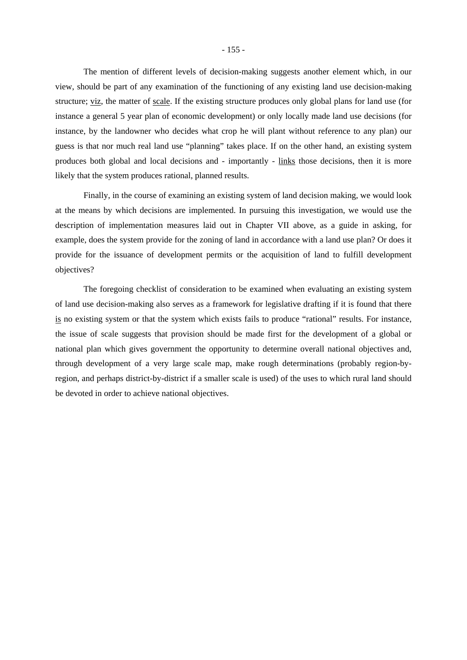The mention of different levels of decision-making suggests another element which, in our view, should be part of any examination of the functioning of any existing land use decision-making structure; viz, the matter of scale. If the existing structure produces only global plans for land use (for instance a general 5 year plan of economic development) or only locally made land use decisions (for instance, by the landowner who decides what crop he will plant without reference to any plan) our guess is that nor much real land use "planning" takes place. If on the other hand, an existing system produces both global and local decisions and - importantly - links those decisions, then it is more likely that the system produces rational, planned results.

Finally, in the course of examining an existing system of land decision making, we would look at the means by which decisions are implemented. In pursuing this investigation, we would use the description of implementation measures laid out in Chapter VII above, as a guide in asking, for example, does the system provide for the zoning of land in accordance with a land use plan? Or does it provide for the issuance of development permits or the acquisition of land to fulfill development objectives?

The foregoing checklist of consideration to be examined when evaluating an existing system of land use decision-making also serves as a framework for legislative drafting if it is found that there is no existing system or that the system which exists fails to produce "rational" results. For instance, the issue of scale suggests that provision should be made first for the development of a global or national plan which gives government the opportunity to determine overall national objectives and, through development of a very large scale map, make rough determinations (probably region-byregion, and perhaps district-by-district if a smaller scale is used) of the uses to which rural land should be devoted in order to achieve national objectives.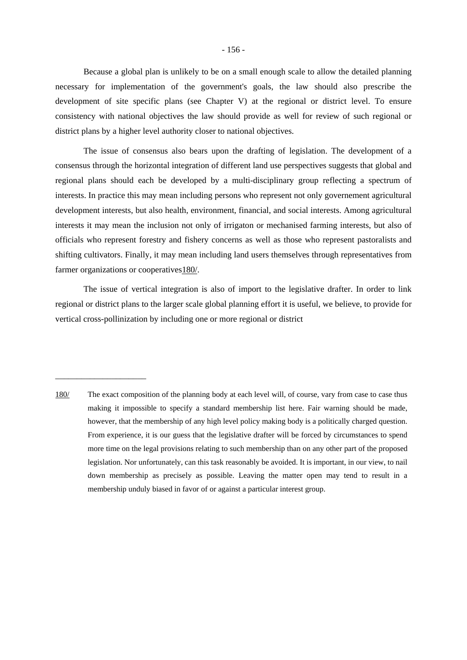Because a global plan is unlikely to be on a small enough scale to allow the detailed planning necessary for implementation of the government's goals, the law should also prescribe the development of site specific plans (see Chapter V) at the regional or district level. To ensure consistency with national objectives the law should provide as well for review of such regional or district plans by a higher level authority closer to national objectives.

The issue of consensus also bears upon the drafting of legislation. The development of a consensus through the horizontal integration of different land use perspectives suggests that global and regional plans should each be developed by a multi-disciplinary group reflecting a spectrum of interests. In practice this may mean including persons who represent not only governement agricultural development interests, but also health, environment, financial, and social interests. Among agricultural interests it may mean the inclusion not only of irrigaton or mechanised farming interests, but also of officials who represent forestry and fishery concerns as well as those who represent pastoralists and shifting cultivators. Finally, it may mean including land users themselves through representatives from farmer organizations or cooperatives 180/.

The issue of vertical integration is also of import to the legislative drafter. In order to link regional or district plans to the larger scale global planning effort it is useful, we believe, to provide for vertical cross-pollinization by including one or more regional or district

<sup>180/</sup> The exact composition of the planning body at each level will, of course, vary from case to case thus making it impossible to specify a standard membership list here. Fair warning should be made, however, that the membership of any high level policy making body is a politically charged question. From experience, it is our guess that the legislative drafter will be forced by circumstances to spend more time on the legal provisions relating to such membership than on any other part of the proposed legislation. Nor unfortunately, can this task reasonably be avoided. It is important, in our view, to nail down membership as precisely as possible. Leaving the matter open may tend to result in a membership unduly biased in favor of or against a particular interest group.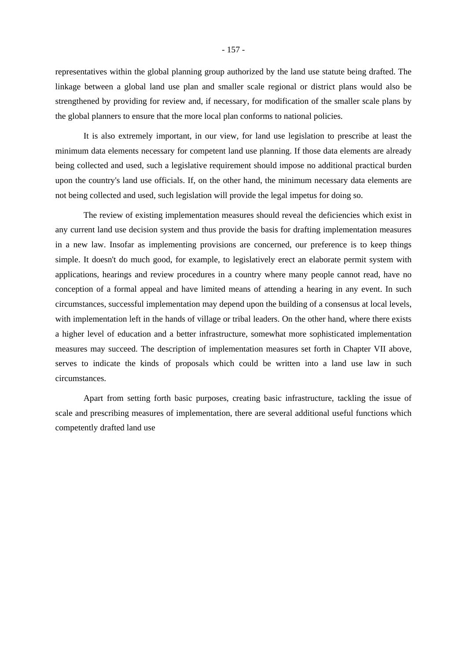representatives within the global planning group authorized by the land use statute being drafted. The linkage between a global land use plan and smaller scale regional or district plans would also be strengthened by providing for review and, if necessary, for modification of the smaller scale plans by the global planners to ensure that the more local plan conforms to national policies.

It is also extremely important, in our view, for land use legislation to prescribe at least the minimum data elements necessary for competent land use planning. If those data elements are already being collected and used, such a legislative requirement should impose no additional practical burden upon the country's land use officials. If, on the other hand, the minimum necessary data elements are not being collected and used, such legislation will provide the legal impetus for doing so.

The review of existing implementation measures should reveal the deficiencies which exist in any current land use decision system and thus provide the basis for drafting implementation measures in a new law. Insofar as implementing provisions are concerned, our preference is to keep things simple. It doesn't do much good, for example, to legislatively erect an elaborate permit system with applications, hearings and review procedures in a country where many people cannot read, have no conception of a formal appeal and have limited means of attending a hearing in any event. In such circumstances, successful implementation may depend upon the building of a consensus at local levels, with implementation left in the hands of village or tribal leaders. On the other hand, where there exists a higher level of education and a better infrastructure, somewhat more sophisticated implementation measures may succeed. The description of implementation measures set forth in Chapter VII above, serves to indicate the kinds of proposals which could be written into a land use law in such circumstances.

Apart from setting forth basic purposes, creating basic infrastructure, tackling the issue of scale and prescribing measures of implementation, there are several additional useful functions which competently drafted land use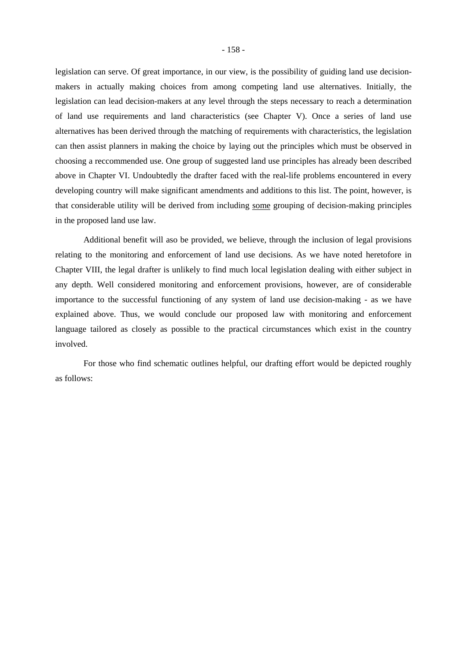legislation can serve. Of great importance, in our view, is the possibility of guiding land use decisionmakers in actually making choices from among competing land use alternatives. Initially, the legislation can lead decision-makers at any level through the steps necessary to reach a determination of land use requirements and land characteristics (see Chapter V). Once a series of land use alternatives has been derived through the matching of requirements with characteristics, the legislation can then assist planners in making the choice by laying out the principles which must be observed in choosing a reccommended use. One group of suggested land use principles has already been described above in Chapter VI. Undoubtedly the drafter faced with the real-life problems encountered in every developing country will make significant amendments and additions to this list. The point, however, is that considerable utility will be derived from including some grouping of decision-making principles in the proposed land use law.

Additional benefit will aso be provided, we believe, through the inclusion of legal provisions relating to the monitoring and enforcement of land use decisions. As we have noted heretofore in Chapter VIII, the legal drafter is unlikely to find much local legislation dealing with either subject in any depth. Well considered monitoring and enforcement provisions, however, are of considerable importance to the successful functioning of any system of land use decision-making - as we have explained above. Thus, we would conclude our proposed law with monitoring and enforcement language tailored as closely as possible to the practical circumstances which exist in the country involved.

For those who find schematic outlines helpful, our drafting effort would be depicted roughly as follows: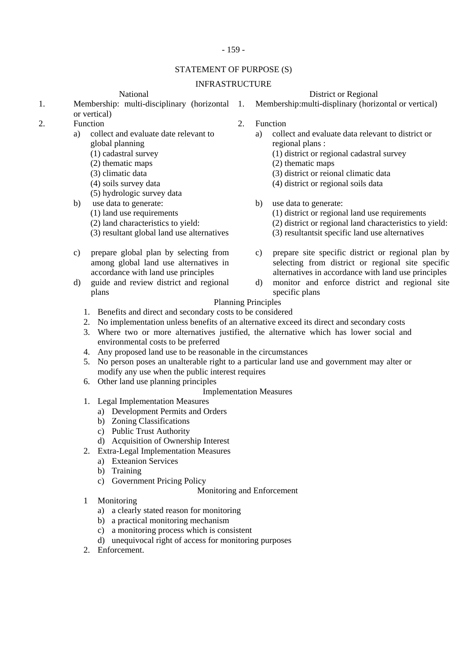## - 159 -

## STATEMENT OF PURPOSE (S)

## INFRASTRUCTURE

- 1. Membership: multi-disciplinary (horizontal or vertical)
- - a) collect and evaluate date relevant to global planning
		- (1) cadastral survey
		- (2) thematic maps
		- (3) climatic data
		- (4) soils survey data
		- (5) hydrologic survey data
	- b) use data to generate:
		- (1) land use requirements
		- (2) land characteristics to yield:
		- (3) resultant global land use alternatives
	- c) prepare global plan by selecting from among global land use alternatives in accordance with land use principles
	- d) guide and review district and regional plans

National District or Regional

Membership:multi-displinary (horizontal or vertical)

- Function 2. Function 2.
	- a) collect and evaluate data relevant to district or regional plans :
		- (1) district or regional cadastral survey
		- (2) thematic maps
		- (3) district or reional climatic data
		- (4) district or regional soils data
	- b) use data to generate:
		- (1) district or regional land use requirements
		- (2) district or regional land characteristics to yield:
		- (3) resultantsit specific land use alternatives
	- c) prepare site specific district or regional plan by selecting from district or regional site specific alternatives in accordance with land use principles
	- d) monitor and enforce district and regional site specific plans

# Planning Principles

- 1. Benefits and direct and secondary costs to be considered
- 2. No implementation unless benefits of an alternative exceed its direct and secondary costs
- 3. Where two or more alternatives justified, the alternative which has lower social and environmental costs to be preferred
- 4. Any proposed land use to be reasonable in the circumstances
- 5. No person poses an unalterable right to a particular land use and government may alter or modify any use when the public interest requires
- 6. Other land use planning principles
	- Implementation Measures
- 1. Legal Implementation Measures
	- a) Development Permits and Orders
	- b) Zoning Classifications
	- c) Public Trust Authority
	- d) Acquisition of Ownership Interest
- 2. Extra-Legal Implementation Measures
	- a) Exteanion Services
	- b) Training
	- c) Government Pricing Policy
		- Monitoring and Enforcement
- 1 Monitoring
	- a) a clearly stated reason for monitoring
	- b) a practical monitoring mechanism
	- c) a monitoring process which is consistent
	- d) unequivocal right of access for monitoring purposes
- 2. Enforcement.

2.